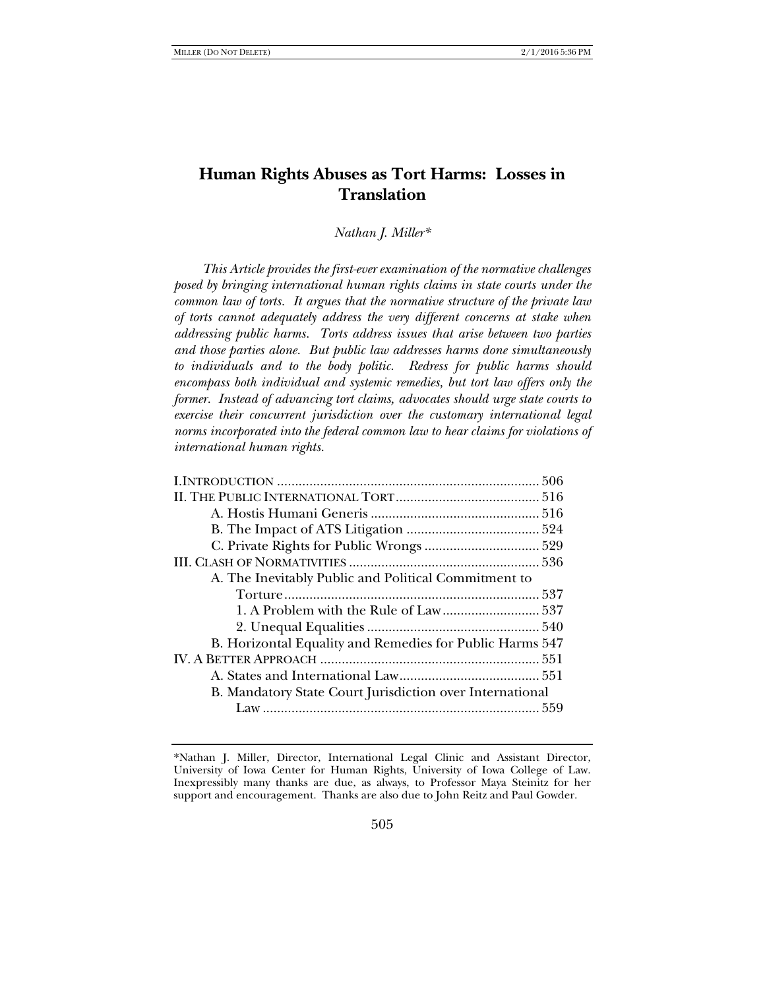# **Human Rights Abuses as Tort Harms: Losses in Translation**

*Nathan J. Miller\** 

*This Article provides the first-ever examination of the normative challenges posed by bringing international human rights claims in state courts under the common law of torts. It argues that the normative structure of the private law of torts cannot adequately address the very different concerns at stake when addressing public harms. Torts address issues that arise between two parties and those parties alone. But public law addresses harms done simultaneously to individuals and to the body politic. Redress for public harms should encompass both individual and systemic remedies, but tort law offers only the former. Instead of advancing tort claims, advocates should urge state courts to exercise their concurrent jurisdiction over the customary international legal norms incorporated into the federal common law to hear claims for violations of international human rights.* 

| A. The Inevitably Public and Political Commitment to     |  |  |  |
|----------------------------------------------------------|--|--|--|
|                                                          |  |  |  |
|                                                          |  |  |  |
|                                                          |  |  |  |
| B. Horizontal Equality and Remedies for Public Harms 547 |  |  |  |
|                                                          |  |  |  |
|                                                          |  |  |  |
| B. Mandatory State Court Jurisdiction over International |  |  |  |
|                                                          |  |  |  |
|                                                          |  |  |  |

<sup>\*</sup>Nathan J. Miller, Director, International Legal Clinic and Assistant Director, University of Iowa Center for Human Rights, University of Iowa College of Law. Inexpressibly many thanks are due, as always, to Professor Maya Steinitz for her support and encouragement. Thanks are also due to John Reitz and Paul Gowder.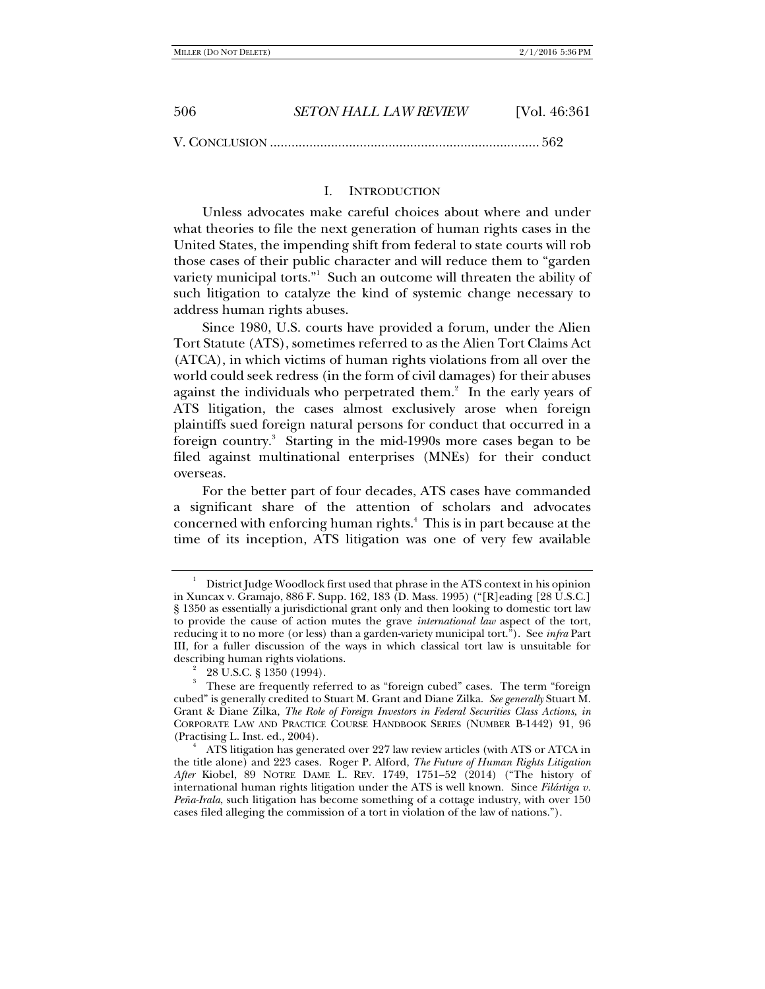| 506 | SETON HALL LAW REVIEW | [Vol. 46:361] |
|-----|-----------------------|---------------|
|     |                       |               |

V. CONCLUSION ........................................................................... 562

# I. INTRODUCTION

Unless advocates make careful choices about where and under what theories to file the next generation of human rights cases in the United States, the impending shift from federal to state courts will rob those cases of their public character and will reduce them to "garden variety municipal torts." Such an outcome will threaten the ability of such litigation to catalyze the kind of systemic change necessary to address human rights abuses.

Since 1980, U.S. courts have provided a forum, under the Alien Tort Statute (ATS), sometimes referred to as the Alien Tort Claims Act (ATCA), in which victims of human rights violations from all over the world could seek redress (in the form of civil damages) for their abuses against the individuals who perpetrated them. $2$  In the early years of ATS litigation, the cases almost exclusively arose when foreign plaintiffs sued foreign natural persons for conduct that occurred in a foreign country.<sup>3</sup> Starting in the mid-1990s more cases began to be filed against multinational enterprises (MNEs) for their conduct overseas.

For the better part of four decades, ATS cases have commanded a significant share of the attention of scholars and advocates concerned with enforcing human rights.4 This is in part because at the time of its inception, ATS litigation was one of very few available

<sup>1</sup> District Judge Woodlock first used that phrase in the ATS context in his opinion in Xuncax v. Gramajo, 886 F. Supp. 162, 183 (D. Mass. 1995) ("[R]eading [28 U.S.C.] § 1350 as essentially a jurisdictional grant only and then looking to domestic tort law to provide the cause of action mutes the grave *international law* aspect of the tort, reducing it to no more (or less) than a garden-variety municipal tort."). See *infra* Part III, for a fuller discussion of the ways in which classical tort law is unsuitable for describing human rights violations. 2

 <sup>28</sup> U.S.C. § 1350 (1994).

<sup>&</sup>lt;sup>3</sup> These are frequently referred to as "foreign cubed" cases. The term "foreign cubed" is generally credited to Stuart M. Grant and Diane Zilka. *See generally* Stuart M. Grant & Diane Zilka, *The Role of Foreign Investors in Federal Securities Class Actions*, *in* CORPORATE LAW AND PRACTICE COURSE HANDBOOK SERIES (NUMBER B-1442) 91, 96 (Practising L. Inst. ed., 2004). 4

ATS litigation has generated over 227 law review articles (with ATS or ATCA in the title alone) and 223 cases. Roger P. Alford, *The Future of Human Rights Litigation*  After Kiobel, 89 NOTRE DAME L. REV. 1749, 1751–52 (2014) ("The history of international human rights litigation under the ATS is well known. Since *Filártiga v. Peña-Irala*, such litigation has become something of a cottage industry, with over 150 cases filed alleging the commission of a tort in violation of the law of nations.").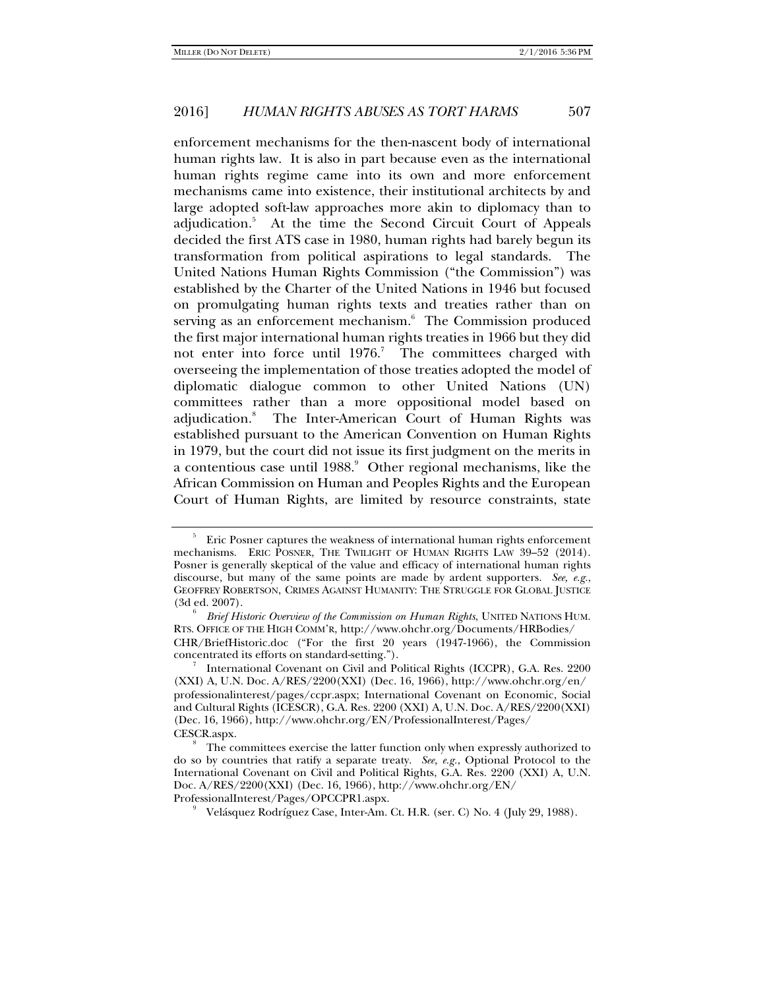enforcement mechanisms for the then-nascent body of international human rights law. It is also in part because even as the international human rights regime came into its own and more enforcement mechanisms came into existence, their institutional architects by and large adopted soft-law approaches more akin to diplomacy than to adjudication.5 At the time the Second Circuit Court of Appeals decided the first ATS case in 1980, human rights had barely begun its transformation from political aspirations to legal standards. The United Nations Human Rights Commission ("the Commission") was established by the Charter of the United Nations in 1946 but focused on promulgating human rights texts and treaties rather than on serving as an enforcement mechanism.<sup>6</sup> The Commission produced the first major international human rights treaties in 1966 but they did not enter into force until  $1976$ .<sup>7</sup> The committees charged with overseeing the implementation of those treaties adopted the model of diplomatic dialogue common to other United Nations (UN) committees rather than a more oppositional model based on adjudication.8 The Inter-American Court of Human Rights was established pursuant to the American Convention on Human Rights in 1979, but the court did not issue its first judgment on the merits in a contentious case until 1988.<sup>9</sup> Other regional mechanisms, like the African Commission on Human and Peoples Rights and the European Court of Human Rights, are limited by resource constraints, state

<sup>5</sup> Eric Posner captures the weakness of international human rights enforcement mechanisms. ERIC POSNER, THE TWILIGHT OF HUMAN RIGHTS LAW 39–52 (2014). Posner is generally skeptical of the value and efficacy of international human rights discourse, but many of the same points are made by ardent supporters. *See, e.g.*, GEOFFREY ROBERTSON, CRIMES AGAINST HUMANITY: THE STRUGGLE FOR GLOBAL JUSTICE  $(3d$  ed.  $2007)$ .

*Brief Historic Overview of the Commission on Human Rights*, UNITED NATIONS HUM. RTS. OFFICE OF THE HIGH COMM'R, http://www.ohchr.org/Documents/HRBodies/ CHR/BriefHistoric.doc ("For the first 20 years (1947-1966), the Commission concentrated its efforts on standard-setting.").

International Covenant on Civil and Political Rights (ICCPR), G.A. Res. 2200 (XXI) A, U.N. Doc. A/RES/2200(XXI) (Dec. 16, 1966), http://www.ohchr.org/en/ professionalinterest/pages/ccpr.aspx; International Covenant on Economic, Social and Cultural Rights (ICESCR), G.A. Res. 2200 (XXI) A, U.N. Doc. A/RES/2200(XXI) (Dec. 16, 1966), http://www.ohchr.org/EN/ProfessionalInterest/Pages/ CESCR.aspx.

The committees exercise the latter function only when expressly authorized to do so by countries that ratify a separate treaty. *See, e.g.*, Optional Protocol to the International Covenant on Civil and Political Rights, G.A. Res. 2200 (XXI) A, U.N. Doc. A/RES/2200(XXI) (Dec. 16, 1966), http://www.ohchr.org/EN/

ProfessionalInterest/Pages/OPCCPR1.aspx. 9

Velásquez Rodríguez Case, Inter-Am. Ct. H.R. (ser. C) No. 4 (July 29, 1988).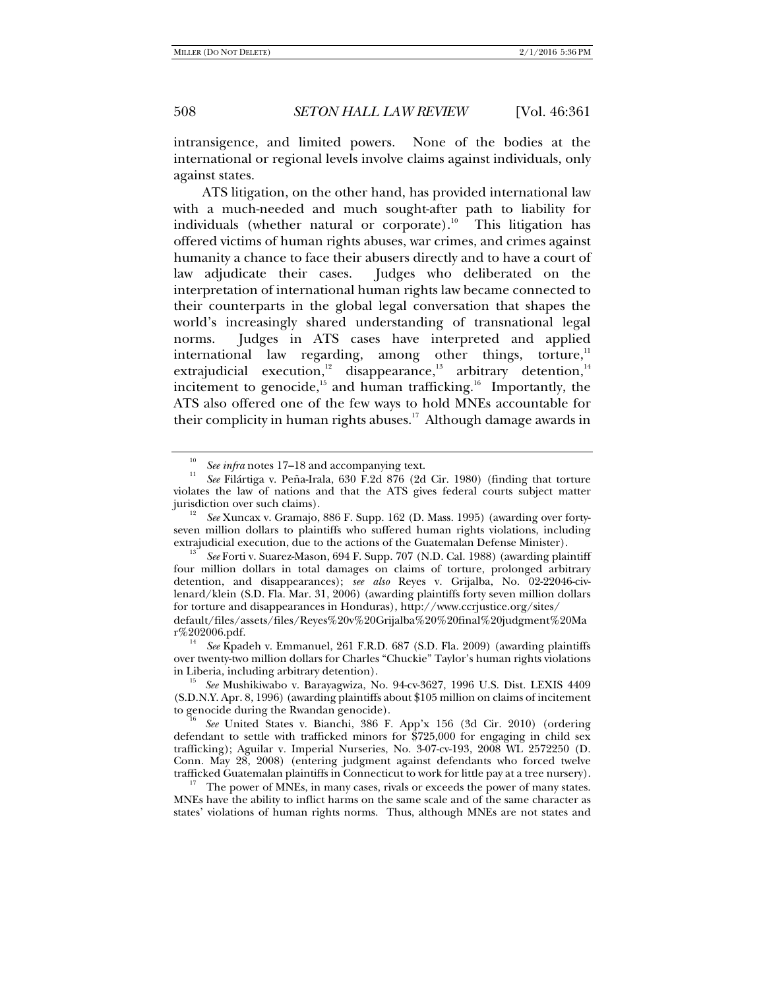intransigence, and limited powers. None of the bodies at the international or regional levels involve claims against individuals, only against states.

ATS litigation, on the other hand, has provided international law with a much-needed and much sought-after path to liability for individuals (whether natural or corporate).<sup>10</sup> This litigation has offered victims of human rights abuses, war crimes, and crimes against humanity a chance to face their abusers directly and to have a court of law adjudicate their cases. Judges who deliberated on the interpretation of international human rights law became connected to their counterparts in the global legal conversation that shapes the world's increasingly shared understanding of transnational legal norms. Judges in ATS cases have interpreted and applied international law regarding, among other things, torture, $11$ extrajudicial execution,<sup>12</sup> disappearance,<sup>13</sup> arbitrary detention,<sup>14</sup> incitement to genocide,<sup>15</sup> and human trafficking.<sup>16</sup> Importantly, the ATS also offered one of the few ways to hold MNEs accountable for their complicity in human rights abuses.<sup>17</sup> Although damage awards in

<sup>14</sup> *See* Kpadeh v. Emmanuel, 261 F.R.D. 687 (S.D. Fla. 2009) (awarding plaintiffs over twenty-two million dollars for Charles "Chuckie" Taylor's human rights violations in Liberia, including arbitrary detention). 15 *See* Mushikiwabo v. Barayagwiza, No. 94-cv-3627, 1996 U.S. Dist. LEXIS 4409

(S.D.N.Y. Apr. 8, 1996) (awarding plaintiffs about \$105 million on claims of incitement to genocide during the Rwandan genocide).<br><sup>16</sup> *See* United States v. Bianchi, 386 F. App'x 156 (3d Cir. 2010) (ordering

 $t^{\text{17}}$  The power of MNEs, in many cases, rivals or exceeds the power of many states. MNEs have the ability to inflict harms on the same scale and of the same character as states' violations of human rights norms. Thus, although MNEs are not states and

<sup>10</sup> See infra notes 17–18 and accompanying text.

*See* Filártiga v. Peña-Irala, 630 F.2d 876 (2d Cir. 1980) (finding that torture violates the law of nations and that the ATS gives federal courts subject matter jurisdiction over such claims).

*See* Xuncax v. Gramajo, 886 F. Supp. 162 (D. Mass. 1995) (awarding over fortyseven million dollars to plaintiffs who suffered human rights violations, including

extrajudicial execution, due to the actions of the Guatemalan Defense Minister). 13 *See* Forti v. Suarez-Mason, 694 F. Supp. 707 (N.D. Cal. 1988) (awarding plaintiff four million dollars in total damages on claims of torture, prolonged arbitrary detention, and disappearances); *see also* Reyes v. Grijalba, No. 02-22046-civlenard/klein (S.D. Fla. Mar. 31, 2006) (awarding plaintiffs forty seven million dollars for torture and disappearances in Honduras), http://www.ccrjustice.org/sites/

default/files/assets/files/Reyes%20v%20Grijalba%20%20final%20judgment%20Ma

defendant to settle with trafficked minors for \$725,000 for engaging in child sex trafficking); Aguilar v*.* Imperial Nurseries, No. 3-07-cv-193, 2008 WL 2572250 (D. Conn. May 28, 2008) (entering judgment against defendants who forced twelve trafficked Guatemalan plaintiffs in Connecticut to work for little pay at a tree nursery).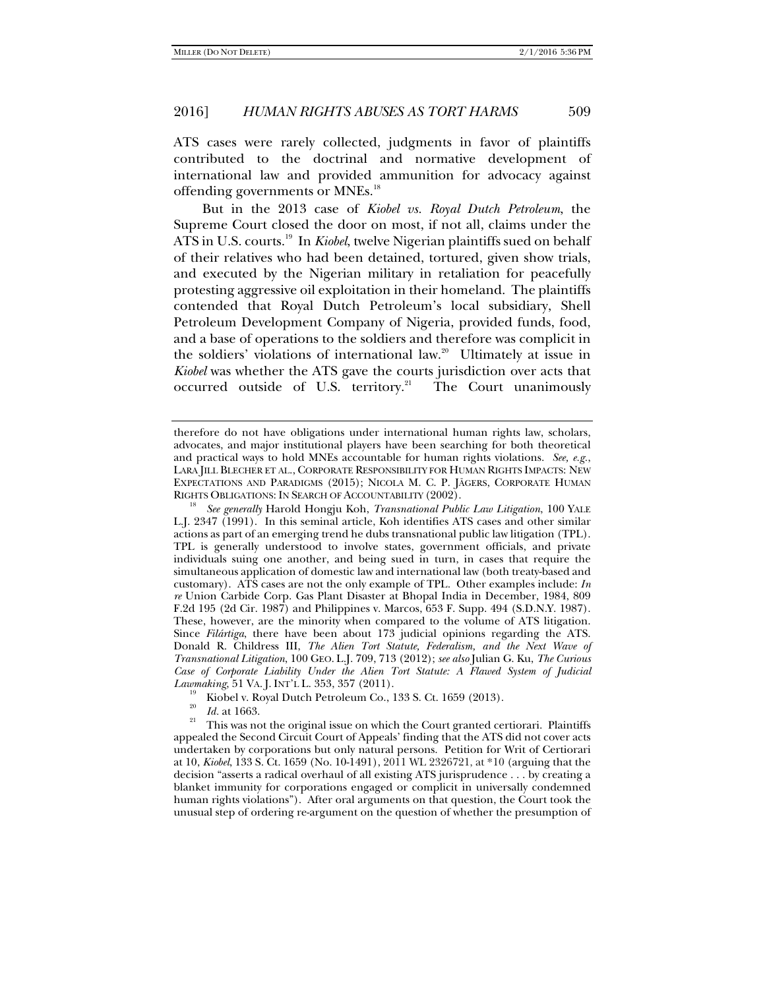ATS cases were rarely collected, judgments in favor of plaintiffs contributed to the doctrinal and normative development of international law and provided ammunition for advocacy against offending governments or MNEs.<sup>18</sup>

But in the 2013 case of *Kiobel vs. Royal Dutch Petroleum*, the Supreme Court closed the door on most, if not all, claims under the ATS in U.S. courts.<sup>19</sup> In *Kiobel*, twelve Nigerian plaintiffs sued on behalf of their relatives who had been detained, tortured, given show trials, and executed by the Nigerian military in retaliation for peacefully protesting aggressive oil exploitation in their homeland. The plaintiffs contended that Royal Dutch Petroleum's local subsidiary, Shell Petroleum Development Company of Nigeria, provided funds, food, and a base of operations to the soldiers and therefore was complicit in the soldiers' violations of international law.<sup>20</sup> Ultimately at issue in *Kiobel* was whether the ATS gave the courts jurisdiction over acts that occurred outside of U.S. territory.<sup>21</sup> The Court unanimously

therefore do not have obligations under international human rights law, scholars, advocates, and major institutional players have been searching for both theoretical and practical ways to hold MNEs accountable for human rights violations. *See, e.g.*, LARA JILL BLECHER ET AL., CORPORATE RESPONSIBILITY FOR HUMAN RIGHTS IMPACTS: NEW EXPECTATIONS AND PARADIGMS (2015); NICOLA M. C. P. JÄGERS, CORPORATE HUMAN RIGHTS OBLIGATIONS: IN SEARCH OF ACCOUNTABILITY (2002).

*See generally* Harold Hongju Koh, *Transnational Public Law Litigation*, 100 YALE L.J. 2347 (1991). In this seminal article, Koh identifies ATS cases and other similar actions as part of an emerging trend he dubs transnational public law litigation (TPL). TPL is generally understood to involve states, government officials, and private individuals suing one another, and being sued in turn, in cases that require the simultaneous application of domestic law and international law (both treaty-based and customary). ATS cases are not the only example of TPL. Other examples include: *In re* Union Carbide Corp. Gas Plant Disaster at Bhopal India in December, 1984, 809 F.2d 195 (2d Cir. 1987) and Philippines v. Marcos, 653 F. Supp. 494 (S.D.N.Y. 1987). These, however, are the minority when compared to the volume of ATS litigation. Since *Filártiga*, there have been about 173 judicial opinions regarding the ATS. Donald R. Childress III, *The Alien Tort Statute, Federalism, and the Next Wave of Transnational Litigation*, 100 GEO. L.J. 709, 713 (2012); *see also* Julian G. Ku, *The Curious Case of Corporate Liability Under the Alien Tort Statute: A Flawed System of Judicial Lawmaking,* 51 VA. J. INT'L L. 353, 357 (2011).

<sup>&</sup>lt;sup>19</sup> Kiobel v. Royal Dutch Petroleum Co., 133 S. Ct. 1659 (2013).

<sup>&</sup>lt;sup>20</sup>*Id.* at 1663. <sup>21</sup> This was not the original issue on which the Court granted certiorari. Plaintiffs appealed the Second Circuit Court of Appeals' finding that the ATS did not cover acts undertaken by corporations but only natural persons. Petition for Writ of Certiorari at 10, *Kiobel*, 133 S. Ct. 1659 (No. 10-1491), 2011 WL 2326721, at \*10 (arguing that the decision "asserts a radical overhaul of all existing ATS jurisprudence . . . by creating a blanket immunity for corporations engaged or complicit in universally condemned human rights violations"). After oral arguments on that question, the Court took the unusual step of ordering re-argument on the question of whether the presumption of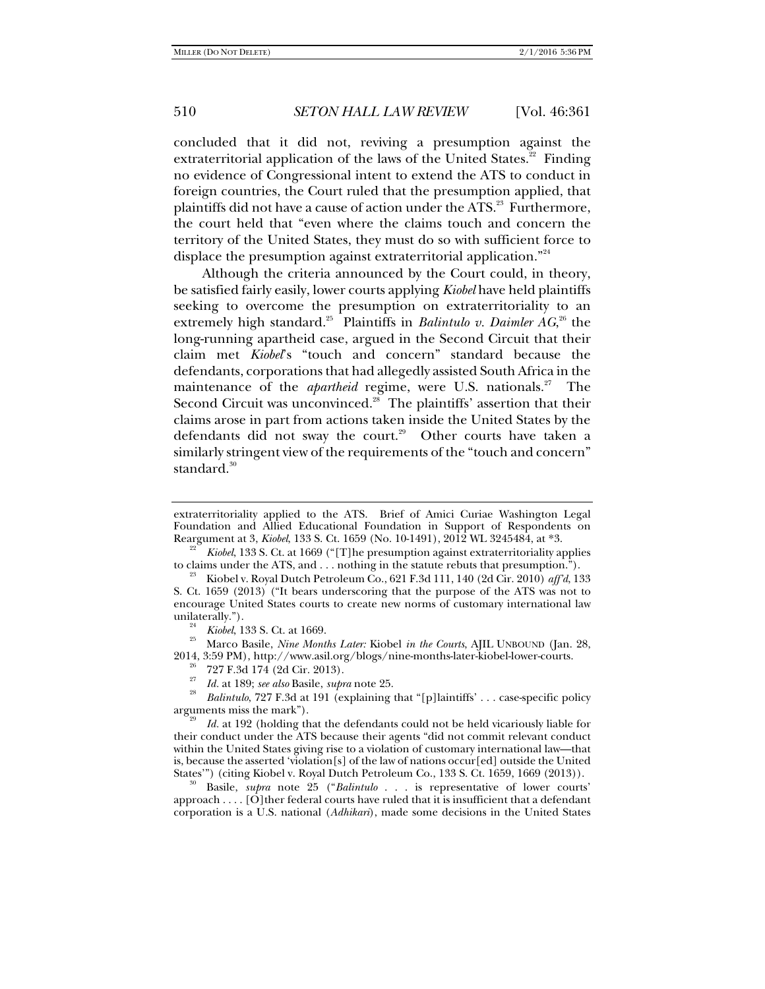concluded that it did not, reviving a presumption against the extraterritorial application of the laws of the United States. $22$  Finding no evidence of Congressional intent to extend the ATS to conduct in foreign countries, the Court ruled that the presumption applied, that plaintiffs did not have a cause of action under the ATS.<sup>23</sup> Furthermore, the court held that "even where the claims touch and concern the territory of the United States, they must do so with sufficient force to displace the presumption against extraterritorial application."<sup>24</sup>

Although the criteria announced by the Court could, in theory, be satisfied fairly easily, lower courts applying *Kiobel* have held plaintiffs seeking to overcome the presumption on extraterritoriality to an extremely high standard.<sup>25</sup> Plaintiffs in *Balintulo v. Daimler AG*,<sup>26</sup> the long-running apartheid case, argued in the Second Circuit that their claim met *Kiobel*'s "touch and concern" standard because the defendants, corporations that had allegedly assisted South Africa in the maintenance of the *apartheid* regime, were U.S. nationals.<sup>27</sup> The Second Circuit was unconvinced.<sup>28</sup> The plaintiffs' assertion that their claims arose in part from actions taken inside the United States by the defendants did not sway the court.<sup>29</sup> Other courts have taken a similarly stringent view of the requirements of the "touch and concern" standard.<sup>30</sup>

*Kiobel*, 133 S. Ct. at 1669 ("[T]he presumption against extraterritoriality applies to claims under the ATS, and . . . nothing in the statute rebuts that presumption.").

<sup>25</sup> Marco Basile, *Nine Months Later: Kiobel in the Courts*, AJIL UNBOUND (Jan. 28, 2014, 3:59 PM), http://www.asil.org/blogs/nine-months-later-kiobel-lower-courts.<br><sup>26</sup> 727 F.3d 174 (2d Cir. 2013).

27

 *Id.* at 189; *see also* Basile, *supra* note 25. 28 *Balintulo*, 727 F.3d at 191 (explaining that "[p]laintiffs' . . . case-specific policy arguments miss the mark"). 29 *Id.* at 192 (holding that the defendants could not be held vicariously liable for

their conduct under the ATS because their agents "did not commit relevant conduct within the United States giving rise to a violation of customary international law—that is, because the asserted 'violation[s] of the law of nations occur[ed] outside the United States'") (citing Kiobel v. Royal Dutch Petroleum Co., 133 S. Ct. 1659, 1669 (2013)). 30 Basile, *supra* note 25 ("*Balintulo* . . . is representative of lower courts'

approach . . . . [O]ther federal courts have ruled that it is insufficient that a defendant corporation is a U.S. national (*Adhikari*), made some decisions in the United States

extraterritoriality applied to the ATS. Brief of Amici Curiae Washington Legal Foundation and Allied Educational Foundation in Support of Respondents on Reargument at 3, *Kiobel*, 133 S. Ct. 1659 (No. 10-1491), 2012 WL 3245484, at \*3. 22

to claims under the ATS, and . . . nothing in the statute rebuts that presumption."). 23 Kiobel v. Royal Dutch Petroleum Co., 621 F.3d 111, 140 (2d Cir. 2010) *aff'd*, 133 S. Ct. 1659 (2013) ("It bears underscoring that the purpose of the ATS was not to encourage United States courts to create new norms of customary international law unilaterally.").<br> $\frac{24}{1}$  Kiobel, 133 S. Ct. at 1669.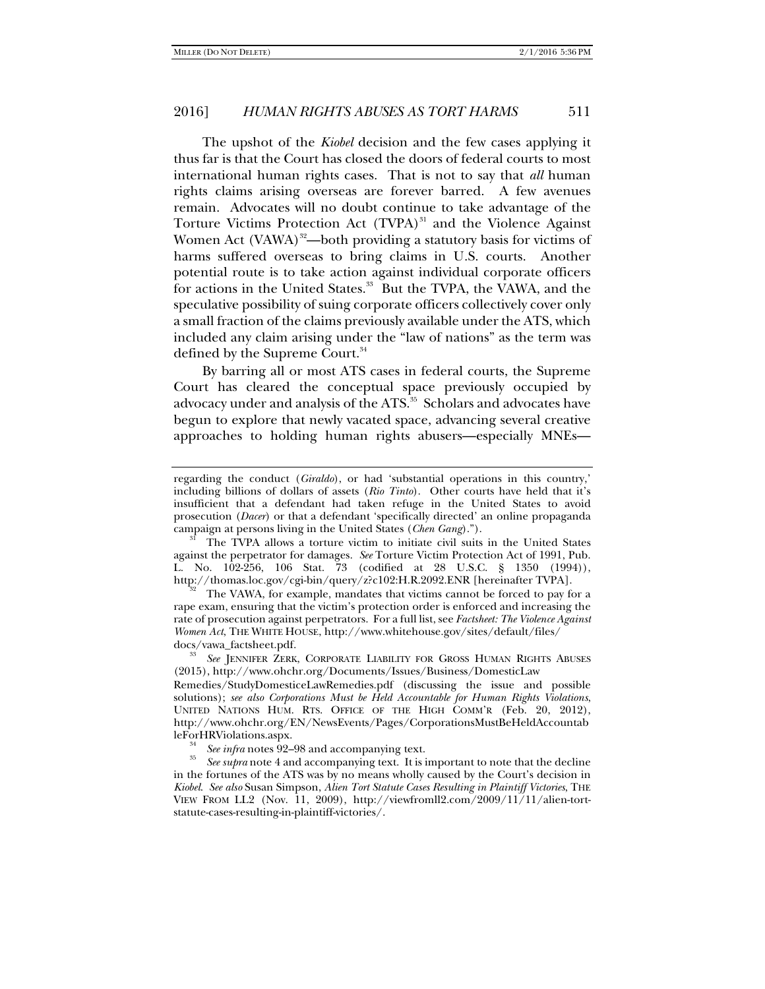The upshot of the *Kiobel* decision and the few cases applying it thus far is that the Court has closed the doors of federal courts to most international human rights cases. That is not to say that *all* human rights claims arising overseas are forever barred. A few avenues remain. Advocates will no doubt continue to take advantage of the Torture Victims Protection Act (TVPA)<sup>31</sup> and the Violence Against Women Act  $(VAWA)^{32}$ —both providing a statutory basis for victims of harms suffered overseas to bring claims in U.S. courts. Another potential route is to take action against individual corporate officers for actions in the United States.<sup>33</sup> But the TVPA, the VAWA, and the speculative possibility of suing corporate officers collectively cover only a small fraction of the claims previously available under the ATS, which included any claim arising under the "law of nations" as the term was defined by the Supreme Court.<sup>34</sup>

By barring all or most ATS cases in federal courts, the Supreme Court has cleared the conceptual space previously occupied by advocacy under and analysis of the ATS.<sup>35</sup> Scholars and advocates have begun to explore that newly vacated space, advancing several creative approaches to holding human rights abusers—especially MNEs—

The VAWA, for example, mandates that victims cannot be forced to pay for a rape exam, ensuring that the victim's protection order is enforced and increasing the rate of prosecution against perpetrators. For a full list, see *Factsheet: The Violence Against Women Act*, THE WHITE HOUSE, http://www.whitehouse.gov/sites/default/files/ docs/vawa\_factsheet.pdf. 33

 *See* JENNIFER ZERK, CORPORATE LIABILITY FOR GROSS HUMAN RIGHTS ABUSES (2015), http://www.ohchr.org/Documents/Issues/Business/DomesticLaw

Remedies/StudyDomesticeLawRemedies.pdf (discussing the issue and possible solutions); *see also Corporations Must be Held Accountable for Human Rights Violations*, UNITED NATIONS HUM. RTS. OFFICE OF THE HIGH COMM'R (Feb. 20, 2012), http://www.ohchr.org/EN/NewsEvents/Pages/CorporationsMustBeHeldAccountab leForHRViolations.aspx.

 $s<sup>34</sup>$  *See infra* notes 92–98 and accompanying text.

 *See supra* note 4 and accompanying text. It is important to note that the decline in the fortunes of the ATS was by no means wholly caused by the Court's decision in *Kiobel*. *See also* Susan Simpson, *Alien Tort Statute Cases Resulting in Plaintiff Victories*, THE VIEW FROM LL2 (Nov. 11, 2009), http://viewfromll2.com/2009/11/11/alien-tortstatute-cases-resulting-in-plaintiff-victories/.

regarding the conduct (*Giraldo*), or had 'substantial operations in this country,' including billions of dollars of assets (*Rio Tinto*). Other courts have held that it's insufficient that a defendant had taken refuge in the United States to avoid prosecution (*Dacer*) or that a defendant 'specifically directed' an online propaganda

campaign at persons living in the United States (*Chen Gang*)."). 31 The TVPA allows a torture victim to initiate civil suits in the United States against the perpetrator for damages. *See* Torture Victim Protection Act of 1991, Pub. L. No. 102-256, 106 Stat. 73 (codified at 28 U.S.C. § 1350 (1994)), http://thomas.loc.gov/cgi-bin/query/z?c102:H.R.2092.ENR [hereinafter TVPA].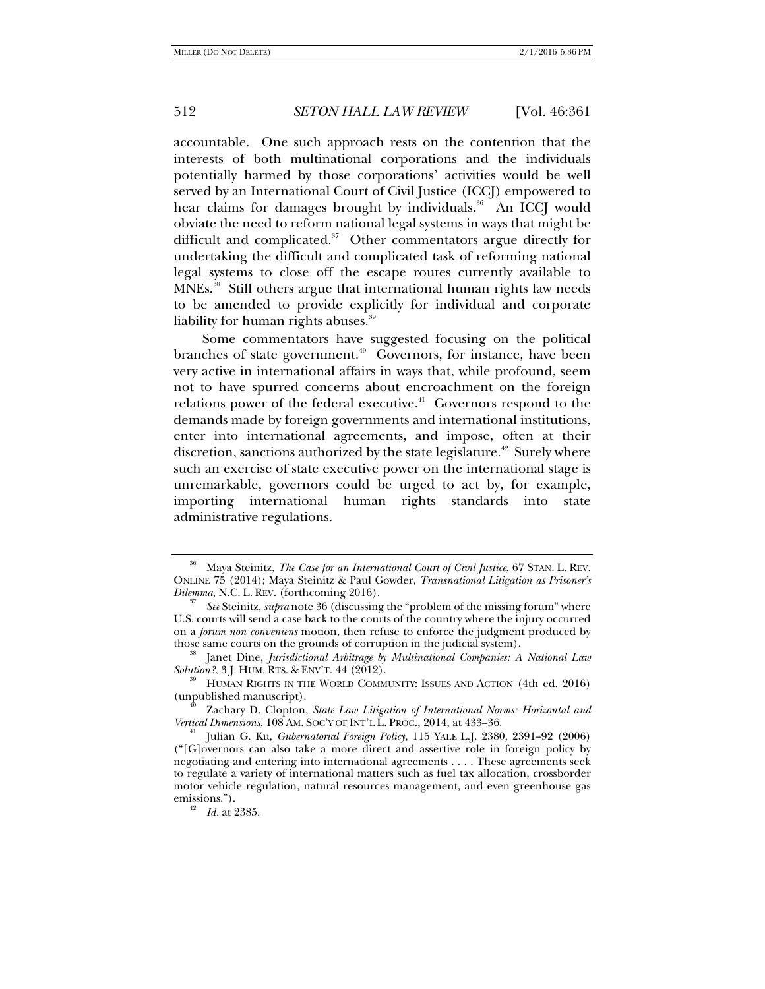accountable. One such approach rests on the contention that the interests of both multinational corporations and the individuals potentially harmed by those corporations' activities would be well served by an International Court of Civil Justice (ICCJ) empowered to hear claims for damages brought by individuals.<sup>36</sup> An ICCJ would obviate the need to reform national legal systems in ways that might be difficult and complicated. $37$  Other commentators argue directly for undertaking the difficult and complicated task of reforming national legal systems to close off the escape routes currently available to MNEs.<sup>38</sup> Still others argue that international human rights law needs to be amended to provide explicitly for individual and corporate liability for human rights abuses.<sup>39</sup>

Some commentators have suggested focusing on the political branches of state government.<sup>40</sup> Governors, for instance, have been very active in international affairs in ways that, while profound, seem not to have spurred concerns about encroachment on the foreign relations power of the federal executive. $4^1$  Governors respond to the demands made by foreign governments and international institutions, enter into international agreements, and impose, often at their discretion, sanctions authorized by the state legislature.<sup>42</sup> Surely where such an exercise of state executive power on the international stage is unremarkable, governors could be urged to act by, for example, importing international human rights standards into state administrative regulations.

<sup>36</sup> Maya Steinitz, *The Case for an International Court of Civil Justice*, 67 STAN. L. REV. ONLINE 75 (2014); Maya Steinitz & Paul Gowder, *Transnational Litigation as Prisoner's Dilemma, N.C. L. REV.* (forthcoming 2016).

*See* Steinitz, *supra* note 36 (discussing the "problem of the missing forum" where U.S. courts will send a case back to the courts of the country where the injury occurred on a *forum non conveniens* motion, then refuse to enforce the judgment produced by those same courts on the grounds of corruption in the judicial system).

<sup>&</sup>lt;sup>38</sup> Janet Dine, *Jurisdictional Arbitrage by Multinational Companies: A National Law Solution?*, 3 J. HUM. RTS. & ENV'T. 44 (2012).

<sup>&</sup>lt;sup>39</sup> HUMAN RIGHTS IN THE WORLD COMMUNITY: ISSUES AND ACTION (4th ed. 2016)<br>(unpublished manuscript).

<sup>&</sup>lt;sup>40</sup> Zachary D. Clopton, *State Law Litigation of International Norms: Horizontal and Vertical Dimensions*, 108 AM. SOC'Y OF INT'L L. PROC., 2014, at 433–36.

*Julian G. Ku, Gubernatorial Foreign Policy*, 115 YALE L.J. 2380, 2391–92 (2006) ("[G]overnors can also take a more direct and assertive role in foreign policy by negotiating and entering into international agreements . . . . These agreements seek to regulate a variety of international matters such as fuel tax allocation, crossborder motor vehicle regulation, natural resources management, and even greenhouse gas emissions.").

*Id.* at 2385.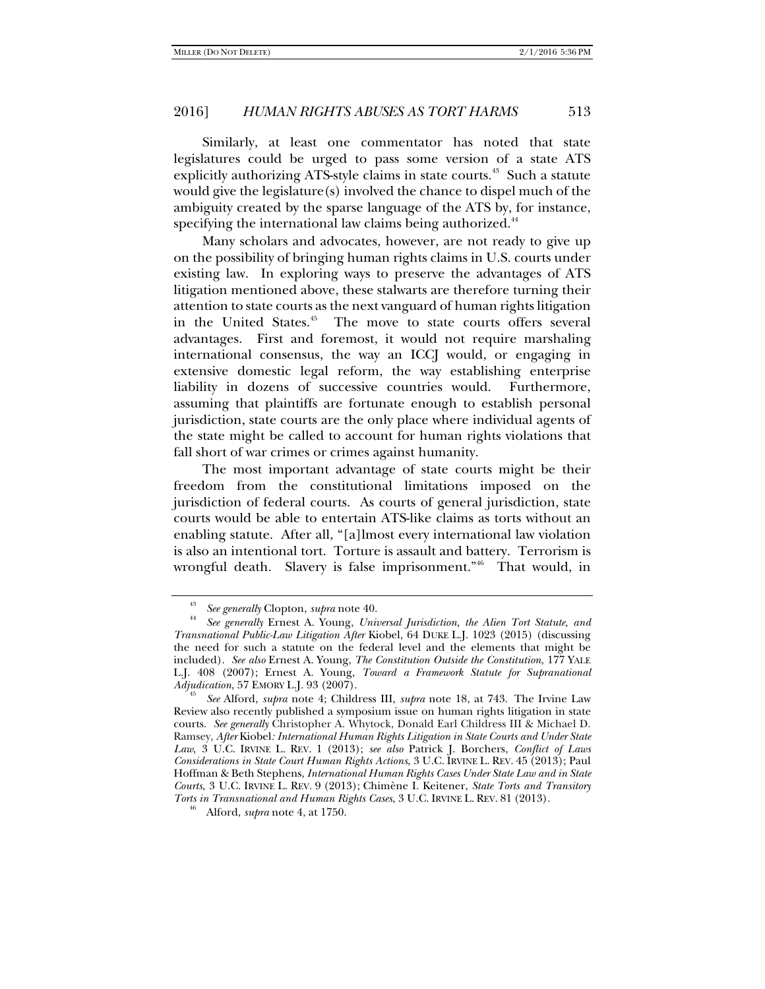Similarly, at least one commentator has noted that state legislatures could be urged to pass some version of a state ATS explicitly authorizing ATS-style claims in state courts. $43$  Such a statute would give the legislature(s) involved the chance to dispel much of the ambiguity created by the sparse language of the ATS by, for instance, specifying the international law claims being authorized.<sup>44</sup>

Many scholars and advocates, however, are not ready to give up on the possibility of bringing human rights claims in U.S. courts under existing law. In exploring ways to preserve the advantages of ATS litigation mentioned above, these stalwarts are therefore turning their attention to state courts as the next vanguard of human rights litigation in the United States.<sup>45</sup> The move to state courts offers several advantages. First and foremost, it would not require marshaling international consensus, the way an ICCJ would, or engaging in extensive domestic legal reform, the way establishing enterprise liability in dozens of successive countries would. Furthermore, assuming that plaintiffs are fortunate enough to establish personal jurisdiction, state courts are the only place where individual agents of the state might be called to account for human rights violations that fall short of war crimes or crimes against humanity.

The most important advantage of state courts might be their freedom from the constitutional limitations imposed on the jurisdiction of federal courts. As courts of general jurisdiction, state courts would be able to entertain ATS-like claims as torts without an enabling statute. After all, "[a]lmost every international law violation is also an intentional tort. Torture is assault and battery. Terrorism is wrongful death. Slavery is false imprisonment."<sup>46</sup> That would, in

<sup>43</sup>*See generally* Clopton, *supra* note 40. 44

*See generally* Ernest A. Young, *Universal Jurisdiction, the Alien Tort Statute, and Transnational Public-Law Litigation After* Kiobel, 64 DUKE L.J. 1023 (2015) (discussing the need for such a statute on the federal level and the elements that might be included). *See also* Ernest A. Young, *The Constitution Outside the Constitution*, 177 YALE L.J. 408 (2007); Ernest A. Young, *Toward a Framework Statute for Supranational Adjudication*, 57 EMORY L.J. 93 (2007).

*See* Alford, *supra* note 4; Childress III, *supra* note 18, at 743. The Irvine Law Review also recently published a symposium issue on human rights litigation in state courts. *See generally* Christopher A. Whytock, Donald Earl Childress III & Michael D. Ramsey, *After* Kiobel*: International Human Rights Litigation in State Courts and Under State Law*, 3 U.C. IRVINE L. REV. 1 (2013); *see also* Patrick J. Borchers, *Conflict of Laws Considerations in State Court Human Rights Actions*, 3 U.C. IRVINE L. REV. 45 (2013); Paul Hoffman & Beth Stephens, *International Human Rights Cases Under State Law and in State Courts*, 3 U.C. IRVINE L. REV. 9 (2013); Chimène I. Keitener, *State Torts and Transitory Torts in Transnational and Human Rights Cases*, 3 U.C. IRVINE L. REV. <sup>81</sup> (2013). 46 Alford, *supra* note 4, at 1750.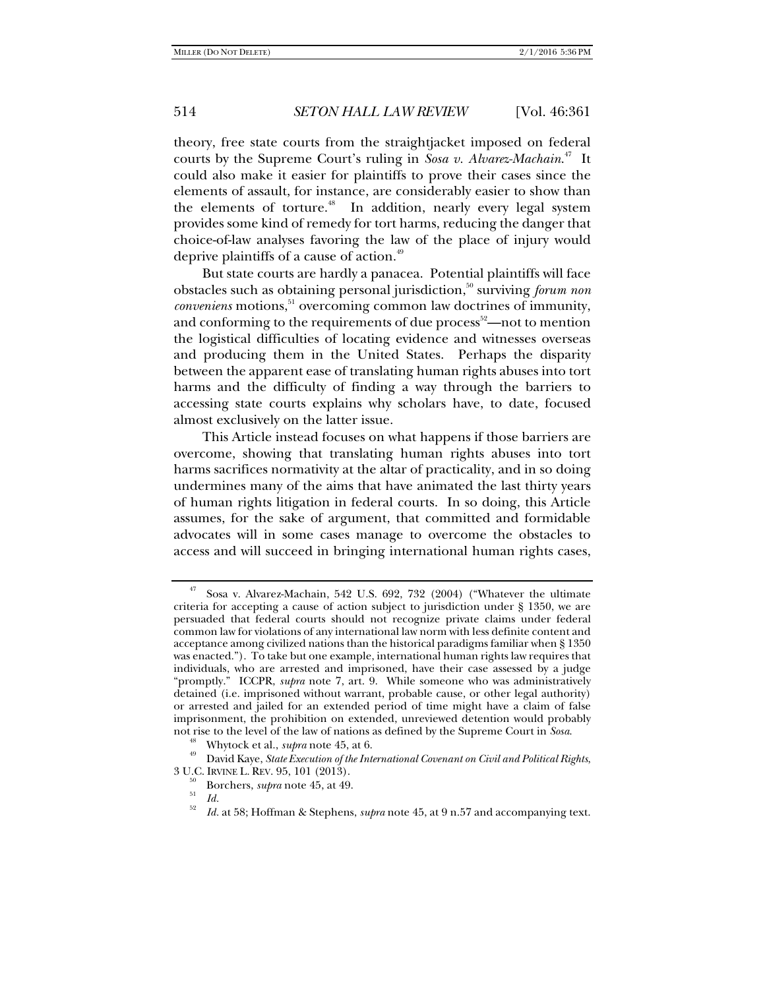theory, free state courts from the straightjacket imposed on federal courts by the Supreme Court's ruling in *Sosa v. Alvarez-Machain*. 47 It could also make it easier for plaintiffs to prove their cases since the elements of assault, for instance, are considerably easier to show than the elements of torture.<sup>48</sup> In addition, nearly every legal system provides some kind of remedy for tort harms, reducing the danger that choice-of-law analyses favoring the law of the place of injury would deprive plaintiffs of a cause of action.49

But state courts are hardly a panacea. Potential plaintiffs will face obstacles such as obtaining personal jurisdiction,<sup>50</sup> surviving *forum non conveniens* motions,<sup>51</sup> overcoming common law doctrines of immunity, and conforming to the requirements of due process<sup>52</sup>—not to mention the logistical difficulties of locating evidence and witnesses overseas and producing them in the United States. Perhaps the disparity between the apparent ease of translating human rights abuses into tort harms and the difficulty of finding a way through the barriers to accessing state courts explains why scholars have, to date, focused almost exclusively on the latter issue.

This Article instead focuses on what happens if those barriers are overcome, showing that translating human rights abuses into tort harms sacrifices normativity at the altar of practicality, and in so doing undermines many of the aims that have animated the last thirty years of human rights litigation in federal courts. In so doing, this Article assumes, for the sake of argument, that committed and formidable advocates will in some cases manage to overcome the obstacles to access and will succeed in bringing international human rights cases,

 $47$  Sosa v. Alvarez-Machain, 542 U.S. 692, 732 (2004) ("Whatever the ultimate criteria for accepting a cause of action subject to jurisdiction under § 1350, we are persuaded that federal courts should not recognize private claims under federal common law for violations of any international law norm with less definite content and acceptance among civilized nations than the historical paradigms familiar when § 1350 was enacted."). To take but one example, international human rights law requires that individuals, who are arrested and imprisoned, have their case assessed by a judge "promptly." ICCPR, *supra* note 7, art. 9. While someone who was administratively detained (i.e. imprisoned without warrant, probable cause, or other legal authority) or arrested and jailed for an extended period of time might have a claim of false imprisonment, the prohibition on extended, unreviewed detention would probably

not rise to the level of the law of nations as defined by the Supreme Court in Sosa.<br><sup>48</sup> Whytock et al., *supra* note 45, at 6.<br><sup>49</sup> David Kaye, *State Execution of the International Covenant on Civil and Political Rights* 

<sup>&</sup>lt;sup>50</sup> Borchers, *supra* note 45, at 49.  $Id$ .

*Id.* at 58; Hoffman & Stephens, *supra* note 45, at 9 n.57 and accompanying text.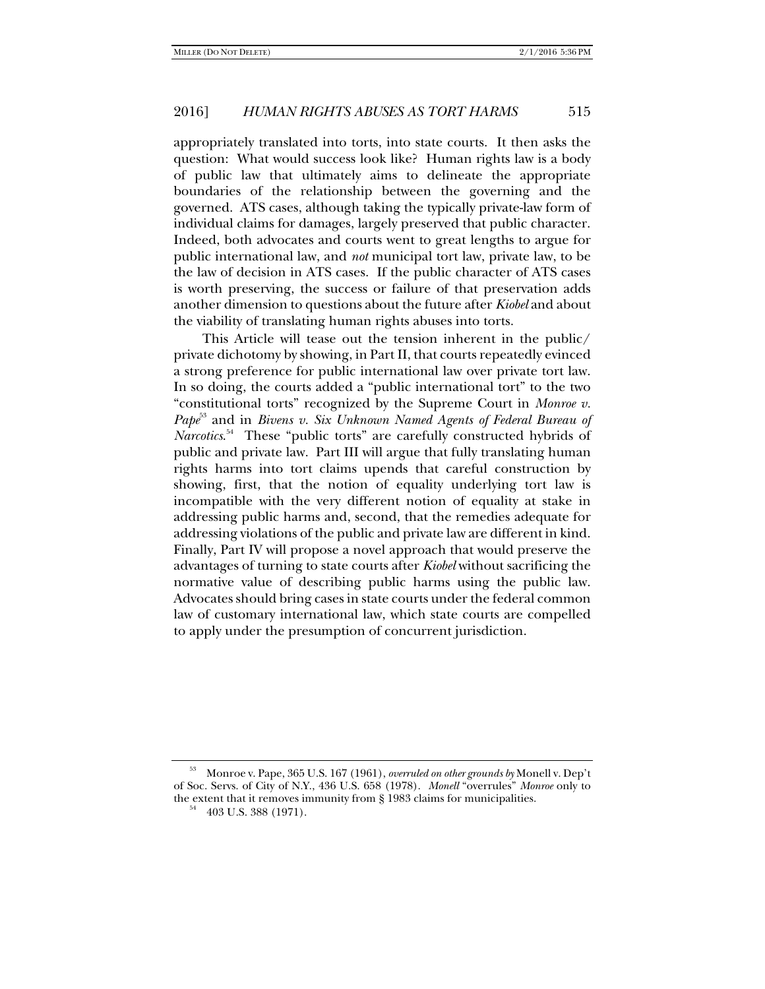appropriately translated into torts, into state courts. It then asks the question: What would success look like? Human rights law is a body of public law that ultimately aims to delineate the appropriate boundaries of the relationship between the governing and the governed. ATS cases, although taking the typically private-law form of individual claims for damages, largely preserved that public character. Indeed, both advocates and courts went to great lengths to argue for public international law, and *not* municipal tort law, private law, to be the law of decision in ATS cases. If the public character of ATS cases is worth preserving, the success or failure of that preservation adds another dimension to questions about the future after *Kiobel* and about the viability of translating human rights abuses into torts.

This Article will tease out the tension inherent in the public/ private dichotomy by showing, in Part II, that courts repeatedly evinced a strong preference for public international law over private tort law. In so doing, the courts added a "public international tort" to the two "constitutional torts" recognized by the Supreme Court in *Monroe v. Pape*<sup>53</sup> and in *Bivens v. Six Unknown Named Agents of Federal Bureau of Narcotics*. 54 These "public torts" are carefully constructed hybrids of public and private law. Part III will argue that fully translating human rights harms into tort claims upends that careful construction by showing, first, that the notion of equality underlying tort law is incompatible with the very different notion of equality at stake in addressing public harms and, second, that the remedies adequate for addressing violations of the public and private law are different in kind. Finally, Part IV will propose a novel approach that would preserve the advantages of turning to state courts after *Kiobel* without sacrificing the normative value of describing public harms using the public law. Advocates should bring cases in state courts under the federal common law of customary international law, which state courts are compelled to apply under the presumption of concurrent jurisdiction.

<sup>53</sup> Monroe v. Pape, 365 U.S. 167 (1961), *overruled on other grounds by* Monell v. Dep't of Soc. Servs. of City of N.Y., 436 U.S. 658 (1978). *Monell* "overrules" *Monroe* only to the extent that it removes immunity from § 1983 claims for municipalities.<br><sup>54</sup> 403 U.S. 388 (1971).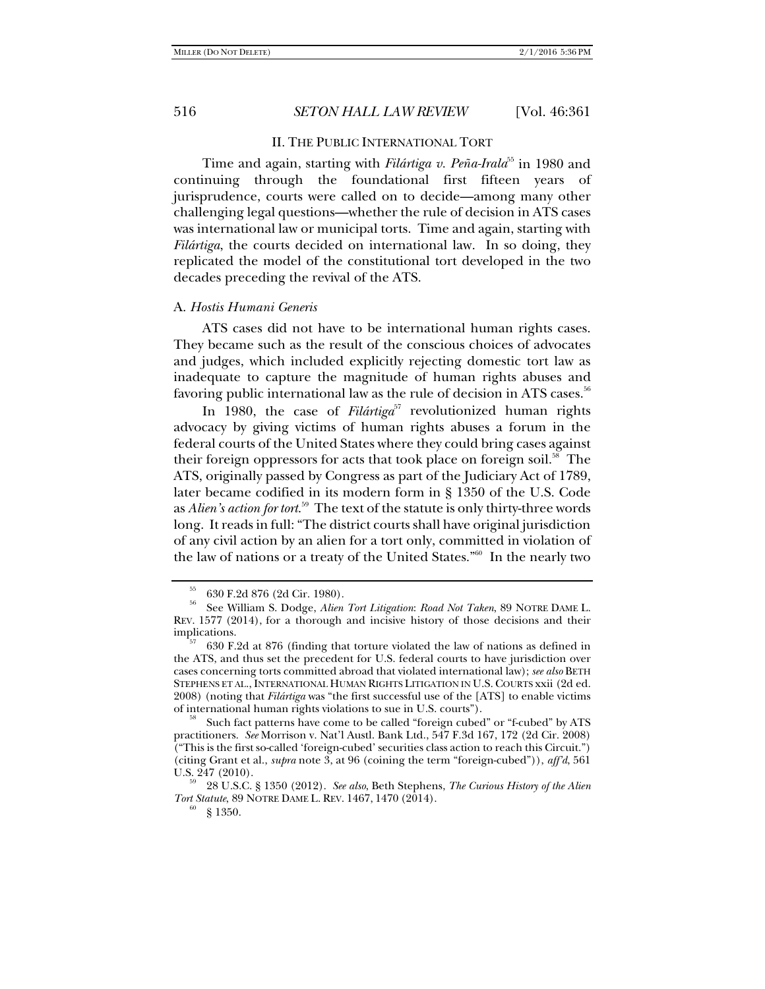#### II. THE PUBLIC INTERNATIONAL TORT

Time and again, starting with *Filártiga v. Peña-Irala*<sup>55</sup> in 1980 and continuing through the foundational first fifteen years of jurisprudence, courts were called on to decide—among many other challenging legal questions—whether the rule of decision in ATS cases was international law or municipal torts. Time and again, starting with *Filártiga*, the courts decided on international law. In so doing, they replicated the model of the constitutional tort developed in the two decades preceding the revival of the ATS.

## A. *Hostis Humani Generis*

ATS cases did not have to be international human rights cases. They became such as the result of the conscious choices of advocates and judges, which included explicitly rejecting domestic tort law as inadequate to capture the magnitude of human rights abuses and favoring public international law as the rule of decision in ATS cases.<sup>56</sup>

In 1980, the case of *Filártiga*<sup>57</sup> revolutionized human rights advocacy by giving victims of human rights abuses a forum in the federal courts of the United States where they could bring cases against their foreign oppressors for acts that took place on foreign soil.<sup>58</sup> The ATS, originally passed by Congress as part of the Judiciary Act of 1789, later became codified in its modern form in § 1350 of the U.S. Code as *Alien's action for tort*. 59 The text of the statute is only thirty-three words long. It reads in full: "The district courts shall have original jurisdiction of any civil action by an alien for a tort only, committed in violation of the law of nations or a treaty of the United States."60 In the nearly two

<sup>55 630</sup> F.2d 876 (2d Cir. 1980).

<sup>56</sup> See William S. Dodge, *Alien Tort Litigation*: *Road Not Taken*, 89 NOTRE DAME L. REV. 1577 (2014), for a thorough and incisive history of those decisions and their implications. 57 630 F.2d at 876 (finding that torture violated the law of nations as defined in

the ATS, and thus set the precedent for U.S. federal courts to have jurisdiction over cases concerning torts committed abroad that violated international law); *see also* BETH STEPHENS ET AL., INTERNATIONAL HUMAN RIGHTS LITIGATION IN U.S. COURTS xxii (2d ed. 2008) (noting that *Filártiga* was "the first successful use of the [ATS] to enable victims

Such fact patterns have come to be called "foreign cubed" or "f-cubed" by ATS practitioners. *See* Morrison v. Nat'l Austl. Bank Ltd., 547 F.3d 167, 172 (2d Cir. 2008) ("This is the first so-called 'foreign-cubed' securities class action to reach this Circuit.") (citing Grant et al., *supra* note 3, at 96 (coining the term "foreign-cubed")), *aff'd*, 561

U.S. 247 (2010). 59 28 U.S.C. § 1350 (2012). *See also*, Beth Stephens, *The Curious History of the Alien Tort Statute*, 89 NOTRE DAME L. REV. 1467, 1470 (2014).<br><sup>60</sup> § 1350.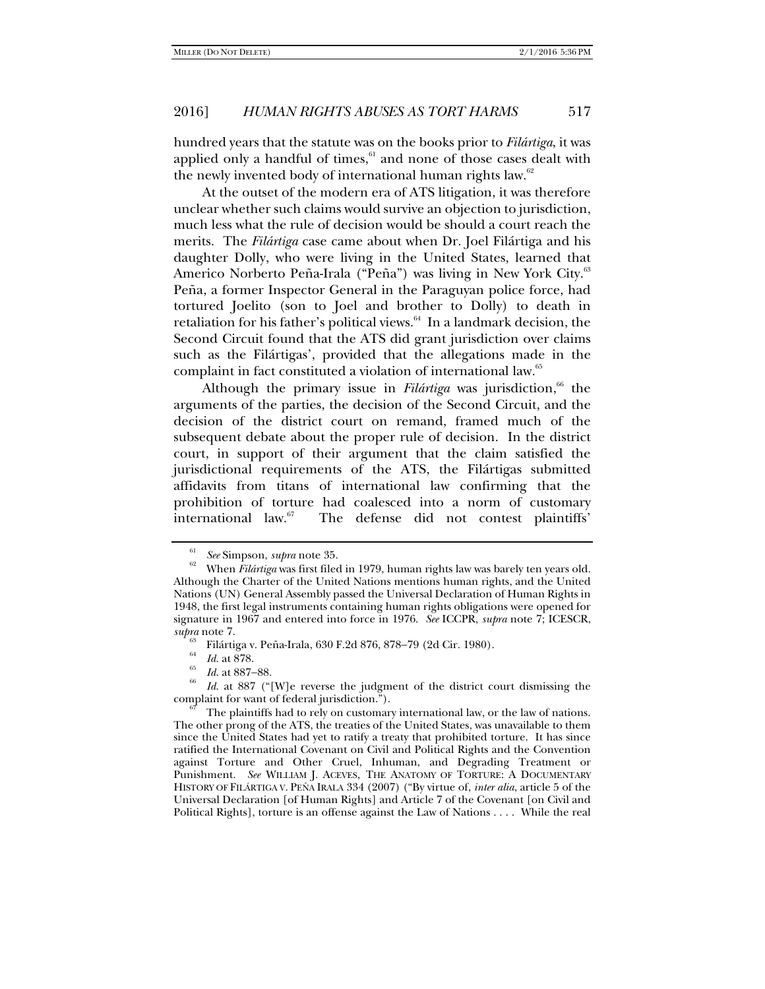hundred years that the statute was on the books prior to *Filártiga*, it was applied only a handful of times, $61$  and none of those cases dealt with the newly invented body of international human rights law.<sup>62</sup>

At the outset of the modern era of ATS litigation, it was therefore unclear whether such claims would survive an objection to jurisdiction, much less what the rule of decision would be should a court reach the merits. The *Filártiga* case came about when Dr. Joel Filártiga and his daughter Dolly, who were living in the United States, learned that Americo Norberto Peña-Irala ("Peña") was living in New York City.<sup>63</sup> Peña, a former Inspector General in the Paraguyan police force, had tortured Joelito (son to Joel and brother to Dolly) to death in retaliation for his father's political views.<sup>64</sup> In a landmark decision, the Second Circuit found that the ATS did grant jurisdiction over claims such as the Filártigas', provided that the allegations made in the complaint in fact constituted a violation of international law.<sup>65</sup>

Although the primary issue in *Filártiga* was jurisdiction,<sup>66</sup> the arguments of the parties, the decision of the Second Circuit, and the decision of the district court on remand, framed much of the subsequent debate about the proper rule of decision. In the district court, in support of their argument that the claim satisfied the jurisdictional requirements of the ATS, the Filártigas submitted affidavits from titans of international law confirming that the prohibition of torture had coalesced into a norm of customary international law.67 The defense did not contest plaintiffs'

 $\frac{^{64}}{^{65}}$  *Id.* at 878.<br>*Id.* at 887–88.

<sup>61</sup>

*See* Simpson, *supra* note 35. 62 When *Filártiga* was first filed in 1979, human rights law was barely ten years old. Although the Charter of the United Nations mentions human rights, and the United Nations (UN) General Assembly passed the Universal Declaration of Human Rights in 1948, the first legal instruments containing human rights obligations were opened for signature in 1967 and entered into force in 1976. *See* ICCPR, *supra* note 7; ICESCR,

*supra* note 7.<br><sup>63</sup> Filártiga v. Peña-Irala, 630 F.2d 876, 878–79 (2d Cir. 1980).

<sup>&</sup>lt;sup>66</sup> *Id.* at 887 ("[W]e reverse the judgment of the district court dismissing the complaint for want of federal jurisdiction.").

The plaintiffs had to rely on customary international law, or the law of nations. The other prong of the ATS, the treaties of the United States, was unavailable to them since the United States had yet to ratify a treaty that prohibited torture. It has since ratified the International Covenant on Civil and Political Rights and the Convention against Torture and Other Cruel, Inhuman, and Degrading Treatment or Punishment. *See* WILLIAM J. ACEVES, THE ANATOMY OF TORTURE: A DOCUMENTARY HISTORY OF FILÁRTIGA V. PEÑA IRALA 334 (2007) ("By virtue of, *inter alia*, article 5 of the Universal Declaration [of Human Rights] and Article 7 of the Covenant [on Civil and Political Rights], torture is an offense against the Law of Nations . . . . While the real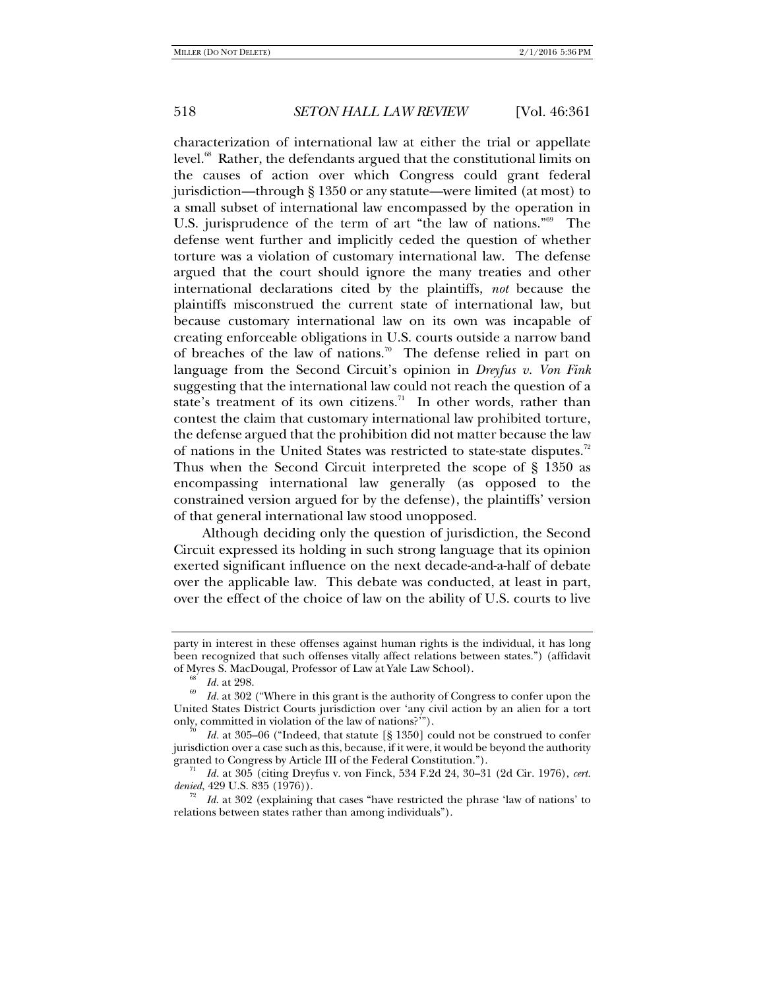characterization of international law at either the trial or appellate level.<sup>68</sup> Rather, the defendants argued that the constitutional limits on the causes of action over which Congress could grant federal jurisdiction—through § 1350 or any statute—were limited (at most) to a small subset of international law encompassed by the operation in U.S. jurisprudence of the term of art "the law of nations."<sup>69</sup> The defense went further and implicitly ceded the question of whether torture was a violation of customary international law. The defense argued that the court should ignore the many treaties and other international declarations cited by the plaintiffs, *not* because the plaintiffs misconstrued the current state of international law, but because customary international law on its own was incapable of creating enforceable obligations in U.S. courts outside a narrow band of breaches of the law of nations.<sup>70</sup> The defense relied in part on language from the Second Circuit's opinion in *Dreyfus v. Von Fink*  suggesting that the international law could not reach the question of a state's treatment of its own citizens.<sup>71</sup> In other words, rather than contest the claim that customary international law prohibited torture, the defense argued that the prohibition did not matter because the law of nations in the United States was restricted to state-state disputes.<sup>72</sup> Thus when the Second Circuit interpreted the scope of § 1350 as encompassing international law generally (as opposed to the constrained version argued for by the defense), the plaintiffs' version of that general international law stood unopposed.

Although deciding only the question of jurisdiction, the Second Circuit expressed its holding in such strong language that its opinion exerted significant influence on the next decade-and-a-half of debate over the applicable law. This debate was conducted, at least in part, over the effect of the choice of law on the ability of U.S. courts to live

party in interest in these offenses against human rights is the individual, it has long been recognized that such offenses vitally affect relations between states.") (affidavit of Myres S. MacDougal, Professor of Law at Yale Law School).<br><sup>68</sup> *Id.* at 298.

*Id.* at 302 ("Where in this grant is the authority of Congress to confer upon the United States District Courts jurisdiction over 'any civil action by an alien for a tort only, committed in violation of the law of nations?'").

Id. at 305–06 ("Indeed, that statute [§ 1350] could not be construed to confer jurisdiction over a case such as this, because, if it were, it would be beyond the authority granted to Congress by Article III of the Federal Constitution.").

*Id.* at 305 (citing Dreyfus v. von Finck, 534 F.2d 24, 30–31 (2d Cir. 1976), *cert.* 

*Id.* at 302 (explaining that cases "have restricted the phrase 'law of nations' to relations between states rather than among individuals").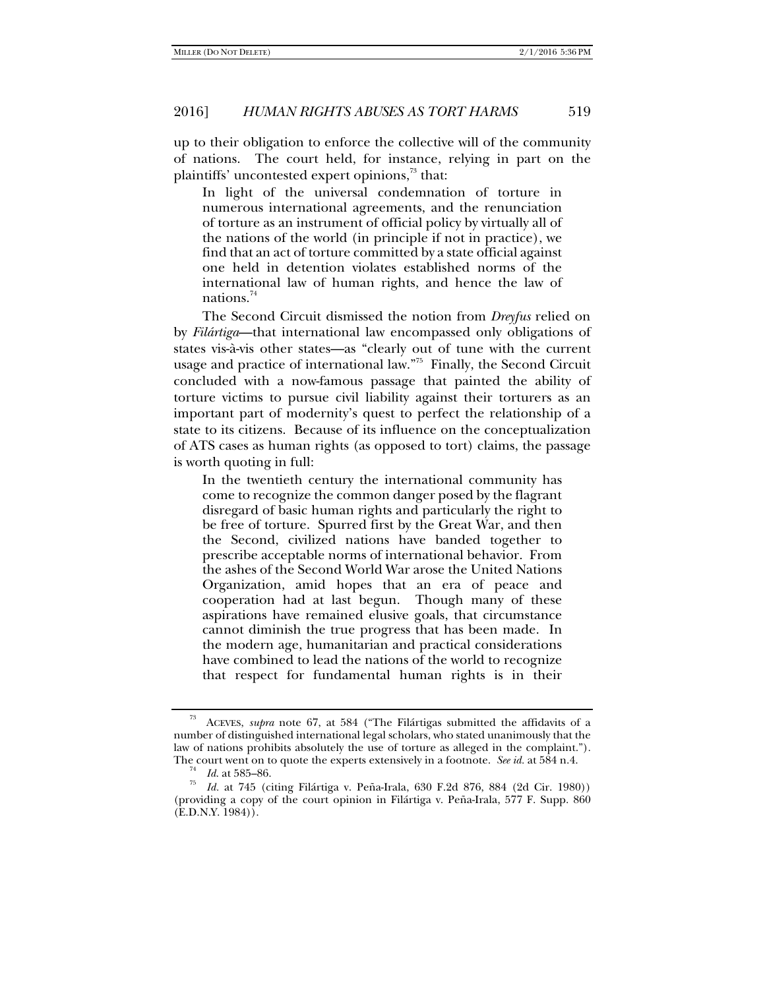up to their obligation to enforce the collective will of the community of nations. The court held, for instance, relying in part on the plaintiffs' uncontested expert opinions,<sup>73</sup> that:

In light of the universal condemnation of torture in numerous international agreements, and the renunciation of torture as an instrument of official policy by virtually all of the nations of the world (in principle if not in practice), we find that an act of torture committed by a state official against one held in detention violates established norms of the international law of human rights, and hence the law of nations.74

The Second Circuit dismissed the notion from *Dreyfus* relied on by *Filártiga*—that international law encompassed only obligations of states vis-à-vis other states—as "clearly out of tune with the current usage and practice of international law."75 Finally, the Second Circuit concluded with a now-famous passage that painted the ability of torture victims to pursue civil liability against their torturers as an important part of modernity's quest to perfect the relationship of a state to its citizens. Because of its influence on the conceptualization of ATS cases as human rights (as opposed to tort) claims, the passage is worth quoting in full:

In the twentieth century the international community has come to recognize the common danger posed by the flagrant disregard of basic human rights and particularly the right to be free of torture. Spurred first by the Great War, and then the Second, civilized nations have banded together to prescribe acceptable norms of international behavior. From the ashes of the Second World War arose the United Nations Organization, amid hopes that an era of peace and cooperation had at last begun. Though many of these aspirations have remained elusive goals, that circumstance cannot diminish the true progress that has been made. In the modern age, humanitarian and practical considerations have combined to lead the nations of the world to recognize that respect for fundamental human rights is in their

<sup>73</sup> ACEVES, *supra* note 67, at 584 ("The Filártigas submitted the affidavits of a number of distinguished international legal scholars, who stated unanimously that the law of nations prohibits absolutely the use of torture as alleged in the complaint."). The court went on to quote the experts extensively in a footnote. *See id.* at 584 n.4. <sup>74</sup> *Id.* at 585–86.

<sup>&</sup>lt;sup>75</sup> *Id.* at 745 (citing Filártiga v. Peña-Irala, 630 F.2d 876, 884 (2d Cir. 1980)) (providing a copy of the court opinion in Filártiga v. Peña-Irala, 577 F. Supp. 860 (E.D.N.Y. 1984)).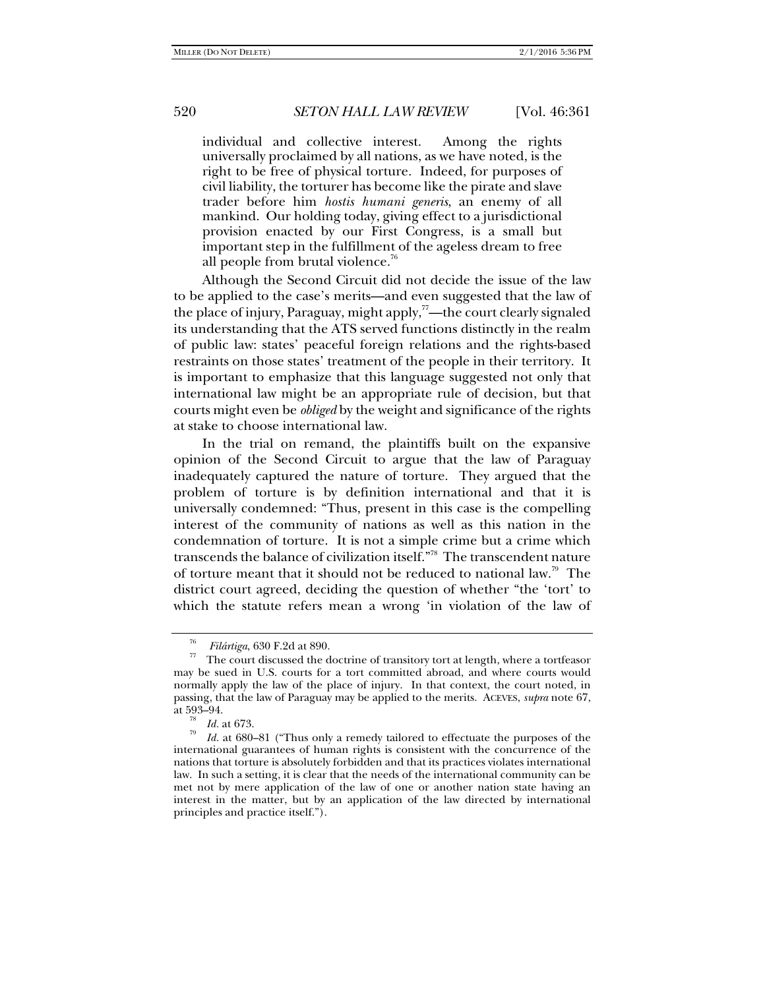individual and collective interest. Among the rights universally proclaimed by all nations, as we have noted, is the right to be free of physical torture. Indeed, for purposes of civil liability, the torturer has become like the pirate and slave trader before him *hostis humani generis*, an enemy of all mankind. Our holding today, giving effect to a jurisdictional provision enacted by our First Congress, is a small but important step in the fulfillment of the ageless dream to free all people from brutal violence.<sup>76</sup>

Although the Second Circuit did not decide the issue of the law to be applied to the case's merits—and even suggested that the law of the place of injury, Paraguay, might apply, $\alpha$ -the court clearly signaled its understanding that the ATS served functions distinctly in the realm of public law: states' peaceful foreign relations and the rights-based restraints on those states' treatment of the people in their territory. It is important to emphasize that this language suggested not only that international law might be an appropriate rule of decision, but that courts might even be *obliged* by the weight and significance of the rights at stake to choose international law.

In the trial on remand, the plaintiffs built on the expansive opinion of the Second Circuit to argue that the law of Paraguay inadequately captured the nature of torture. They argued that the problem of torture is by definition international and that it is universally condemned: "Thus, present in this case is the compelling interest of the community of nations as well as this nation in the condemnation of torture. It is not a simple crime but a crime which transcends the balance of civilization itself."78 The transcendent nature of torture meant that it should not be reduced to national law.79 The district court agreed, deciding the question of whether "the 'tort' to which the statute refers mean a wrong 'in violation of the law of

<sup>&</sup>lt;sup>76</sup>*Filártiga*, 630 F.2d at 890. The court discussed the doctrine of transitory tort at length, where a tortfeasor may be sued in U.S. courts for a tort committed abroad, and where courts would normally apply the law of the place of injury. In that context, the court noted, in passing, that the law of Paraguay may be applied to the merits. ACEVES, *supra* note 67,

 $\frac{18}{79}$  *Id.* at 673.

*Id.* at 680–81 ("Thus only a remedy tailored to effectuate the purposes of the international guarantees of human rights is consistent with the concurrence of the nations that torture is absolutely forbidden and that its practices violates international law. In such a setting, it is clear that the needs of the international community can be met not by mere application of the law of one or another nation state having an interest in the matter, but by an application of the law directed by international principles and practice itself.").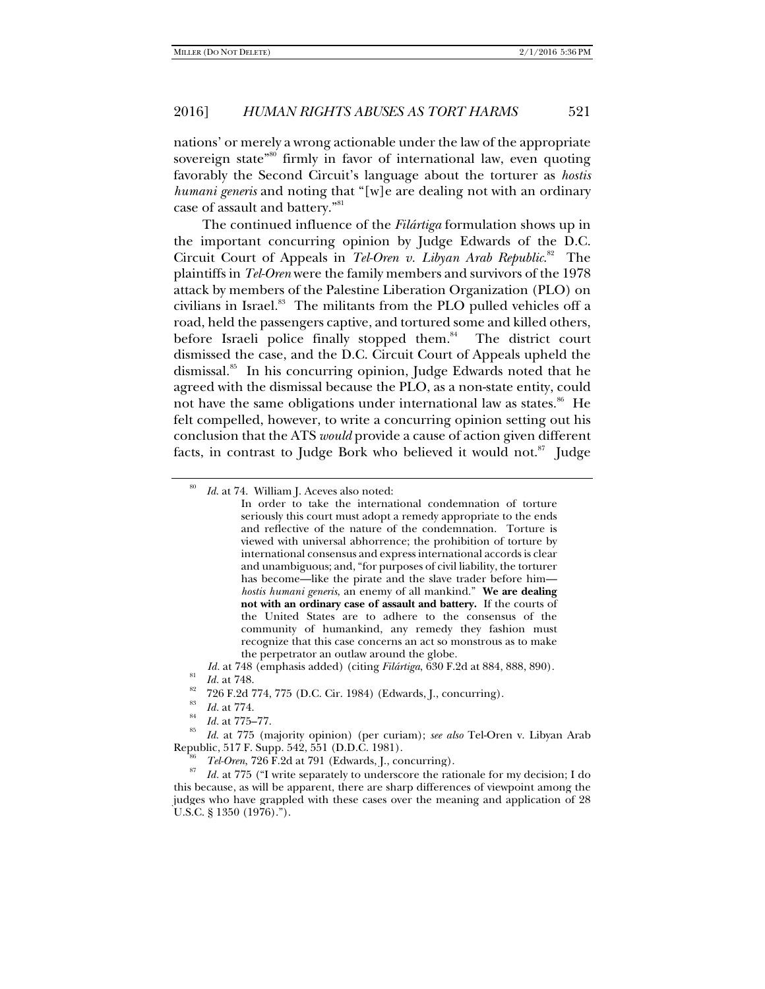nations' or merely a wrong actionable under the law of the appropriate sovereign state<sup>"80</sup> firmly in favor of international law, even quoting favorably the Second Circuit's language about the torturer as *hostis humani generis* and noting that "[w]e are dealing not with an ordinary case of assault and battery."81

The continued influence of the *Filártiga* formulation shows up in the important concurring opinion by Judge Edwards of the D.C. Circuit Court of Appeals in *Tel-Oren v. Libyan Arab Republic*. 82 The plaintiffs in *Tel-Oren* were the family members and survivors of the 1978 attack by members of the Palestine Liberation Organization (PLO) on civilians in Israel.<sup>83</sup> The militants from the PLO pulled vehicles off a road, held the passengers captive, and tortured some and killed others, before Israeli police finally stopped them. $84$  The district court dismissed the case, and the D.C. Circuit Court of Appeals upheld the dismissal.<sup>85</sup> In his concurring opinion, Judge Edwards noted that he agreed with the dismissal because the PLO, as a non-state entity, could not have the same obligations under international law as states.<sup>86</sup> He felt compelled, however, to write a concurring opinion setting out his conclusion that the ATS *would* provide a cause of action given different facts, in contrast to Judge Bork who believed it would not.<sup>87</sup> Judge

<sup>80</sup> *Id.* at 74. William J. Aceves also noted:

In order to take the international condemnation of torture seriously this court must adopt a remedy appropriate to the ends and reflective of the nature of the condemnation. Torture is viewed with universal abhorrence; the prohibition of torture by international consensus and express international accords is clear and unambiguous; and, "for purposes of civil liability, the torturer has become—like the pirate and the slave trader before him *hostis humani generis*, an enemy of all mankind." **We are dealing not with an ordinary case of assault and battery.** If the courts of the United States are to adhere to the consensus of the community of humankind, any remedy they fashion must recognize that this case concerns an act so monstrous as to make the perpetrator an outlaw around the globe.

*Id.* at 748 (emphasis added) (citing *Filártiga*, 630 F.2d at 884, 888, 890). *Id.* at 748.

<sup>726</sup> F.2d 774, 775 (D.C. Cir. 1984) (Edwards, J., concurring).

<sup>83</sup>  $\frac{^{83}}{^{84}}$  *Id.* at 775–77.

<sup>&</sup>lt;sup>85</sup> *Id.* at 775 (majority opinion) (per curiam); *see also* Tel-Oren v. Libyan Arab Republic, 517 F. Supp. 542, 551 (D.D.C. 1981).

Republic, 517 F. Supp. 542, 551 (D.D.C. 1981). 86 *Tel-Oren*, 726 F.2d at 791 (Edwards, J., concurring). 87 *Id.* at 775 ("I write separately to underscore the rationale for my decision; I do this because, as will be apparent, there are sharp differences of viewpoint among the judges who have grappled with these cases over the meaning and application of 28 U.S.C. § 1350 (1976).").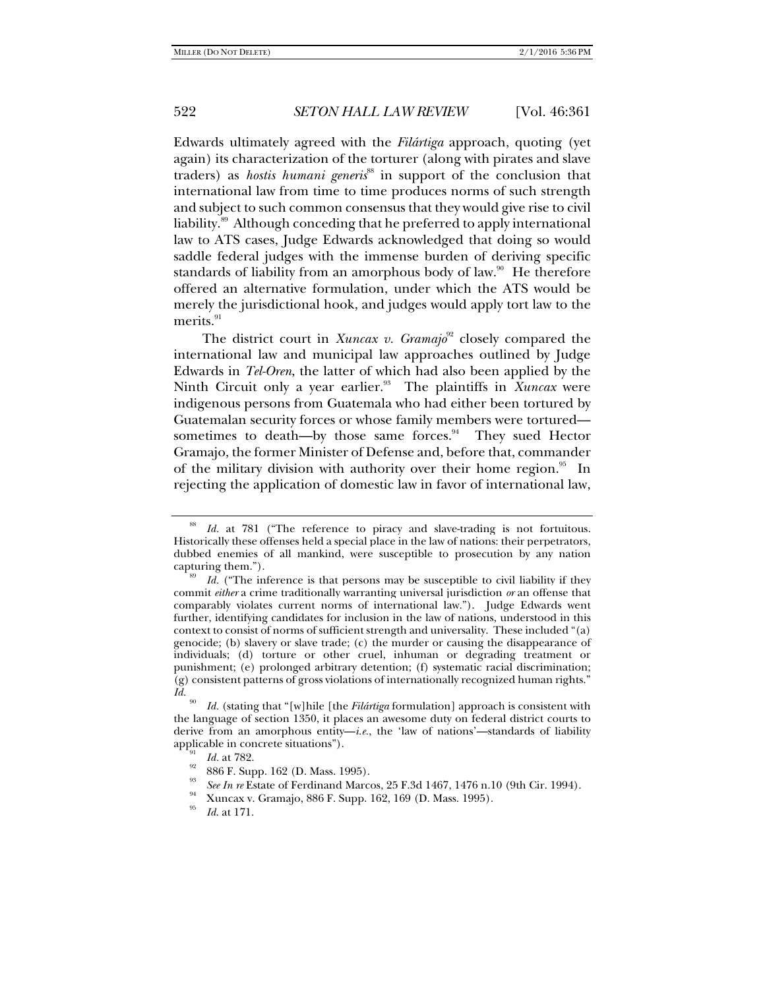Edwards ultimately agreed with the *Filártiga* approach, quoting (yet again) its characterization of the torturer (along with pirates and slave traders) as *hostis humani generis*<sup>88</sup> in support of the conclusion that international law from time to time produces norms of such strength and subject to such common consensus that they would give rise to civil liability.89 Although conceding that he preferred to apply international law to ATS cases, Judge Edwards acknowledged that doing so would saddle federal judges with the immense burden of deriving specific standards of liability from an amorphous body of law.<sup>90</sup> He therefore offered an alternative formulation, under which the ATS would be merely the jurisdictional hook, and judges would apply tort law to the merits.<sup>91</sup>

The district court in *Xuncax v. Gramajo*<sup>92</sup> closely compared the international law and municipal law approaches outlined by Judge Edwards in *Tel-Oren*, the latter of which had also been applied by the Ninth Circuit only a year earlier.<sup>93</sup> The plaintiffs in *Xuncax* were indigenous persons from Guatemala who had either been tortured by Guatemalan security forces or whose family members were tortured sometimes to death—by those same forces. $94$  They sued Hector Gramajo, the former Minister of Defense and, before that, commander of the military division with authority over their home region.<sup>95</sup> In rejecting the application of domestic law in favor of international law,

<sup>88</sup> *Id.* at 781 ("The reference to piracy and slave-trading is not fortuitous. Historically these offenses held a special place in the law of nations: their perpetrators, dubbed enemies of all mankind, were susceptible to prosecution by any nation capturing them.").

*Id.* ("The inference is that persons may be susceptible to civil liability if they commit *either* a crime traditionally warranting universal jurisdiction *or* an offense that comparably violates current norms of international law."). Judge Edwards went further, identifying candidates for inclusion in the law of nations, understood in this context to consist of norms of sufficient strength and universality. These included "(a) genocide; (b) slavery or slave trade; (c) the murder or causing the disappearance of individuals; (d) torture or other cruel, inhuman or degrading treatment or punishment; (e) prolonged arbitrary detention; (f) systematic racial discrimination; (g) consistent patterns of gross violations of internationally recognized human rights."  $\overline{Id}$ .

*Id.* (stating that "[w]hile [the *Filártiga* formulation] approach is consistent with the language of section 1350, it places an awesome duty on federal district courts to derive from an amorphous entity—*i.e.*, the 'law of nations'—standards of liability applicable in concrete situations").<br><sup>92</sup> *Id.* at 782.<br>886 F. Supp. 162 (D. Mass. 1995).

<sup>93</sup>

*See In re* Estate of Ferdinand Marcos, 25 F.3d 1467, 1476 n.10 (9th Cir. 1994). Xuncax v. Gramajo, 886 F. Supp. 162, 169 (D. Mass. 1995).

<sup>95</sup> *Id*. at 171.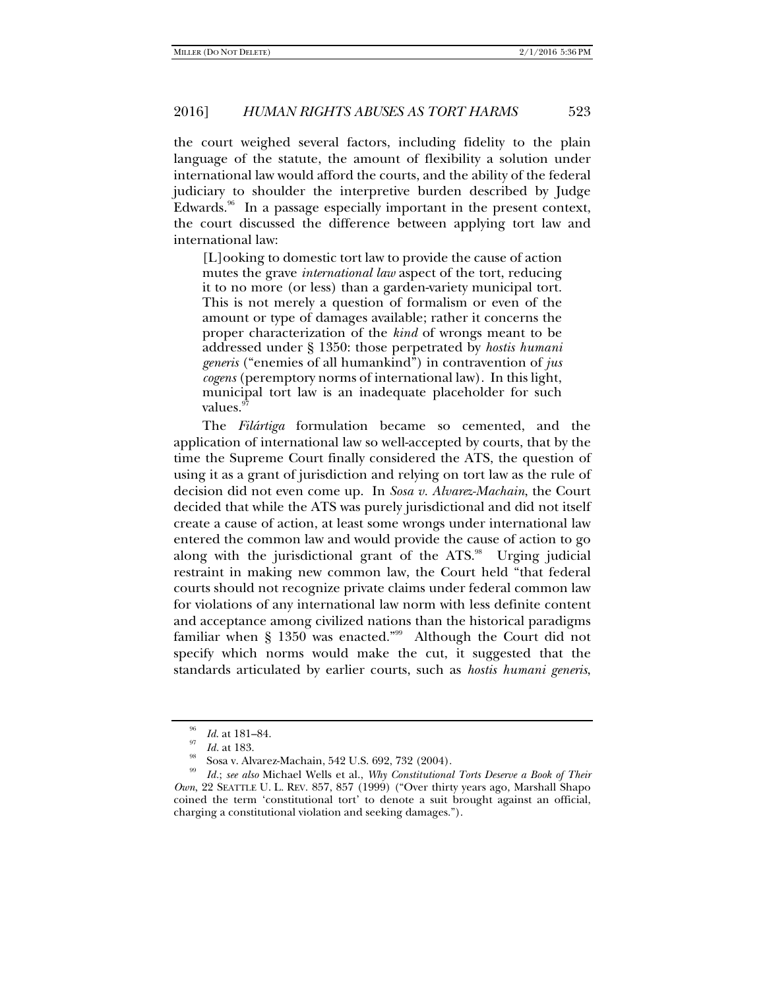the court weighed several factors, including fidelity to the plain language of the statute, the amount of flexibility a solution under international law would afford the courts, and the ability of the federal judiciary to shoulder the interpretive burden described by Judge Edwards. $96$  In a passage especially important in the present context, the court discussed the difference between applying tort law and international law:

[L]ooking to domestic tort law to provide the cause of action mutes the grave *international law* aspect of the tort, reducing it to no more (or less) than a garden-variety municipal tort. This is not merely a question of formalism or even of the amount or type of damages available; rather it concerns the proper characterization of the *kind* of wrongs meant to be addressed under § 1350: those perpetrated by *hostis humani generis* ("enemies of all humankind") in contravention of *jus cogens* (peremptory norms of international law). In this light, municipal tort law is an inadequate placeholder for such values.

The *Filártiga* formulation became so cemented, and the application of international law so well-accepted by courts, that by the time the Supreme Court finally considered the ATS, the question of using it as a grant of jurisdiction and relying on tort law as the rule of decision did not even come up. In *Sosa v. Alvarez-Machain*, the Court decided that while the ATS was purely jurisdictional and did not itself create a cause of action, at least some wrongs under international law entered the common law and would provide the cause of action to go along with the jurisdictional grant of the ATS.<sup>98</sup> Urging judicial restraint in making new common law, the Court held "that federal courts should not recognize private claims under federal common law for violations of any international law norm with less definite content and acceptance among civilized nations than the historical paradigms familiar when  $\S$  1350 was enacted."<sup>99</sup> Although the Court did not specify which norms would make the cut, it suggested that the standards articulated by earlier courts, such as *hostis humani generis*,

<sup>&</sup>lt;sup>96</sup> *Id.* at 181–84.<br><sup>97</sup> *Id.* at 183.

Sosa v. Alvarez-Machain, 542 U.S. 692, 732 (2004).

<sup>99</sup> *Id.*; *see also* Michael Wells et al., *Why Constitutional Torts Deserve a Book of Their Own*, 22 SEATTLE U. L. REV. 857, 857 (1999) ("Over thirty years ago, Marshall Shapo coined the term 'constitutional tort' to denote a suit brought against an official, charging a constitutional violation and seeking damages.").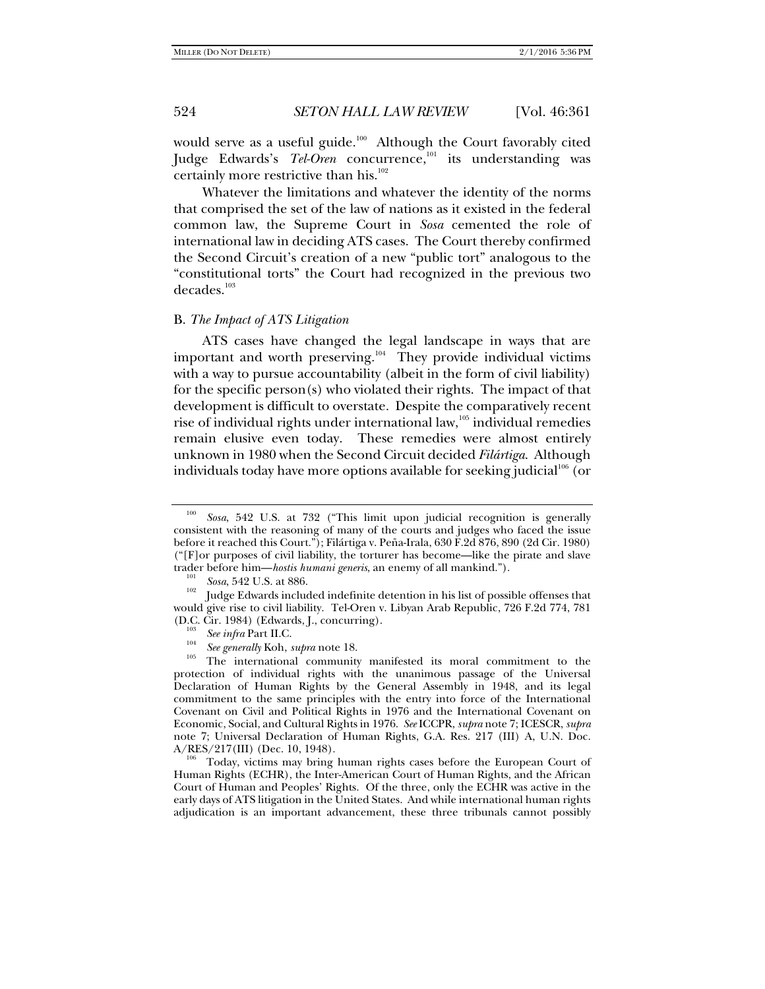would serve as a useful guide. $100$  Although the Court favorably cited Judge Edwards's Tel-Oren concurrence,<sup>101</sup> its understanding was certainly more restrictive than his.<sup>102</sup>

Whatever the limitations and whatever the identity of the norms that comprised the set of the law of nations as it existed in the federal common law, the Supreme Court in *Sosa* cemented the role of international law in deciding ATS cases. The Court thereby confirmed the Second Circuit's creation of a new "public tort" analogous to the "constitutional torts" the Court had recognized in the previous two decades.<sup>103</sup>

#### B. *The Impact of ATS Litigation*

ATS cases have changed the legal landscape in ways that are important and worth preserving.<sup>104</sup> They provide individual victims with a way to pursue accountability (albeit in the form of civil liability) for the specific person(s) who violated their rights. The impact of that development is difficult to overstate. Despite the comparatively recent rise of individual rights under international law,<sup>105</sup> individual remedies remain elusive even today. These remedies were almost entirely unknown in 1980 when the Second Circuit decided *Filártiga*. Although individuals today have more options available for seeking judicial $106$  (or

Today, victims may bring human rights cases before the European Court of Human Rights (ECHR), the Inter-American Court of Human Rights, and the African Court of Human and Peoples' Rights. Of the three, only the ECHR was active in the early days of ATS litigation in the United States. And while international human rights adjudication is an important advancement, these three tribunals cannot possibly

<sup>100</sup> *Sosa*, 542 U.S. at 732 ("This limit upon judicial recognition is generally consistent with the reasoning of many of the courts and judges who faced the issue before it reached this Court."); Filártiga v. Peña-Irala, 630 F.2d 876, 890 (2d Cir. 1980) ("[F]or purposes of civil liability, the torturer has become—like the pirate and slave trader before him—*hostis humani generis*, an enemy of all mankind.").<br><sup>101</sup> Sosa, 542 U.S. at 886.

<sup>&</sup>lt;sup>102</sup> Judge Edwards included indefinite detention in his list of possible offenses that would give rise to civil liability. Tel-Oren v. Libyan Arab Republic, 726 F.2d 774, 781  $(D.C. Cir. 1984)$  (Edwards, J., concurring).

<sup>&</sup>lt;sup>103</sup> *See infra* Part II.C.<br><sup>104</sup> *See generally* Koh, *supra* note 18.

<sup>&</sup>lt;sup>105</sup> The international community manifested its moral commitment to the protection of individual rights with the unanimous passage of the Universal Declaration of Human Rights by the General Assembly in 1948, and its legal commitment to the same principles with the entry into force of the International Covenant on Civil and Political Rights in 1976 and the International Covenant on Economic, Social, and Cultural Rights in 1976. *See* ICCPR, *supra* note 7; ICESCR, *supra*  note 7; Universal Declaration of Human Rights, G.A. Res. 217 (III) A, U.N. Doc.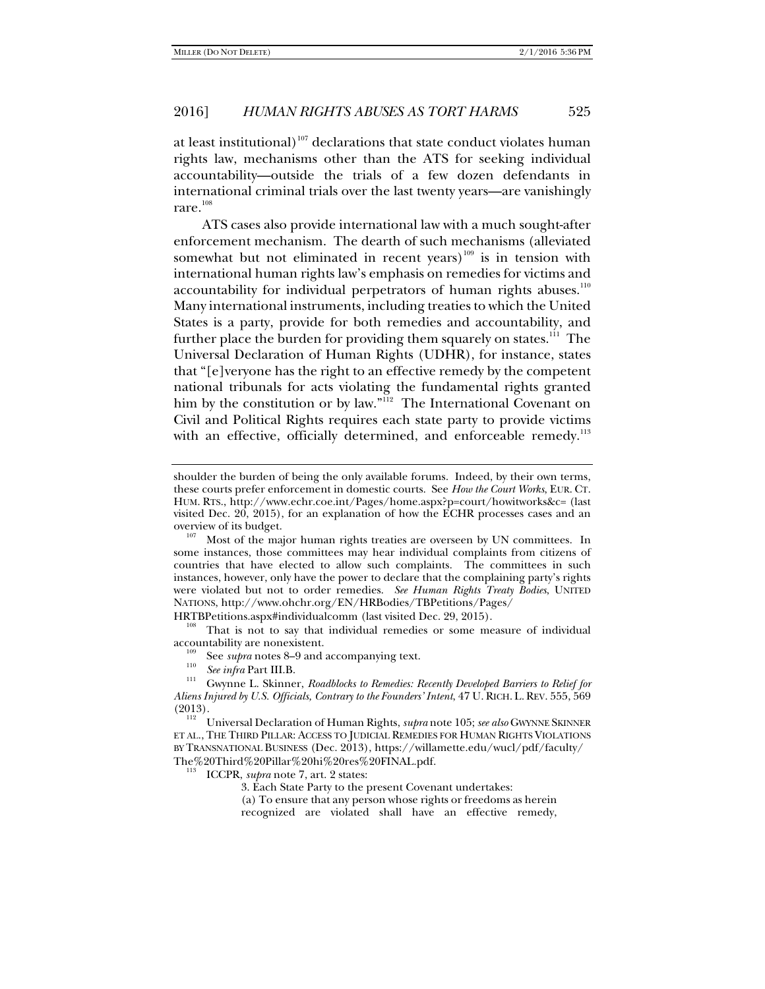at least institutional)<sup>107</sup> declarations that state conduct violates human rights law, mechanisms other than the ATS for seeking individual accountability—outside the trials of a few dozen defendants in international criminal trials over the last twenty years—are vanishingly rare.<sup>108</sup>

ATS cases also provide international law with a much sought-after enforcement mechanism. The dearth of such mechanisms (alleviated somewhat but not eliminated in recent years)<sup>109</sup> is in tension with international human rights law's emphasis on remedies for victims and accountability for individual perpetrators of human rights abuses.<sup>110</sup> Many international instruments, including treaties to which the United States is a party, provide for both remedies and accountability, and further place the burden for providing them squarely on states.<sup>111</sup> The Universal Declaration of Human Rights (UDHR), for instance, states that "[e]veryone has the right to an effective remedy by the competent national tribunals for acts violating the fundamental rights granted him by the constitution or by law."<sup>112</sup> The International Covenant on Civil and Political Rights requires each state party to provide victims with an effective, officially determined, and enforceable remedy.<sup>113</sup>

HRTBPetitions.aspx#individualcomm (last visited Dec. 29, 2015).<br><sup>108</sup> That is not to say that individual remedies or some measure of individual accountability are nonexistent.<br><sup>109</sup> See *supra* notes 8–9 and accompanying text.<br><sup>110</sup> *See infra* Part III.B. Cwynne L. Skinner, *Roadblocks to Remedies: Recently Developed Barriers to Relief for* 

- 
- 

(a) To ensure that any person whose rights or freedoms as herein recognized are violated shall have an effective remedy,

shoulder the burden of being the only available forums. Indeed, by their own terms, these courts prefer enforcement in domestic courts. See *How the Court Works*, EUR. CT. HUM. RTS., http://www.echr.coe.int/Pages/home.aspx?p=court/howitworks&c= (last visited Dec. 20, 2015), for an explanation of how the ECHR processes cases and an overview of its budget.

Most of the major human rights treaties are overseen by UN committees. In some instances, those committees may hear individual complaints from citizens of countries that have elected to allow such complaints. The committees in such instances, however, only have the power to declare that the complaining party's rights were violated but not to order remedies. *See Human Rights Treaty Bodies*, UNITED NATIONS, http://www.ohchr.org/EN/HRBodies/TBPetitions/Pages/

*Aliens Injured by U.S. Officials, Contrary to the Founders' Intent*, 47 U. RICH. L. REV. 555, 569 (2013). 112 Universal Declaration of Human Rights, *supra* note 105; *see also* GWYNNE SKINNER

ET AL., THE THIRD PILLAR: ACCESS TO JUDICIAL REMEDIES FOR HUMAN RIGHTS VIOLATIONS BY TRANSNATIONAL BUSINESS (Dec. 2013), https://willamette.edu/wucl/pdf/faculty/ The%20Third%20Pillar%20hi%20res%20FINAL.pdf. 113 ICCPR, *supra* note 7, art. 2 states:

<sup>3.</sup> Each State Party to the present Covenant undertakes: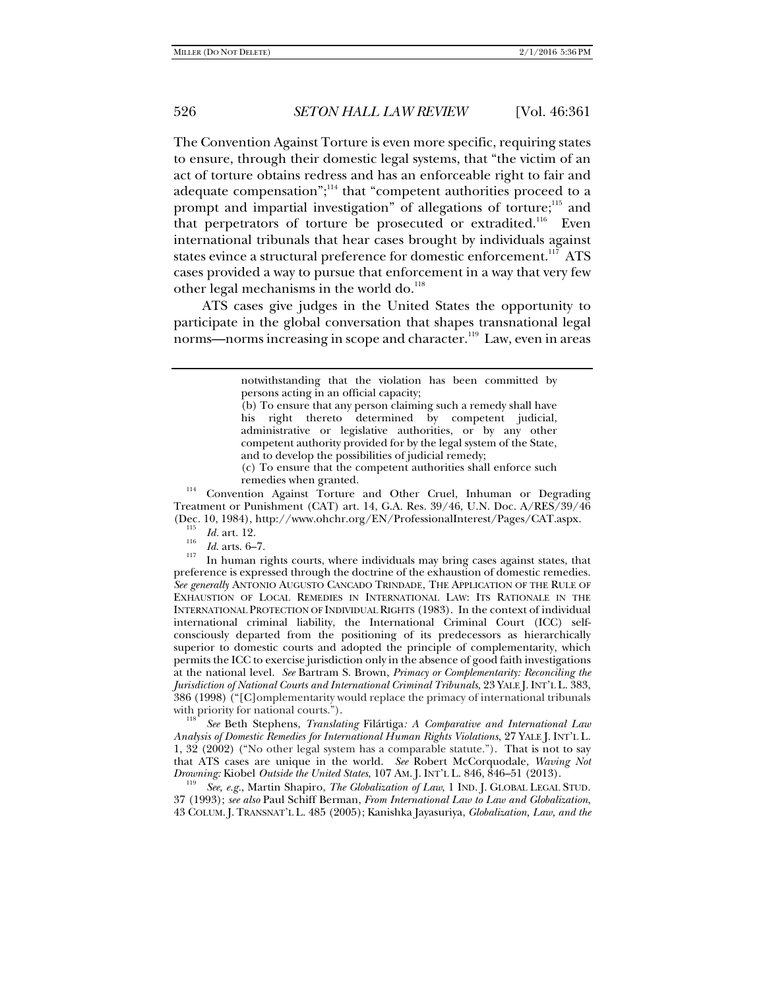The Convention Against Torture is even more specific, requiring states to ensure, through their domestic legal systems, that "the victim of an act of torture obtains redress and has an enforceable right to fair and adequate compensation";<sup>114</sup> that "competent authorities proceed to a prompt and impartial investigation" of allegations of torture;<sup>115</sup> and that perpetrators of torture be prosecuted or extradited.<sup>116</sup> Even international tribunals that hear cases brought by individuals against states evince a structural preference for domestic enforcement.<sup>117</sup> ATS cases provided a way to pursue that enforcement in a way that very few other legal mechanisms in the world do.<sup>118</sup>

ATS cases give judges in the United States the opportunity to participate in the global conversation that shapes transnational legal norms—norms increasing in scope and character.<sup>119</sup> Law, even in areas

remedies when granted. 114 Convention Against Torture and Other Cruel, Inhuman or Degrading Treatment or Punishment (CAT) art. 14, G.A. Res. 39/46, U.N. Doc. A/RES/39/46 (Dec. 10, 1984), http://www.ohchr.org/EN/ProfessionalInterest/Pages/CAT.aspx. 115

*Id*. In human rights courts, where individuals may bring cases against states, that preference is expressed through the doctrine of the exhaustion of domestic remedies. *See generally* ANTONIO AUGUSTO CANCADO TRINDADE, THE APPLICATION OF THE RULE OF EXHAUSTION OF LOCAL REMEDIES IN INTERNATIONAL LAW: ITS RATIONALE IN THE INTERNATIONAL PROTECTION OF INDIVIDUAL RIGHTS (1983). In the context of individual international criminal liability, the International Criminal Court (ICC) selfconsciously departed from the positioning of its predecessors as hierarchically superior to domestic courts and adopted the principle of complementarity, which permits the ICC to exercise jurisdiction only in the absence of good faith investigations at the national level. *See* Bartram S. Brown, *Primacy or Complementarity: Reconciling the Jurisdiction of National Courts and International Criminal Tribunals*, 23 YALE J.INT'L L. 383, 386 (1998) ("[C]omplementarity would replace the primacy of international tribunals with priority for national courts.").<br><sup>118</sup> *See* Beth Stephens, *Translating Filártiga: A Comparative and International Law* 

*Analysis of Domestic Remedies for International Human Rights Violations*, 27 YALE J. INT'L L. 1, 32 (2002) ("No other legal system has a comparable statute."). That is not to say that ATS cases are unique in the world. *See* Robert McCorquodale, *Waving Not Drowning: Kiobel Outside the United States*, 107 AM. J. INT'L L. 846, 846–51 (2013).

*See, e.g., Martin Shapiro, The Globalization of Law, 1 IND. J. GLOBAL LEGAL STUD.* 37 (1993); *see also* Paul Schiff Berman, *From International Law to Law and Globalization*, 43 COLUM. J. TRANSNAT'L L. 485 (2005); Kanishka Jayasuriya, *Globalization, Law, and the* 

notwithstanding that the violation has been committed by persons acting in an official capacity;

<sup>(</sup>b) To ensure that any person claiming such a remedy shall have his right thereto determined by competent judicial, administrative or legislative authorities, or by any other competent authority provided for by the legal system of the State, and to develop the possibilities of judicial remedy;

<sup>(</sup>c) To ensure that the competent authorities shall enforce such

 $\frac{115}{116}$  *Id.* art. 12.<br>*Id.* arts. 6–7.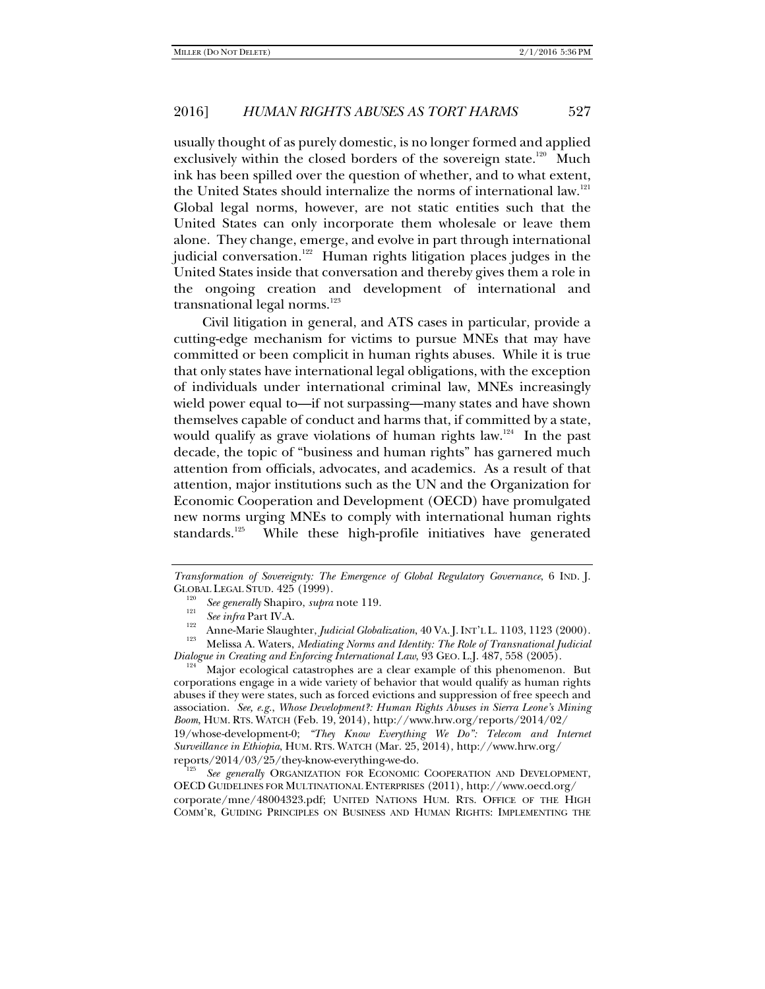usually thought of as purely domestic, is no longer formed and applied exclusively within the closed borders of the sovereign state.<sup>120</sup> Much ink has been spilled over the question of whether, and to what extent, the United States should internalize the norms of international law.<sup>121</sup> Global legal norms, however, are not static entities such that the United States can only incorporate them wholesale or leave them alone. They change, emerge, and evolve in part through international judicial conversation.<sup>122</sup> Human rights litigation places judges in the United States inside that conversation and thereby gives them a role in the ongoing creation and development of international and transnational legal norms.<sup>123</sup>

Civil litigation in general, and ATS cases in particular, provide a cutting-edge mechanism for victims to pursue MNEs that may have committed or been complicit in human rights abuses. While it is true that only states have international legal obligations, with the exception of individuals under international criminal law, MNEs increasingly wield power equal to—if not surpassing—many states and have shown themselves capable of conduct and harms that, if committed by a state, would qualify as grave violations of human rights law.<sup>124</sup> In the past decade, the topic of "business and human rights" has garnered much attention from officials, advocates, and academics. As a result of that attention, major institutions such as the UN and the Organization for Economic Cooperation and Development (OECD) have promulgated new norms urging MNEs to comply with international human rights standards.<sup>125</sup> While these high-profile initiatives have generated

corporations engage in a wide variety of behavior that would qualify as human rights abuses if they were states, such as forced evictions and suppression of free speech and association. *See, e.g.*, *Whose Development?: Human Rights Abuses in Sierra Leone's Mining Boom*, HUM. RTS. WATCH (Feb. 19, 2014), http://www.hrw.org/reports/2014/02/ 19/whose-development-0; *"They Know Everything We Do": Telecom and Internet Surveillance in Ethiopia*, HUM. RTS. WATCH (Mar. 25, 2014), http://www.hrw.org/ reports/2014/03/25/they-know-everything-we-do.

 *See generally* ORGANIZATION FOR ECONOMIC COOPERATION AND DEVELOPMENT, OECD GUIDELINES FOR MULTINATIONAL ENTERPRISES (2011), http://www.oecd.org/ corporate/mne/48004323.pdf; UNITED NATIONS HUM. RTS. OFFICE OF THE HIGH COMM'R, GUIDING PRINCIPLES ON BUSINESS AND HUMAN RIGHTS: IMPLEMENTING THE

*Transformation of Sovereignty: The Emergence of Global Regulatory Governance*, 6 IND. J. GLOBAL LEGAL STUD.  $425$  (1999).<br><sup>120</sup> See generally Shapiro, supra note 119.

 $\begin{array}{lll}\n\text{See} & \text{intra} & \text{intra} & \text{intra} \\
\text{See} & \text{infra} & \text{Part IV.A.} \\
\text{Anne-Marie Slaughter, *Judicial Globalization*, 40 VA. J. INT'L.L. 1103, 1123 (2000). \\
\text{Melissa A. Waters, *Mediating Norm and Identity: The Role of Transnational*, *Judicial*\n$ *Dialogue in Creating and Enforcing International Law*, 93 GEO. L.J. 487, 558 (2005).<br><sup>124</sup> Major ecological catastrophes are a clear example of this phenomenon. But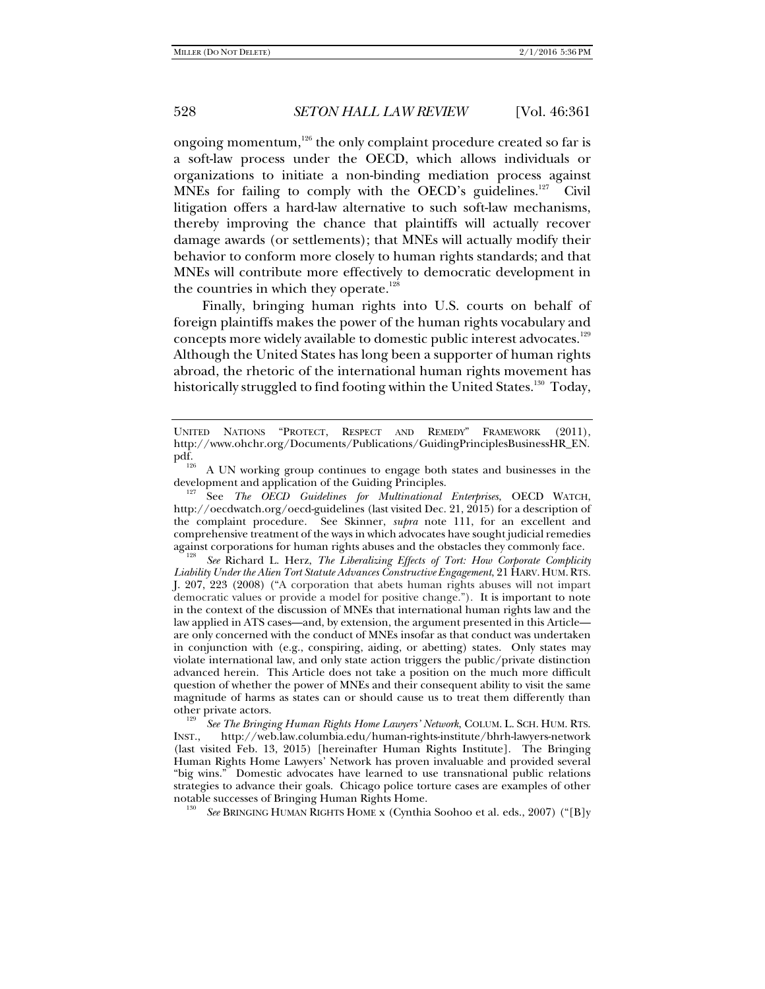ongoing momentum, $126$  the only complaint procedure created so far is a soft-law process under the OECD, which allows individuals or organizations to initiate a non-binding mediation process against MNEs for failing to comply with the OECD's guidelines.<sup>127</sup> Civil litigation offers a hard-law alternative to such soft-law mechanisms, thereby improving the chance that plaintiffs will actually recover damage awards (or settlements); that MNEs will actually modify their behavior to conform more closely to human rights standards; and that MNEs will contribute more effectively to democratic development in the countries in which they operate.<sup>128</sup>

Finally, bringing human rights into U.S. courts on behalf of foreign plaintiffs makes the power of the human rights vocabulary and concepts more widely available to domestic public interest advocates.<sup>129</sup> Although the United States has long been a supporter of human rights abroad, the rhetoric of the international human rights movement has historically struggled to find footing within the United States.<sup>130</sup> Today,

against corporations for human rights abuses and the obstacles they commonly face. 128 *See* Richard L. Herz, *The Liberalizing Effects of Tort: How Corporate Complicity Liability Under the Alien Tort Statute Advances Constructive Engagement*, 21 HARV. HUM.RTS. J. 207, 223 (2008) ("A corporation that abets human rights abuses will not impart democratic values or provide a model for positive change."). It is important to note in the context of the discussion of MNEs that international human rights law and the law applied in ATS cases—and, by extension, the argument presented in this Article are only concerned with the conduct of MNEs insofar as that conduct was undertaken in conjunction with (e.g., conspiring, aiding, or abetting) states. Only states may violate international law, and only state action triggers the public/private distinction advanced herein. This Article does not take a position on the much more difficult question of whether the power of MNEs and their consequent ability to visit the same magnitude of harms as states can or should cause us to treat them differently than other private actors. 129 *See The Bringing Human Rights Home Lawyers' Network*, COLUM. L. SCH. HUM. RTS.

INST., http://web.law.columbia.edu/human-rights-institute/bhrh-lawyers-network (last visited Feb. 13, 2015) [hereinafter Human Rights Institute]. The Bringing Human Rights Home Lawyers' Network has proven invaluable and provided several "big wins." Domestic advocates have learned to use transnational public relations strategies to advance their goals. Chicago police torture cases are examples of other notable successes of Bringing Human Rights Home.

*See* BRINGING HUMAN RIGHTS HOME x (Cynthia Soohoo et al. eds., 2007) ("[B]y

UNITED NATIONS "PROTECT, RESPECT AND REMEDY" FRAMEWORK (2011), http://www.ohchr.org/Documents/Publications/GuidingPrinciplesBusinessHR\_EN.<br>pdf.

 $p_{\text{20}}$  A UN working group continues to engage both states and businesses in the development and application of the Guiding Principles.

See The OECD Guidelines for Multinational Enterprises, OECD WATCH, http://oecdwatch.org/oecd-guidelines (last visited Dec. 21, 2015) for a description of the complaint procedure. See Skinner, *supra* note 111, for an excellent and comprehensive treatment of the ways in which advocates have sought judicial remedies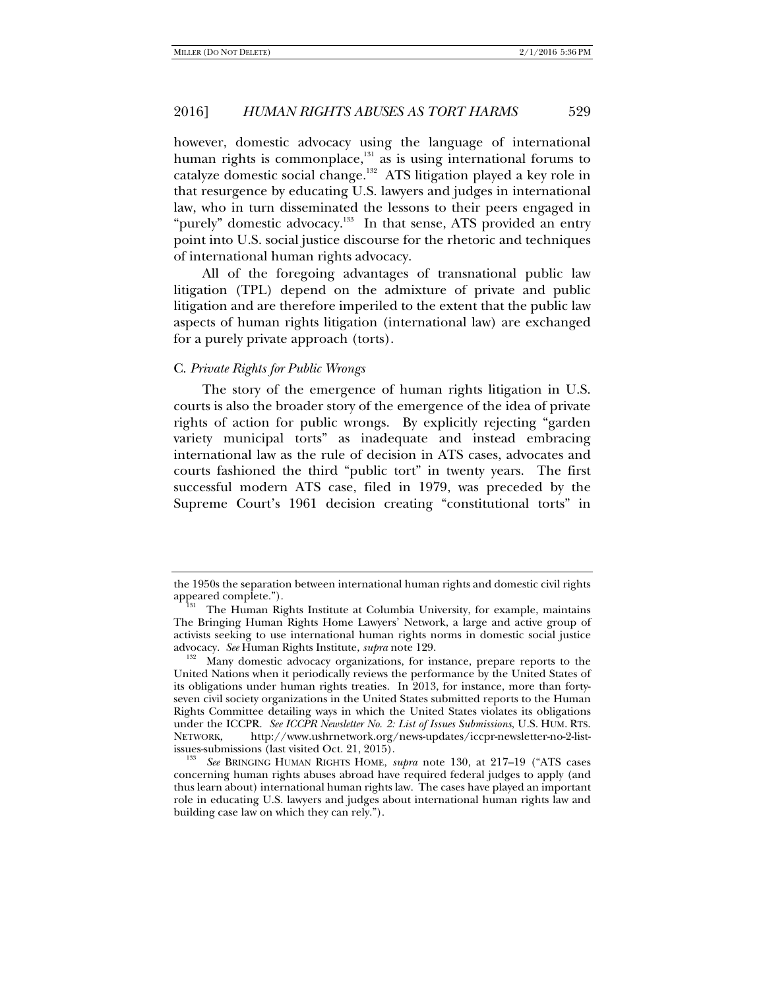however, domestic advocacy using the language of international human rights is commonplace, $131$  as is using international forums to catalyze domestic social change.<sup>132</sup> ATS litigation played a key role in that resurgence by educating U.S. lawyers and judges in international law, who in turn disseminated the lessons to their peers engaged in "purely" domestic advocacy.<sup>133</sup> In that sense, ATS provided an entry point into U.S. social justice discourse for the rhetoric and techniques of international human rights advocacy.

All of the foregoing advantages of transnational public law litigation (TPL) depend on the admixture of private and public litigation and are therefore imperiled to the extent that the public law aspects of human rights litigation (international law) are exchanged for a purely private approach (torts).

#### C. *Private Rights for Public Wrongs*

The story of the emergence of human rights litigation in U.S. courts is also the broader story of the emergence of the idea of private rights of action for public wrongs. By explicitly rejecting "garden variety municipal torts" as inadequate and instead embracing international law as the rule of decision in ATS cases, advocates and courts fashioned the third "public tort" in twenty years. The first successful modern ATS case, filed in 1979, was preceded by the Supreme Court's 1961 decision creating "constitutional torts" in

the 1950s the separation between international human rights and domestic civil rights

The Human Rights Institute at Columbia University, for example, maintains The Bringing Human Rights Home Lawyers' Network, a large and active group of activists seeking to use international human rights norms in domestic social justice advocacy. *See* Human Rights Institute, *supra* note 129.<br><sup>132</sup> Many domestic advocacy organizations, for instance, prepare reports to the

United Nations when it periodically reviews the performance by the United States of its obligations under human rights treaties. In 2013, for instance, more than fortyseven civil society organizations in the United States submitted reports to the Human Rights Committee detailing ways in which the United States violates its obligations under the ICCPR. *See ICCPR Newsletter No. 2: List of Issues Submissions*, U.S. HUM. RTS. http://www.ushrnetwork.org/news-updates/iccpr-newsletter-no-2-listissues-submissions (last visited Oct. 21, 2015).

*See* BRINGING HUMAN RIGHTS HOME, *supra* note 130, at 217–19 ("ATS cases concerning human rights abuses abroad have required federal judges to apply (and thus learn about) international human rights law. The cases have played an important role in educating U.S. lawyers and judges about international human rights law and building case law on which they can rely.").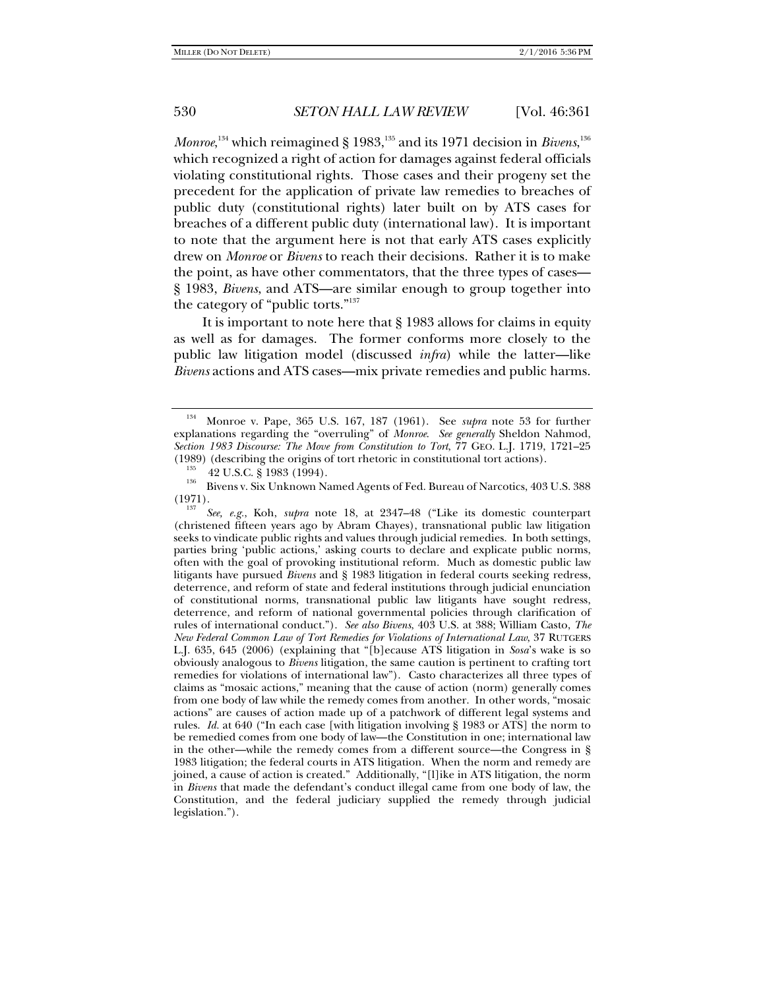*Monroe,* $^{134}$  which reimagined § 1983, $^{135}$  and its 1971 decision in *Bivens*, $^{136}$ which recognized a right of action for damages against federal officials violating constitutional rights. Those cases and their progeny set the precedent for the application of private law remedies to breaches of public duty (constitutional rights) later built on by ATS cases for breaches of a different public duty (international law). It is important to note that the argument here is not that early ATS cases explicitly drew on *Monroe* or *Bivens* to reach their decisions. Rather it is to make the point, as have other commentators, that the three types of cases— § 1983, *Bivens*, and ATS—are similar enough to group together into the category of "public torts."137

It is important to note here that § 1983 allows for claims in equity as well as for damages. The former conforms more closely to the public law litigation model (discussed *infra*) while the latter—like *Bivens* actions and ATS cases—mix private remedies and public harms.

<sup>134</sup> Monroe v. Pape, 365 U.S. 167, 187 (1961). See *supra* note 53 for further explanations regarding the "overruling" of *Monroe*. *See generally* Sheldon Nahmod, *Section 1983 Discourse: The Move from Constitution to Tort*, 77 GEO. L.J. 1719, 1721–25 (1989) (describing the origins of tort rhetoric in constitutional tort actions).

 $\begin{array}{ll} \text{135} & 42 \text{ U.S.C.} \text{ \& 1983 (1994). \ \text{136} & \text{Bivens v. Six Unknown Named Agents of Fed. Bureau of Narcotics, 403 U.S. 388. \end{array}$  $(1971)$ .

*See, e.g.*, Koh, *supra* note 18, at 2347–48 ("Like its domestic counterpart (christened fifteen years ago by Abram Chayes), transnational public law litigation seeks to vindicate public rights and values through judicial remedies. In both settings, parties bring 'public actions,' asking courts to declare and explicate public norms, often with the goal of provoking institutional reform. Much as domestic public law litigants have pursued *Bivens* and § 1983 litigation in federal courts seeking redress, deterrence, and reform of state and federal institutions through judicial enunciation of constitutional norms, transnational public law litigants have sought redress, deterrence, and reform of national governmental policies through clarification of rules of international conduct."). *See also Bivens*, 403 U.S. at 388; William Casto, *The New Federal Common Law of Tort Remedies for Violations of International Law*, 37 RUTGERS L.J. 635, 645 (2006) (explaining that "[b]ecause ATS litigation in *Sosa*'s wake is so obviously analogous to *Bivens* litigation, the same caution is pertinent to crafting tort remedies for violations of international law"). Casto characterizes all three types of claims as "mosaic actions," meaning that the cause of action (norm) generally comes from one body of law while the remedy comes from another. In other words, "mosaic actions" are causes of action made up of a patchwork of different legal systems and rules. *Id.* at 640 ("In each case [with litigation involving § 1983 or ATS] the norm to be remedied comes from one body of law—the Constitution in one; international law in the other—while the remedy comes from a different source—the Congress in § 1983 litigation; the federal courts in ATS litigation. When the norm and remedy are joined, a cause of action is created." Additionally, "[l]ike in ATS litigation, the norm in *Bivens* that made the defendant's conduct illegal came from one body of law, the Constitution, and the federal judiciary supplied the remedy through judicial legislation.").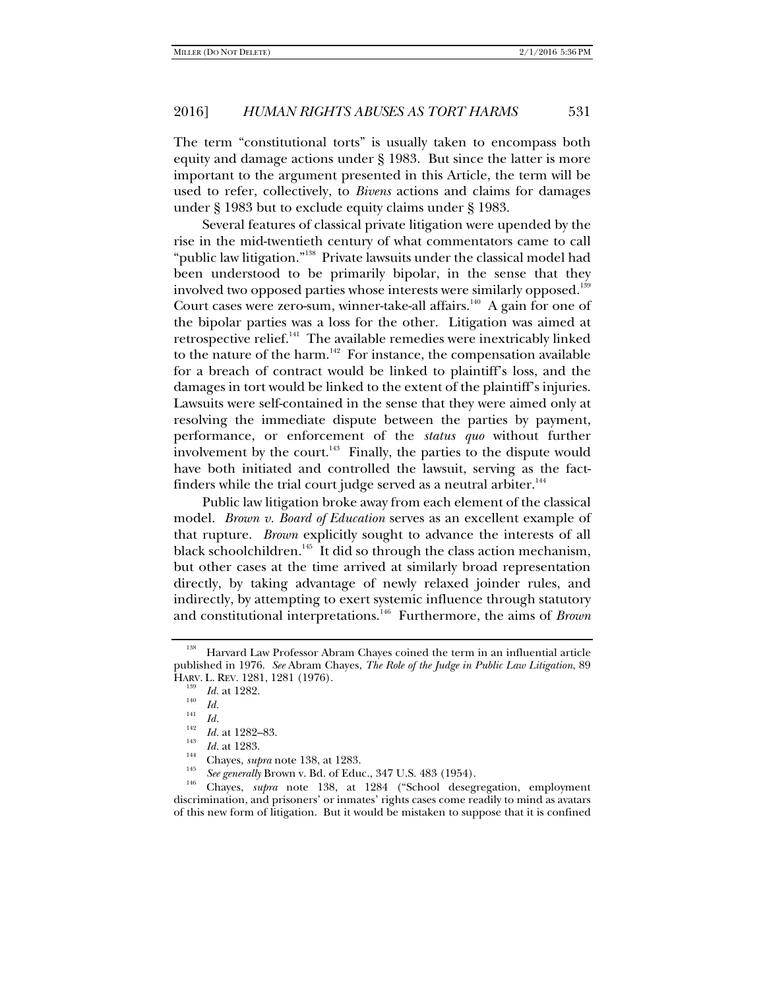The term "constitutional torts" is usually taken to encompass both equity and damage actions under § 1983. But since the latter is more important to the argument presented in this Article, the term will be used to refer, collectively, to *Bivens* actions and claims for damages under § 1983 but to exclude equity claims under § 1983.

Several features of classical private litigation were upended by the rise in the mid-twentieth century of what commentators came to call "public law litigation."138 Private lawsuits under the classical model had been understood to be primarily bipolar, in the sense that they involved two opposed parties whose interests were similarly opposed.<sup>139</sup> Court cases were zero-sum, winner-take-all affairs.<sup>140</sup> A gain for one of the bipolar parties was a loss for the other. Litigation was aimed at retrospective relief.<sup>141</sup> The available remedies were inextricably linked to the nature of the harm.<sup>142</sup> For instance, the compensation available for a breach of contract would be linked to plaintiff's loss, and the damages in tort would be linked to the extent of the plaintiff's injuries. Lawsuits were self-contained in the sense that they were aimed only at resolving the immediate dispute between the parties by payment, performance, or enforcement of the *status quo* without further involvement by the court. $143$  Finally, the parties to the dispute would have both initiated and controlled the lawsuit, serving as the factfinders while the trial court judge served as a neutral arbiter. $144$ 

Public law litigation broke away from each element of the classical model. *Brown v. Board of Education* serves as an excellent example of that rupture. *Brown* explicitly sought to advance the interests of all black schoolchildren.<sup>145</sup> It did so through the class action mechanism, but other cases at the time arrived at similarly broad representation directly, by taking advantage of newly relaxed joinder rules, and indirectly, by attempting to exert systemic influence through statutory and constitutional interpretations.146 Furthermore, the aims of *Brown* 

<sup>146</sup> Chayes, *supra* note 138, at 1284 ("School desegregation, employment discrimination, and prisoners' or inmates' rights cases come readily to mind as avatars of this new form of litigation. But it would be mistaken to suppose that it is confined

<sup>&</sup>lt;sup>138</sup> Harvard Law Professor Abram Chayes coined the term in an influential article published in 1976. *See* Abram Chayes, *The Role of the Judge in Public Law Litigation*, 89 HARV. L. REV. 1281, 1281 (1976).

<sup>&</sup>lt;sup>139</sup> *Id.* at 1282.<br>
<sup>140</sup> *Id.*<br>
<sup>142</sup> *Id.* at 1282–83.

*Id.* at 1283.<br><sup>144</sup> Chayes, *supra* note 138, at 1283.<br><sup>145</sup> *See generally* Brown v. Bd. of Educ., 347 U.S. 483 (1954).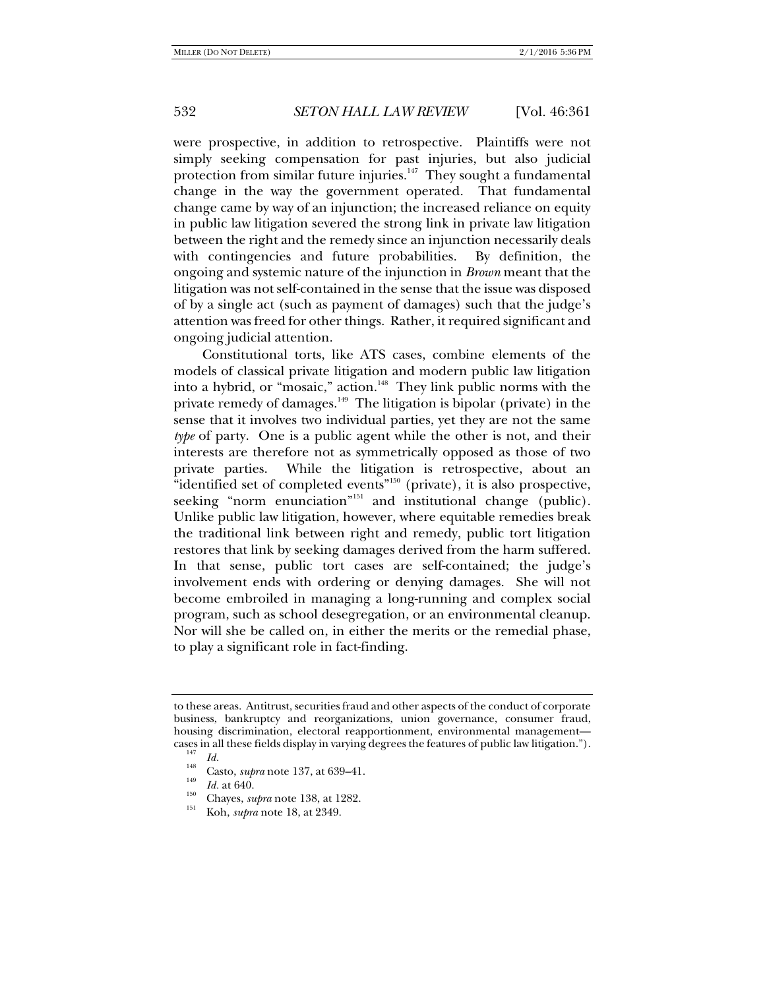were prospective, in addition to retrospective. Plaintiffs were not simply seeking compensation for past injuries, but also judicial protection from similar future injuries.<sup>147</sup> They sought a fundamental change in the way the government operated. That fundamental change came by way of an injunction; the increased reliance on equity in public law litigation severed the strong link in private law litigation between the right and the remedy since an injunction necessarily deals with contingencies and future probabilities. By definition, the ongoing and systemic nature of the injunction in *Brown* meant that the litigation was not self-contained in the sense that the issue was disposed of by a single act (such as payment of damages) such that the judge's attention was freed for other things. Rather, it required significant and ongoing judicial attention.

Constitutional torts, like ATS cases, combine elements of the models of classical private litigation and modern public law litigation into a hybrid, or "mosaic," action. $148$  They link public norms with the private remedy of damages.<sup>149</sup> The litigation is bipolar (private) in the sense that it involves two individual parties, yet they are not the same *type* of party. One is a public agent while the other is not, and their interests are therefore not as symmetrically opposed as those of two private parties. While the litigation is retrospective, about an "identified set of completed events"150 (private), it is also prospective, seeking "norm enunciation"<sup>151</sup> and institutional change (public). Unlike public law litigation, however, where equitable remedies break the traditional link between right and remedy, public tort litigation restores that link by seeking damages derived from the harm suffered. In that sense, public tort cases are self-contained; the judge's involvement ends with ordering or denying damages. She will not become embroiled in managing a long-running and complex social program, such as school desegregation, or an environmental cleanup. Nor will she be called on, in either the merits or the remedial phase, to play a significant role in fact-finding.

to these areas. Antitrust, securities fraud and other aspects of the conduct of corporate business, bankruptcy and reorganizations, union governance, consumer fraud, housing discrimination, electoral reapportionment, environmental management cases in all these fields display in varying degrees the features of public law litigation.").<br><sup>147</sup> *Id.* Casto, *supra* note 137, at 639–41.<br><sup>149</sup> *Id.* at 640.

<sup>&</sup>lt;sup>150</sup> Chayes, *supra* note 138, at 1282.<br><sup>151</sup> Koh, *supra* note 18, at 2349.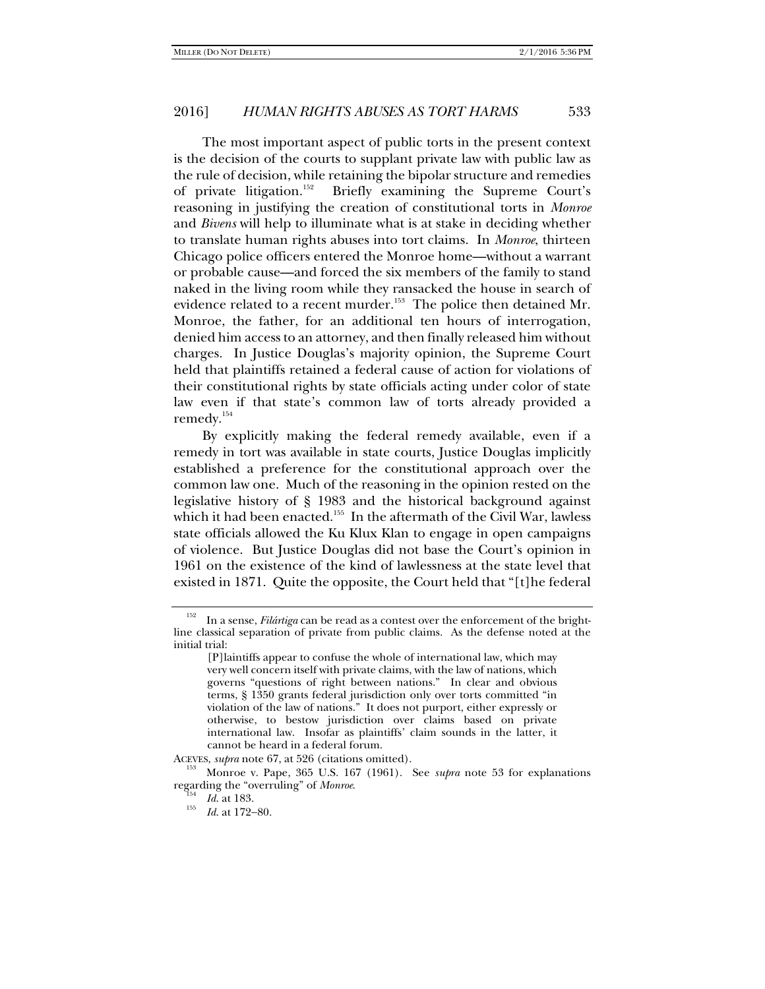The most important aspect of public torts in the present context is the decision of the courts to supplant private law with public law as the rule of decision, while retaining the bipolar structure and remedies of private litigation.<sup>152</sup> Briefly examining the Supreme Court's reasoning in justifying the creation of constitutional torts in *Monroe*  and *Bivens* will help to illuminate what is at stake in deciding whether to translate human rights abuses into tort claims. In *Monroe*, thirteen Chicago police officers entered the Monroe home—without a warrant or probable cause—and forced the six members of the family to stand naked in the living room while they ransacked the house in search of evidence related to a recent murder.<sup>153</sup> The police then detained Mr. Monroe, the father, for an additional ten hours of interrogation, denied him access to an attorney, and then finally released him without charges. In Justice Douglas's majority opinion, the Supreme Court held that plaintiffs retained a federal cause of action for violations of their constitutional rights by state officials acting under color of state law even if that state's common law of torts already provided a remedy.154

By explicitly making the federal remedy available, even if a remedy in tort was available in state courts, Justice Douglas implicitly established a preference for the constitutional approach over the common law one. Much of the reasoning in the opinion rested on the legislative history of § 1983 and the historical background against which it had been enacted.<sup>155</sup> In the aftermath of the Civil War, lawless state officials allowed the Ku Klux Klan to engage in open campaigns of violence. But Justice Douglas did not base the Court's opinion in 1961 on the existence of the kind of lawlessness at the state level that existed in 1871. Quite the opposite, the Court held that "[t]he federal

<sup>152</sup> In a sense, *Filártiga* can be read as a contest over the enforcement of the brightline classical separation of private from public claims. As the defense noted at the initial trial:

<sup>[</sup>P]laintiffs appear to confuse the whole of international law, which may very well concern itself with private claims, with the law of nations, which governs "questions of right between nations." In clear and obvious terms, § 1350 grants federal jurisdiction only over torts committed "in violation of the law of nations." It does not purport, either expressly or otherwise, to bestow jurisdiction over claims based on private international law. Insofar as plaintiffs' claim sounds in the latter, it cannot be heard in a federal forum.

ACEVES, *supra* note 67, at 526 (citations omitted). 153 Monroe v. Pape, 365 U.S. 167 (1961). See *supra* note 53 for explanations regarding the "overruling" of *Monroe*.<br>
<sup>154</sup> *Id.* at 183.

*Id.* at 172-80.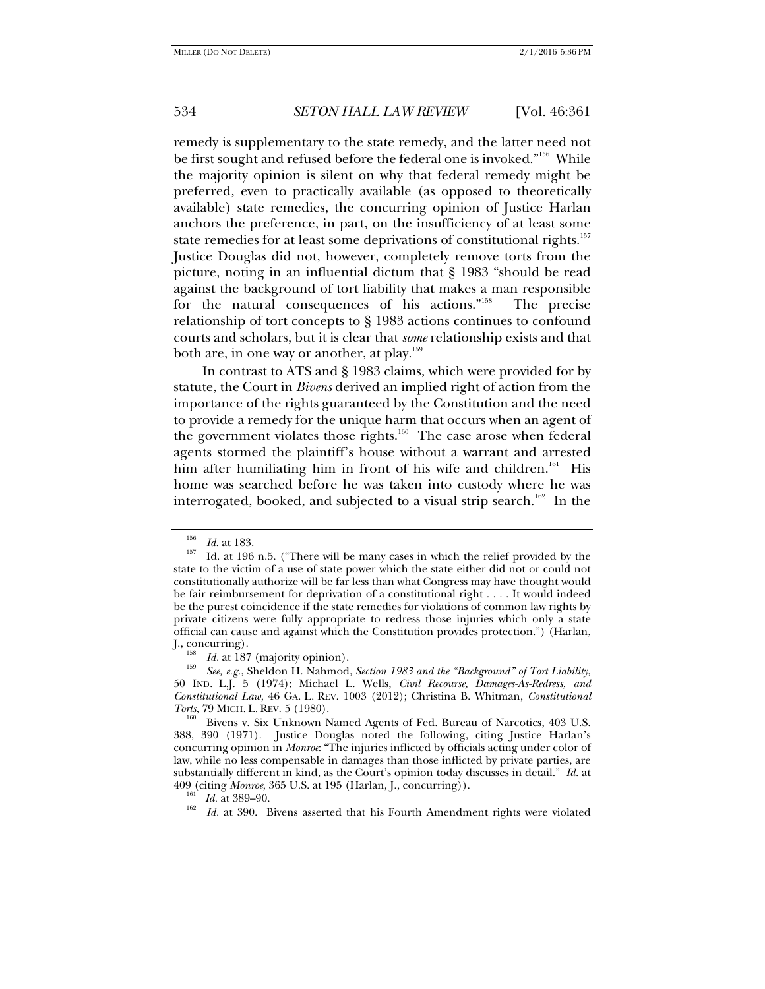remedy is supplementary to the state remedy, and the latter need not be first sought and refused before the federal one is invoked."<sup>156</sup> While the majority opinion is silent on why that federal remedy might be preferred, even to practically available (as opposed to theoretically available) state remedies, the concurring opinion of Justice Harlan anchors the preference, in part, on the insufficiency of at least some state remedies for at least some deprivations of constitutional rights.<sup>157</sup> Justice Douglas did not, however, completely remove torts from the picture, noting in an influential dictum that § 1983 "should be read against the background of tort liability that makes a man responsible for the natural consequences of his actions."158 The precise relationship of tort concepts to § 1983 actions continues to confound courts and scholars, but it is clear that *some* relationship exists and that both are, in one way or another, at play.<sup>159</sup>

In contrast to ATS and § 1983 claims, which were provided for by statute, the Court in *Bivens* derived an implied right of action from the importance of the rights guaranteed by the Constitution and the need to provide a remedy for the unique harm that occurs when an agent of the government violates those rights.<sup>160</sup> The case arose when federal agents stormed the plaintiff's house without a warrant and arrested him after humiliating him in front of his wife and children.<sup>161</sup> His home was searched before he was taken into custody where he was interrogated, booked, and subjected to a visual strip search.<sup>162</sup> In the

<sup>&</sup>lt;sup>156</sup> *Id.* at 183.<br><sup>157</sup> Id. at 196 n.5. ("There will be many cases in which the relief provided by the state to the victim of a use of state power which the state either did not or could not constitutionally authorize will be far less than what Congress may have thought would be fair reimbursement for deprivation of a constitutional right . . . . It would indeed be the purest coincidence if the state remedies for violations of common law rights by private citizens were fully appropriate to redress those injuries which only a state official can cause and against which the Constitution provides protection.") (Harlan,

<sup>&</sup>lt;sup>158</sup> *Id.* at 187 (majority opinion).<br><sup>159</sup> *See, e.g.*, Sheldon H. Nahmod, *Section 1983 and the "Background" of Tort Liability*, 50 IND. L.J. 5 (1974); Michael L. Wells, *Civil Recourse, Damages-As-Redress, and Constitutional Law*, 46 GA. L. REV. 1003 (2012); Christina B. Whitman, *Constitutional Torts*, 79 MICH. L. REV. 5 (1980).<br><sup>160</sup> Bivens v. Six Unknown Named Agents of Fed. Bureau of Narcotics, 403 U.S.

<sup>388, 390 (1971).</sup> Justice Douglas noted the following, citing Justice Harlan's concurring opinion in *Monroe*: "The injuries inflicted by officials acting under color of law, while no less compensable in damages than those inflicted by private parties, are substantially different in kind, as the Court's opinion today discusses in detail." *Id.* at 409 (citing *Monroe*, 365 U.S. at 195 (Harlan, J., concurring)).<br><sup>161</sup> *Id.* at 389–90.<br><sup>162</sup> *Id.* at 300. Bivons asserted that his Fourth Amondm

*Id.* at 390. Bivens asserted that his Fourth Amendment rights were violated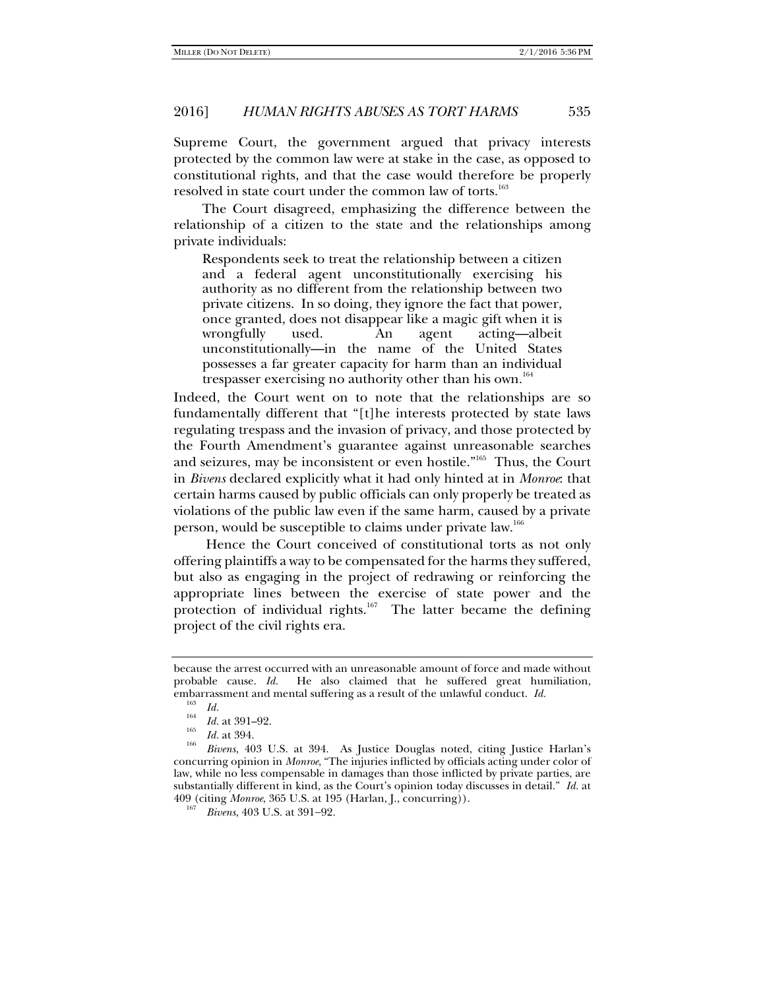Supreme Court, the government argued that privacy interests protected by the common law were at stake in the case, as opposed to constitutional rights, and that the case would therefore be properly resolved in state court under the common law of torts.<sup>163</sup>

The Court disagreed, emphasizing the difference between the relationship of a citizen to the state and the relationships among private individuals:

Respondents seek to treat the relationship between a citizen and a federal agent unconstitutionally exercising his authority as no different from the relationship between two private citizens. In so doing, they ignore the fact that power, once granted, does not disappear like a magic gift when it is wrongfully used. An agent acting—albeit unconstitutionally—in the name of the United States possesses a far greater capacity for harm than an individual trespasser exercising no authority other than his own.<sup>164</sup>

Indeed, the Court went on to note that the relationships are so fundamentally different that "[t]he interests protected by state laws regulating trespass and the invasion of privacy, and those protected by the Fourth Amendment's guarantee against unreasonable searches and seizures, may be inconsistent or even hostile."165 Thus, the Court in *Bivens* declared explicitly what it had only hinted at in *Monroe*: that certain harms caused by public officials can only properly be treated as violations of the public law even if the same harm, caused by a private person, would be susceptible to claims under private law.166

 Hence the Court conceived of constitutional torts as not only offering plaintiffs a way to be compensated for the harms they suffered, but also as engaging in the project of redrawing or reinforcing the appropriate lines between the exercise of state power and the protection of individual rights.<sup>167</sup> The latter became the defining project of the civil rights era.

because the arrest occurred with an unreasonable amount of force and made without probable cause. *Id.* He also claimed that he suffered great humiliation, embarrassment and mental suffering as a result of the unlawful conduct. *Id.* 

 $\frac{103}{164}$  *Id.* 

<sup>&</sup>lt;sup>164</sup> *Id.* at 391–92.<br> *Id.* at 394.<br> *Pingre 403* **I** 

*Bivens*, 403 U.S. at 394. As Justice Douglas noted, citing Justice Harlan's concurring opinion in *Monroe*, "The injuries inflicted by officials acting under color of law, while no less compensable in damages than those inflicted by private parties, are substantially different in kind, as the Court's opinion today discusses in detail." *Id.* at 409 (citing *Monroe*, 365 U.S. at 195 (Harlan, J., concurring)).

*Bivens*, 403 U.S. at 391-92.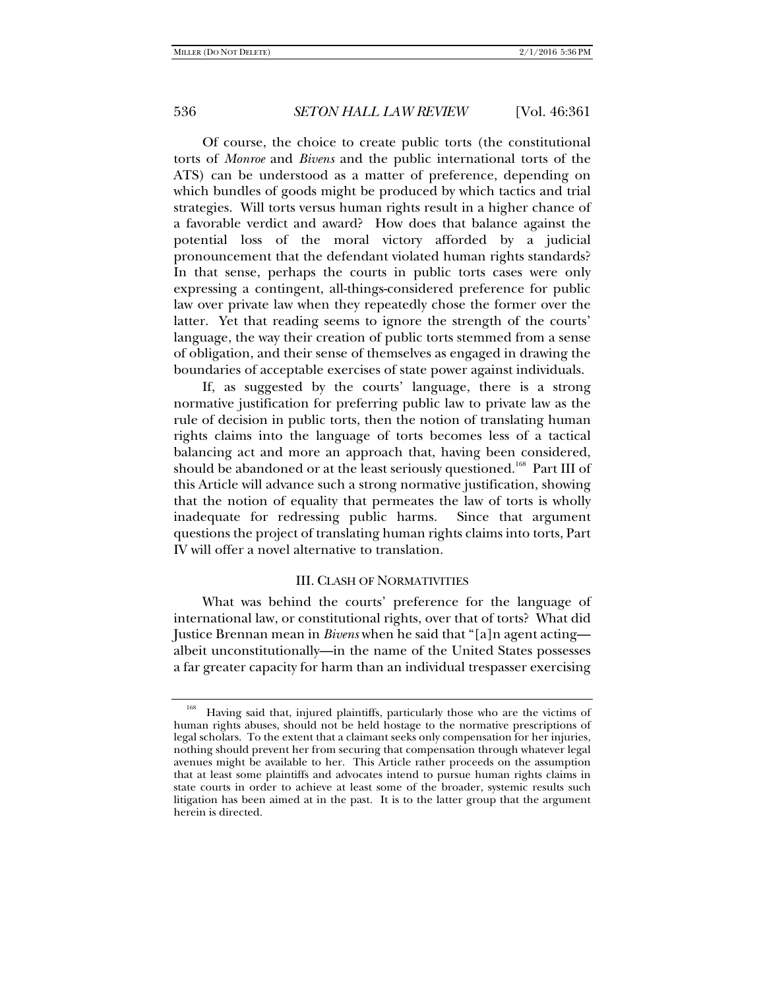Of course, the choice to create public torts (the constitutional torts of *Monroe* and *Bivens* and the public international torts of the ATS) can be understood as a matter of preference, depending on which bundles of goods might be produced by which tactics and trial strategies. Will torts versus human rights result in a higher chance of a favorable verdict and award? How does that balance against the potential loss of the moral victory afforded by a judicial pronouncement that the defendant violated human rights standards? In that sense, perhaps the courts in public torts cases were only expressing a contingent, all-things-considered preference for public law over private law when they repeatedly chose the former over the latter. Yet that reading seems to ignore the strength of the courts' language, the way their creation of public torts stemmed from a sense of obligation, and their sense of themselves as engaged in drawing the boundaries of acceptable exercises of state power against individuals.

If, as suggested by the courts' language, there is a strong normative justification for preferring public law to private law as the rule of decision in public torts, then the notion of translating human rights claims into the language of torts becomes less of a tactical balancing act and more an approach that, having been considered, should be abandoned or at the least seriously questioned.<sup>168</sup> Part III of this Article will advance such a strong normative justification, showing that the notion of equality that permeates the law of torts is wholly inadequate for redressing public harms. Since that argument questions the project of translating human rights claims into torts, Part IV will offer a novel alternative to translation.

#### III. CLASH OF NORMATIVITIES

What was behind the courts' preference for the language of international law, or constitutional rights, over that of torts? What did Justice Brennan mean in *Bivens* when he said that "[a]n agent acting albeit unconstitutionally—in the name of the United States possesses a far greater capacity for harm than an individual trespasser exercising

Having said that, injured plaintiffs, particularly those who are the victims of human rights abuses, should not be held hostage to the normative prescriptions of legal scholars. To the extent that a claimant seeks only compensation for her injuries, nothing should prevent her from securing that compensation through whatever legal avenues might be available to her. This Article rather proceeds on the assumption that at least some plaintiffs and advocates intend to pursue human rights claims in state courts in order to achieve at least some of the broader, systemic results such litigation has been aimed at in the past. It is to the latter group that the argument herein is directed.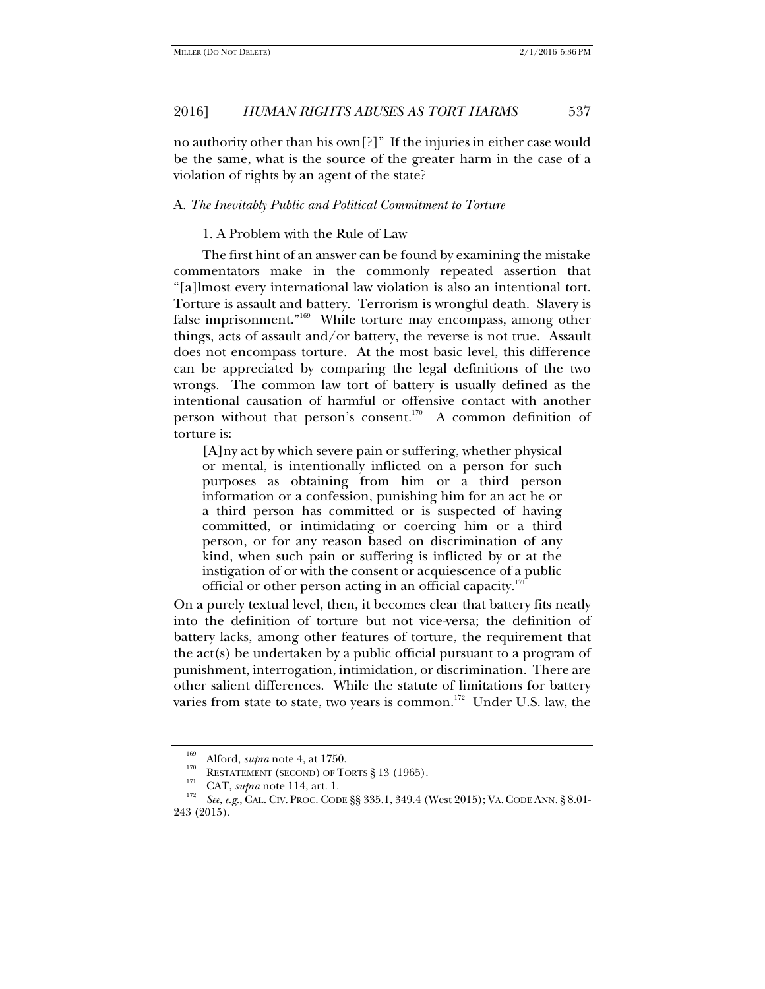no authority other than his own[?]" If the injuries in either case would be the same, what is the source of the greater harm in the case of a violation of rights by an agent of the state?

# A. *The Inevitably Public and Political Commitment to Torture*

1. A Problem with the Rule of Law

The first hint of an answer can be found by examining the mistake commentators make in the commonly repeated assertion that "[a]lmost every international law violation is also an intentional tort. Torture is assault and battery. Terrorism is wrongful death. Slavery is false imprisonment."169 While torture may encompass, among other things, acts of assault and/or battery, the reverse is not true. Assault does not encompass torture. At the most basic level, this difference can be appreciated by comparing the legal definitions of the two wrongs. The common law tort of battery is usually defined as the intentional causation of harmful or offensive contact with another person without that person's consent.<sup>170</sup> A common definition of torture is:

[A]ny act by which severe pain or suffering, whether physical or mental, is intentionally inflicted on a person for such purposes as obtaining from him or a third person information or a confession, punishing him for an act he or a third person has committed or is suspected of having committed, or intimidating or coercing him or a third person, or for any reason based on discrimination of any kind, when such pain or suffering is inflicted by or at the instigation of or with the consent or acquiescence of a public official or other person acting in an official capacity.<sup>171</sup>

On a purely textual level, then, it becomes clear that battery fits neatly into the definition of torture but not vice-versa; the definition of battery lacks, among other features of torture, the requirement that the act(s) be undertaken by a public official pursuant to a program of punishment, interrogation, intimidation, or discrimination. There are other salient differences. While the statute of limitations for battery varies from state to state, two years is common.<sup>172</sup> Under U.S. law, the

<sup>&</sup>lt;sup>169</sup> Alford, *supra* note 4, at 1750.<br>
RESTATEMENT (SECOND) OF TORTS § 13 (1965).<br>
<sup>171</sup> CAT, *supra* note 114, art. 1.<br> *See, e.g., CAL. CIV. PROC. CODE §§ 335.1, 349.4 (West 2015); VA. CODE ANN. § 8.01-<br>
<sup>172</sup>* 243 (2015).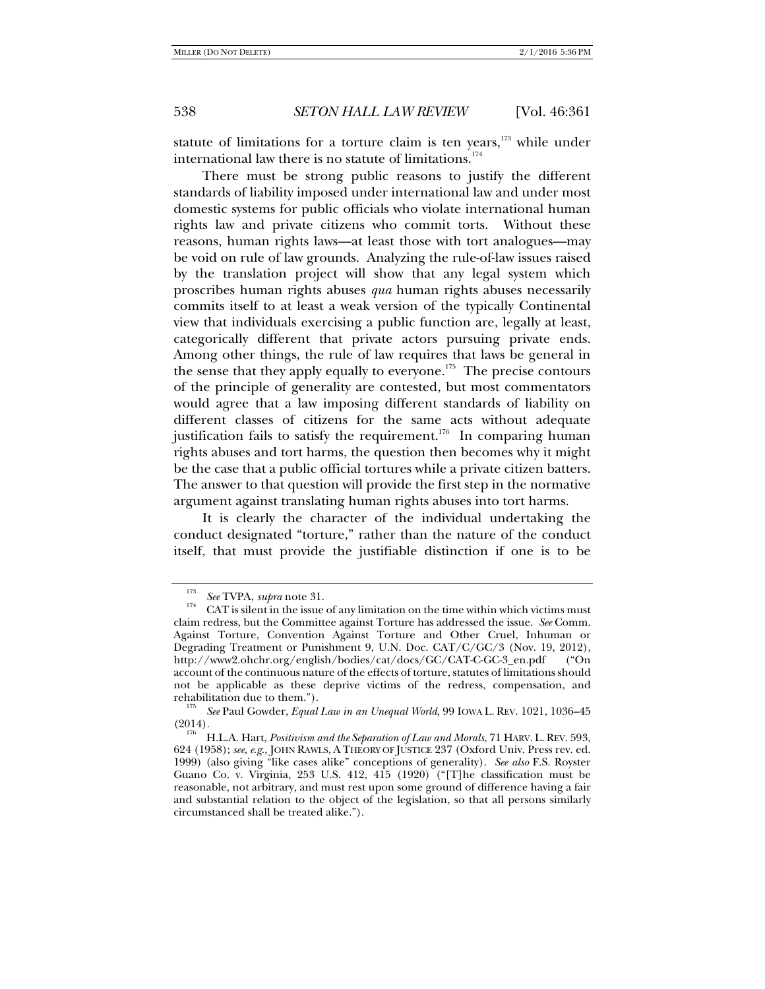statute of limitations for a torture claim is ten years, $173$  while under international law there is no statute of limitations.<sup>174</sup>

There must be strong public reasons to justify the different standards of liability imposed under international law and under most domestic systems for public officials who violate international human rights law and private citizens who commit torts. Without these reasons, human rights laws—at least those with tort analogues—may be void on rule of law grounds. Analyzing the rule-of-law issues raised by the translation project will show that any legal system which proscribes human rights abuses *qua* human rights abuses necessarily commits itself to at least a weak version of the typically Continental view that individuals exercising a public function are, legally at least, categorically different that private actors pursuing private ends. Among other things, the rule of law requires that laws be general in the sense that they apply equally to everyone.<sup>175</sup> The precise contours of the principle of generality are contested, but most commentators would agree that a law imposing different standards of liability on different classes of citizens for the same acts without adequate justification fails to satisfy the requirement.<sup>176</sup> In comparing human rights abuses and tort harms, the question then becomes why it might be the case that a public official tortures while a private citizen batters. The answer to that question will provide the first step in the normative argument against translating human rights abuses into tort harms.

It is clearly the character of the individual undertaking the conduct designated "torture," rather than the nature of the conduct itself, that must provide the justifiable distinction if one is to be

<sup>173</sup>

<sup>&</sup>lt;sup>13</sup> See TVPA, *supra* note 31.<br><sup>174</sup> CAT is silent in the issue of any limitation on the time within which victims must claim redress, but the Committee against Torture has addressed the issue. *See* Comm. Against Torture, Convention Against Torture and Other Cruel, Inhuman or Degrading Treatment or Punishment 9, U.N. Doc. CAT/C/GC/3 (Nov. 19, 2012), http://www2.ohchr.org/english/bodies/cat/docs/GC/CAT-C-GC-3\_en.pdf ("On account of the continuous nature of the effects of torture, statutes of limitations should not be applicable as these deprive victims of the redress, compensation, and

rehabilitation due to them."). 175 *See* Paul Gowder, *Equal Law in an Unequal World*, 99 IOWA L. REV. 1021, 1036–45

<sup>(2014). 176</sup> H.L.A. Hart, *Positivism and the Separation of Law and Morals*, 71 HARV. L. REV. 593, 624 (1958); *see*, *e*.*g*., JOHN RAWLS, A THEORY OF JUSTICE 237 (Oxford Univ. Press rev. ed. 1999) (also giving "like cases alike" conceptions of generality). *See also* F.S. Royster Guano Co. v. Virginia, 253 U.S. 412, 415 (1920) ("[T]he classification must be reasonable, not arbitrary, and must rest upon some ground of difference having a fair and substantial relation to the object of the legislation, so that all persons similarly circumstanced shall be treated alike.").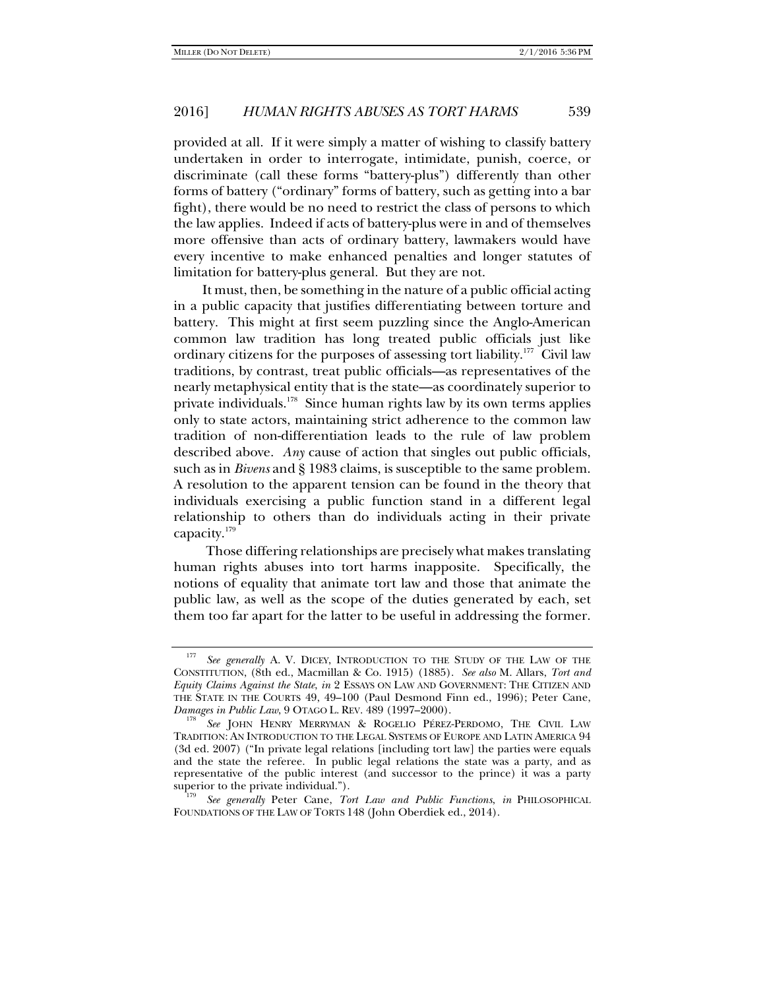provided at all. If it were simply a matter of wishing to classify battery undertaken in order to interrogate, intimidate, punish, coerce, or discriminate (call these forms "battery-plus") differently than other forms of battery ("ordinary" forms of battery, such as getting into a bar fight), there would be no need to restrict the class of persons to which the law applies. Indeed if acts of battery-plus were in and of themselves more offensive than acts of ordinary battery, lawmakers would have every incentive to make enhanced penalties and longer statutes of limitation for battery-plus general. But they are not.

It must, then, be something in the nature of a public official acting in a public capacity that justifies differentiating between torture and battery. This might at first seem puzzling since the Anglo-American common law tradition has long treated public officials just like ordinary citizens for the purposes of assessing tort liability.<sup>177</sup> Civil law traditions, by contrast, treat public officials—as representatives of the nearly metaphysical entity that is the state—as coordinately superior to private individuals.<sup>178</sup> Since human rights law by its own terms applies only to state actors, maintaining strict adherence to the common law tradition of non-differentiation leads to the rule of law problem described above. *Any* cause of action that singles out public officials, such as in *Bivens* and § 1983 claims, is susceptible to the same problem. A resolution to the apparent tension can be found in the theory that individuals exercising a public function stand in a different legal relationship to others than do individuals acting in their private capacity.<sup>179</sup>

 Those differing relationships are precisely what makes translating human rights abuses into tort harms inapposite. Specifically, the notions of equality that animate tort law and those that animate the public law, as well as the scope of the duties generated by each, set them too far apart for the latter to be useful in addressing the former.

<sup>177</sup> *See generally* A. V. DICEY, INTRODUCTION TO THE STUDY OF THE LAW OF THE CONSTITUTION, (8th ed., Macmillan & Co. 1915) (1885). *See also* M. Allars, *Tort and Equity Claims Against the State*, *in* 2 ESSAYS ON LAW AND GOVERNMENT: THE CITIZEN AND THE STATE IN THE COURTS 49, 49–100 (Paul Desmond Finn ed., 1996); Peter Cane, *Damages in Public Law*, 9 OTAGO L. REV. 489 (1997–2000).

*See* JOHN HENRY MERRYMAN & ROGELIO PÉREZ-PERDOMO, THE CIVIL LAW TRADITION: AN INTRODUCTION TO THE LEGAL SYSTEMS OF EUROPE AND LATIN AMERICA 94 (3d ed. 2007) ("In private legal relations [including tort law] the parties were equals and the state the referee. In public legal relations the state was a party, and as representative of the public interest (and successor to the prince) it was a party superior to the private individual.").

See generally Peter Cane, Tort Law and Public Functions, in PHILOSOPHICAL FOUNDATIONS OF THE LAW OF TORTS 148 (John Oberdiek ed., 2014).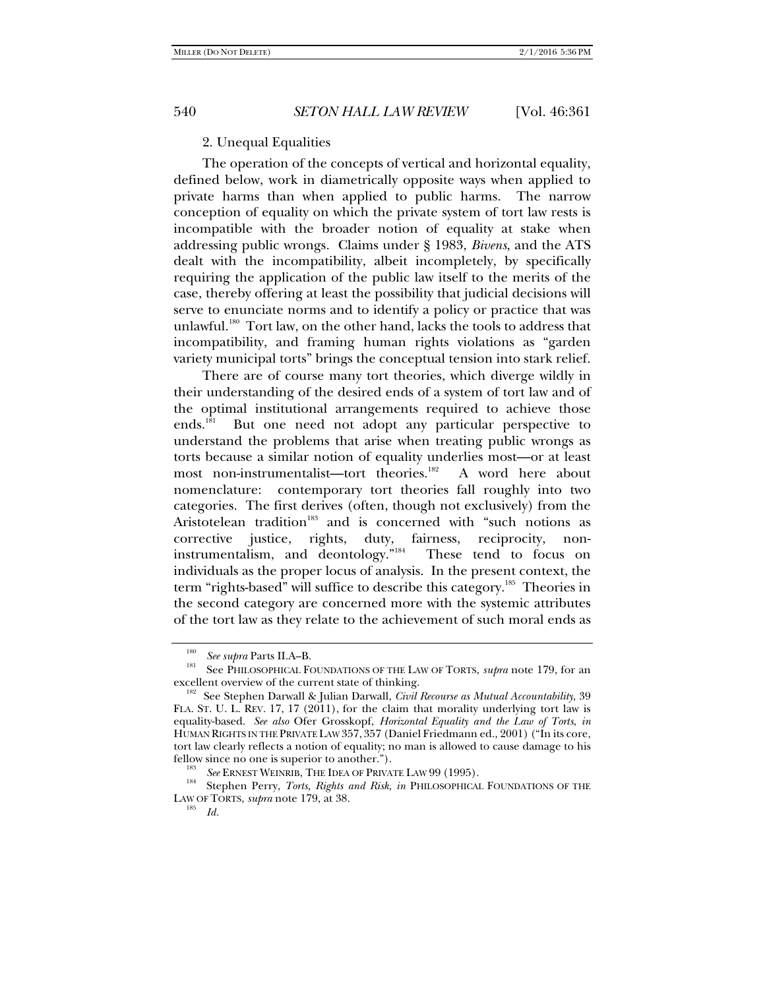# 2. Unequal Equalities

The operation of the concepts of vertical and horizontal equality, defined below, work in diametrically opposite ways when applied to private harms than when applied to public harms. The narrow conception of equality on which the private system of tort law rests is incompatible with the broader notion of equality at stake when addressing public wrongs. Claims under § 1983, *Bivens*, and the ATS dealt with the incompatibility, albeit incompletely, by specifically requiring the application of the public law itself to the merits of the case, thereby offering at least the possibility that judicial decisions will serve to enunciate norms and to identify a policy or practice that was unlawful.<sup>180</sup> Tort law, on the other hand, lacks the tools to address that incompatibility, and framing human rights violations as "garden variety municipal torts" brings the conceptual tension into stark relief.

There are of course many tort theories, which diverge wildly in their understanding of the desired ends of a system of tort law and of the optimal institutional arrangements required to achieve those ends.<sup>181</sup> But one need not adopt any particular perspective to understand the problems that arise when treating public wrongs as torts because a similar notion of equality underlies most—or at least most non-instrumentalist—tort theories.<sup>182</sup> A word here about nomenclature: contemporary tort theories fall roughly into two categories. The first derives (often, though not exclusively) from the Aristotelean tradition<sup>183</sup> and is concerned with "such notions as corrective justice, rights, duty, fairness, reciprocity, noninstrumentalism, and deontology."184 These tend to focus on individuals as the proper locus of analysis. In the present context, the term "rights-based" will suffice to describe this category.<sup>185</sup> Theories in the second category are concerned more with the systemic attributes of the tort law as they relate to the achievement of such moral ends as

 $181\,$ *See supra* Parts II.A–B.<br>See PHILOSOPHICAL FOUNDATIONS OF THE LAW OF TORTS, *supra* note 179, for an excellent overview of the current state of thinking.<br><sup>182</sup> See Stephen Darwall & Julian Darwall, *Civil Recourse as Mutual Accountability*, 39

FLA. ST. U. L. REV. 17, 17 (2011), for the claim that morality underlying tort law is equality-based. *See also* Ofer Grosskopf, *Horizontal Equality and the Law of Torts*, *in* HUMAN RIGHTS IN THE PRIVATE LAW 357, 357 (Daniel Friedmann ed., 2001) ("In its core, tort law clearly reflects a notion of equality; no man is allowed to cause damage to his fellow since no one is superior to another.").

<sup>&</sup>lt;sup>183</sup> *See* ERNEST WEINRIB, THE IDEA OF PRIVATE LAW 99 (1995).<br><sup>184</sup> Stephen Perry, *Torts, Rights and Risk, in* PHILOSOPHICAL FOUNDATIONS OF THE LAW OF TORTS, *supra* note 179, at 38.

*Id.*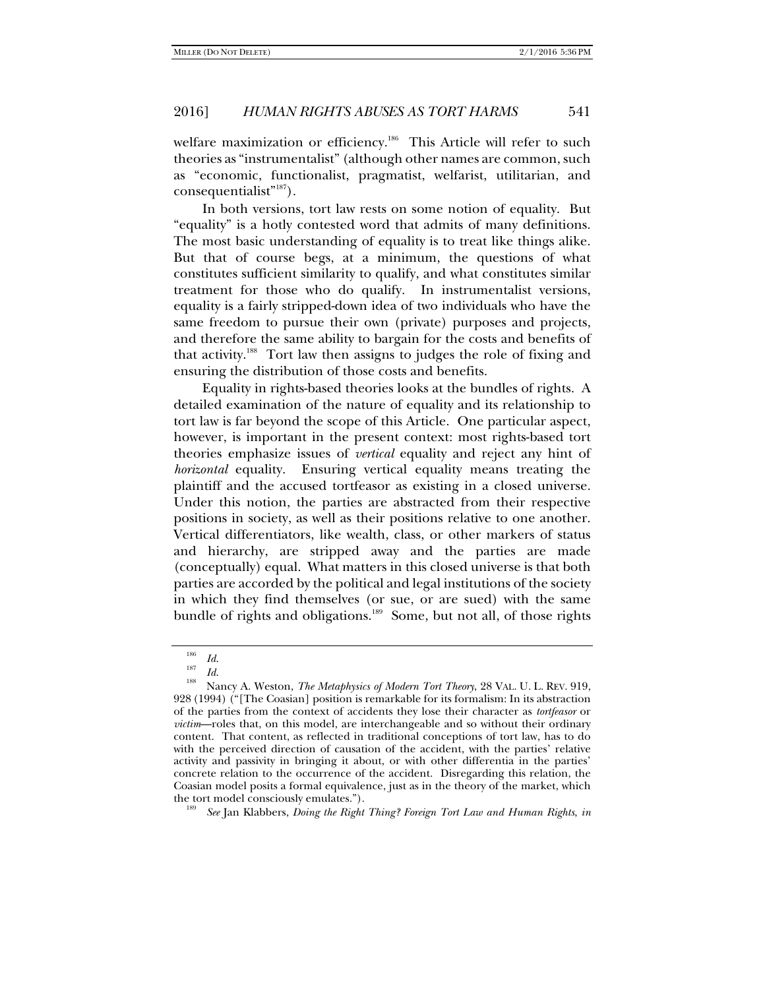welfare maximization or efficiency.<sup>186</sup> This Article will refer to such theories as "instrumentalist" (although other names are common, such as "economic, functionalist, pragmatist, welfarist, utilitarian, and  $consequently$ <sup>187</sup>).

In both versions, tort law rests on some notion of equality. But "equality" is a hotly contested word that admits of many definitions. The most basic understanding of equality is to treat like things alike. But that of course begs, at a minimum, the questions of what constitutes sufficient similarity to qualify, and what constitutes similar treatment for those who do qualify. In instrumentalist versions, equality is a fairly stripped-down idea of two individuals who have the same freedom to pursue their own (private) purposes and projects, and therefore the same ability to bargain for the costs and benefits of that activity.<sup>188</sup> Tort law then assigns to judges the role of fixing and ensuring the distribution of those costs and benefits.

Equality in rights-based theories looks at the bundles of rights. A detailed examination of the nature of equality and its relationship to tort law is far beyond the scope of this Article. One particular aspect, however, is important in the present context: most rights-based tort theories emphasize issues of *vertical* equality and reject any hint of *horizontal* equality. Ensuring vertical equality means treating the plaintiff and the accused tortfeasor as existing in a closed universe. Under this notion, the parties are abstracted from their respective positions in society, as well as their positions relative to one another. Vertical differentiators, like wealth, class, or other markers of status and hierarchy, are stripped away and the parties are made (conceptually) equal. What matters in this closed universe is that both parties are accorded by the political and legal institutions of the society in which they find themselves (or sue, or are sued) with the same bundle of rights and obligations.<sup>189</sup> Some, but not all, of those rights

*See* Jan Klabbers, *Doing the Right Thing? Foreign Tort Law and Human Rights*, *in*

<sup>186</sup>

 $\frac{186}{187}$  *Id. Id.* 

<sup>&</sup>lt;sup>188</sup> Nancy A. Weston, *The Metaphysics of Modern Tort Theory*, 28 VAL. U. L. REV. 919, 928 (1994) ("[The Coasian] position is remarkable for its formalism: In its abstraction of the parties from the context of accidents they lose their character as *tortfeasor* or *victim*—roles that, on this model, are interchangeable and so without their ordinary content. That content, as reflected in traditional conceptions of tort law, has to do with the perceived direction of causation of the accident, with the parties' relative activity and passivity in bringing it about, or with other differentia in the parties' concrete relation to the occurrence of the accident. Disregarding this relation, the Coasian model posits a formal equivalence, just as in the theory of the market, which the tort model consciously emulates.").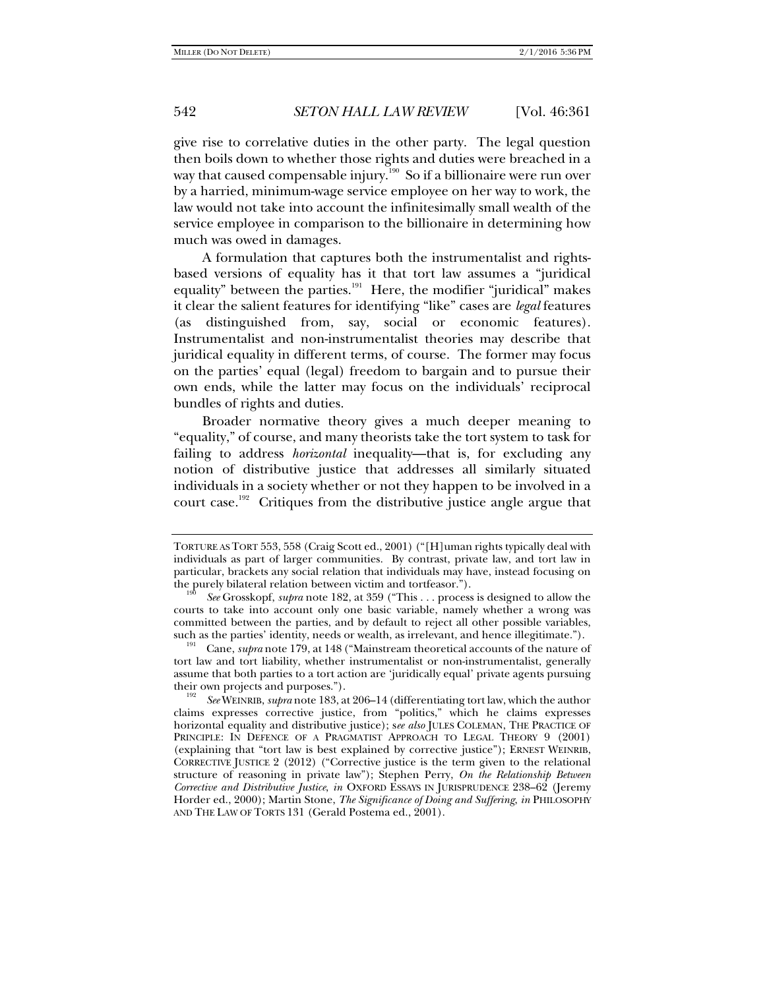give rise to correlative duties in the other party. The legal question then boils down to whether those rights and duties were breached in a way that caused compensable injury.<sup>190</sup> So if a billionaire were run over by a harried, minimum-wage service employee on her way to work, the law would not take into account the infinitesimally small wealth of the service employee in comparison to the billionaire in determining how much was owed in damages.

A formulation that captures both the instrumentalist and rightsbased versions of equality has it that tort law assumes a "juridical equality" between the parties.<sup>191</sup> Here, the modifier "juridical" makes it clear the salient features for identifying "like" cases are *legal* features (as distinguished from, say, social or economic features). Instrumentalist and non-instrumentalist theories may describe that juridical equality in different terms, of course. The former may focus on the parties' equal (legal) freedom to bargain and to pursue their own ends, while the latter may focus on the individuals' reciprocal bundles of rights and duties.

Broader normative theory gives a much deeper meaning to "equality," of course, and many theorists take the tort system to task for failing to address *horizontal* inequality—that is, for excluding any notion of distributive justice that addresses all similarly situated individuals in a society whether or not they happen to be involved in a court case.<sup>192</sup> Critiques from the distributive justice angle argue that

TORTURE AS TORT 553, 558 (Craig Scott ed., 2001) ("[H]uman rights typically deal with individuals as part of larger communities. By contrast, private law, and tort law in particular, brackets any social relation that individuals may have, instead focusing on the purely bilateral relation between victim and tortfeasor.").

See Grosskopf, *supra* note 182, at 359 ("This . . . process is designed to allow the courts to take into account only one basic variable, namely whether a wrong was committed between the parties, and by default to reject all other possible variables, such as the parties' identity, needs or wealth, as irrelevant, and hence illegitimate.").<br><sup>191</sup> Cane, *supra* note 179, at 148 ("Mainstream theoretical accounts of the nature of

tort law and tort liability, whether instrumentalist or non-instrumentalist, generally assume that both parties to a tort action are 'juridically equal' private agents pursuing their own projects and purposes.").

*See* WEINRIB, *supra* note 183, at 206–14 (differentiating tort law, which the author claims expresses corrective justice, from "politics," which he claims expresses horizontal equality and distributive justice); s*ee also* JULES COLEMAN, THE PRACTICE OF PRINCIPLE: IN DEFENCE OF A PRAGMATIST APPROACH TO LEGAL THEORY 9 (2001) (explaining that "tort law is best explained by corrective justice"); ERNEST WEINRIB, CORRECTIVE JUSTICE 2 (2012) ("Corrective justice is the term given to the relational structure of reasoning in private law"); Stephen Perry, *On the Relationship Between Corrective and Distributive Justice*, *in* OXFORD ESSAYS IN JURISPRUDENCE 238–62 (Jeremy Horder ed., 2000); Martin Stone, *The Significance of Doing and Suffering*, *in* PHILOSOPHY AND THE LAW OF TORTS 131 (Gerald Postema ed., 2001).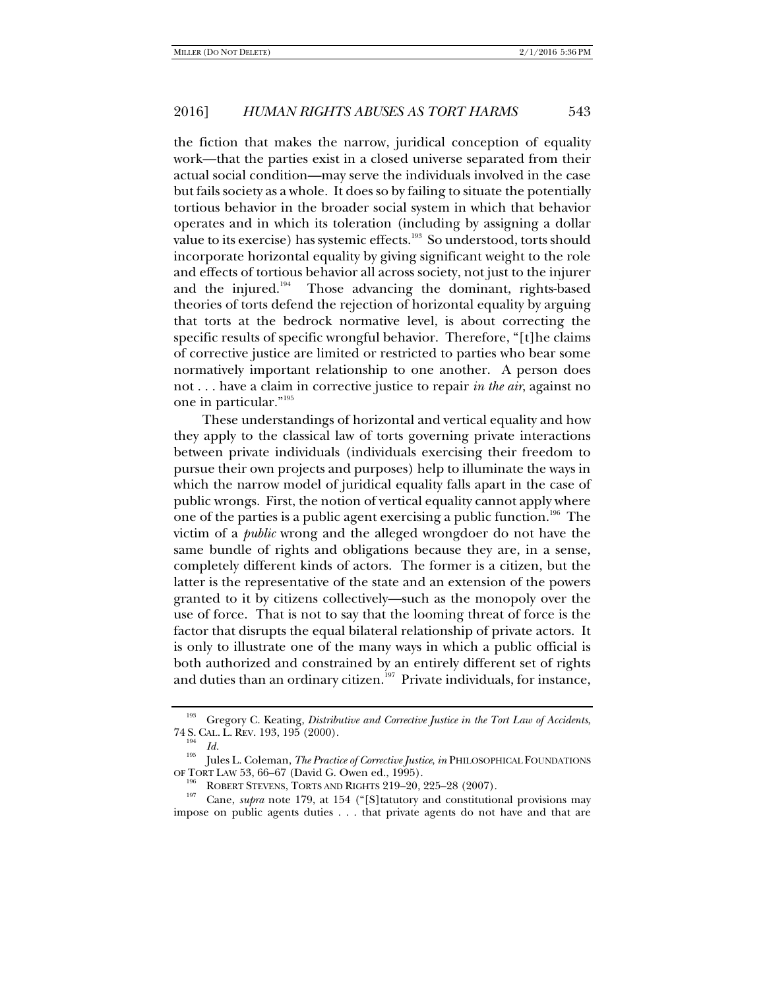the fiction that makes the narrow, juridical conception of equality work—that the parties exist in a closed universe separated from their actual social condition—may serve the individuals involved in the case but fails society as a whole. It does so by failing to situate the potentially tortious behavior in the broader social system in which that behavior operates and in which its toleration (including by assigning a dollar value to its exercise) has systemic effects.<sup>193</sup> So understood, torts should incorporate horizontal equality by giving significant weight to the role and effects of tortious behavior all across society, not just to the injurer and the injured. $194$  Those advancing the dominant, rights-based theories of torts defend the rejection of horizontal equality by arguing that torts at the bedrock normative level, is about correcting the specific results of specific wrongful behavior. Therefore, "[t]he claims of corrective justice are limited or restricted to parties who bear some normatively important relationship to one another. A person does not . . . have a claim in corrective justice to repair *in the air*, against no one in particular."195

These understandings of horizontal and vertical equality and how they apply to the classical law of torts governing private interactions between private individuals (individuals exercising their freedom to pursue their own projects and purposes) help to illuminate the ways in which the narrow model of juridical equality falls apart in the case of public wrongs. First, the notion of vertical equality cannot apply where one of the parties is a public agent exercising a public function.<sup>196</sup> The victim of a *public* wrong and the alleged wrongdoer do not have the same bundle of rights and obligations because they are, in a sense, completely different kinds of actors. The former is a citizen, but the latter is the representative of the state and an extension of the powers granted to it by citizens collectively—such as the monopoly over the use of force. That is not to say that the looming threat of force is the factor that disrupts the equal bilateral relationship of private actors. It is only to illustrate one of the many ways in which a public official is both authorized and constrained by an entirely different set of rights and duties than an ordinary citizen.<sup>197</sup> Private individuals, for instance,

<sup>&</sup>lt;sup>193</sup> Gregory C. Keating, *Distributive and Corrective Justice in the Tort Law of Accidents*, 74 S. CAL. L. REV. 193, 195 (2000).

<sup>&</sup>lt;sup>194</sup> Id.<br><sup>195</sup> Jules L. Coleman, *The Practice of Corrective Justice, in* PHILOSOPHICAL FOUNDATIONS OF TORT LAW 53, 66–67 (David G. Owen ed., 1995).<br><sup>196</sup> ROBERT STEVENS, TORTS AND RIGHTS 219–20, 225–28 (2007).<br><sup>197</sup> Cane, *supra* note 179, at 154 ("[S]tatutory and constitutional provisions may

impose on public agents duties . . . that private agents do not have and that are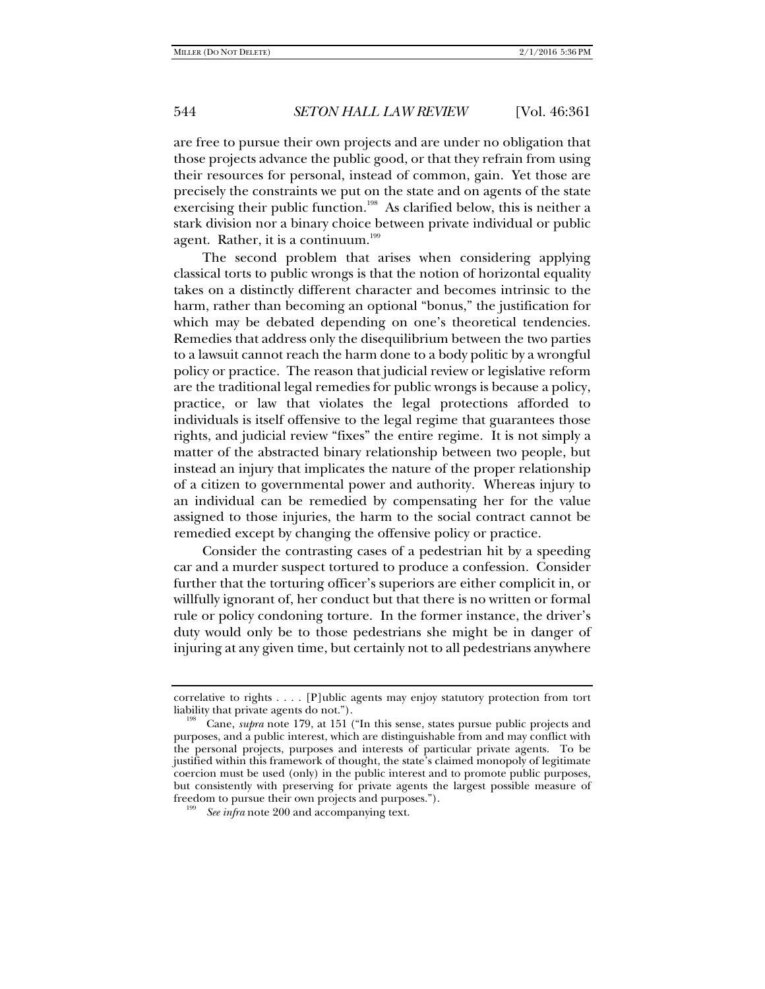are free to pursue their own projects and are under no obligation that those projects advance the public good, or that they refrain from using their resources for personal, instead of common, gain. Yet those are precisely the constraints we put on the state and on agents of the state exercising their public function.<sup>198</sup> As clarified below, this is neither a stark division nor a binary choice between private individual or public agent. Rather, it is a continuum.<sup>199</sup>

The second problem that arises when considering applying classical torts to public wrongs is that the notion of horizontal equality takes on a distinctly different character and becomes intrinsic to the harm, rather than becoming an optional "bonus," the justification for which may be debated depending on one's theoretical tendencies. Remedies that address only the disequilibrium between the two parties to a lawsuit cannot reach the harm done to a body politic by a wrongful policy or practice. The reason that judicial review or legislative reform are the traditional legal remedies for public wrongs is because a policy, practice, or law that violates the legal protections afforded to individuals is itself offensive to the legal regime that guarantees those rights, and judicial review "fixes" the entire regime. It is not simply a matter of the abstracted binary relationship between two people, but instead an injury that implicates the nature of the proper relationship of a citizen to governmental power and authority. Whereas injury to an individual can be remedied by compensating her for the value assigned to those injuries, the harm to the social contract cannot be remedied except by changing the offensive policy or practice.

Consider the contrasting cases of a pedestrian hit by a speeding car and a murder suspect tortured to produce a confession. Consider further that the torturing officer's superiors are either complicit in, or willfully ignorant of, her conduct but that there is no written or formal rule or policy condoning torture. In the former instance, the driver's duty would only be to those pedestrians she might be in danger of injuring at any given time, but certainly not to all pedestrians anywhere

correlative to rights . . . . [P]ublic agents may enjoy statutory protection from tort liability that private agents do not.").<br><sup>198</sup> Cane, *supra* note 179, at 151 ("In this sense, states pursue public projects and

purposes, and a public interest, which are distinguishable from and may conflict with the personal projects, purposes and interests of particular private agents. To be justified within this framework of thought, the state's claimed monopoly of legitimate coercion must be used (only) in the public interest and to promote public purposes, but consistently with preserving for private agents the largest possible measure of freedom to pursue their own projects and purposes.").

*See infra* note 200 and accompanying text.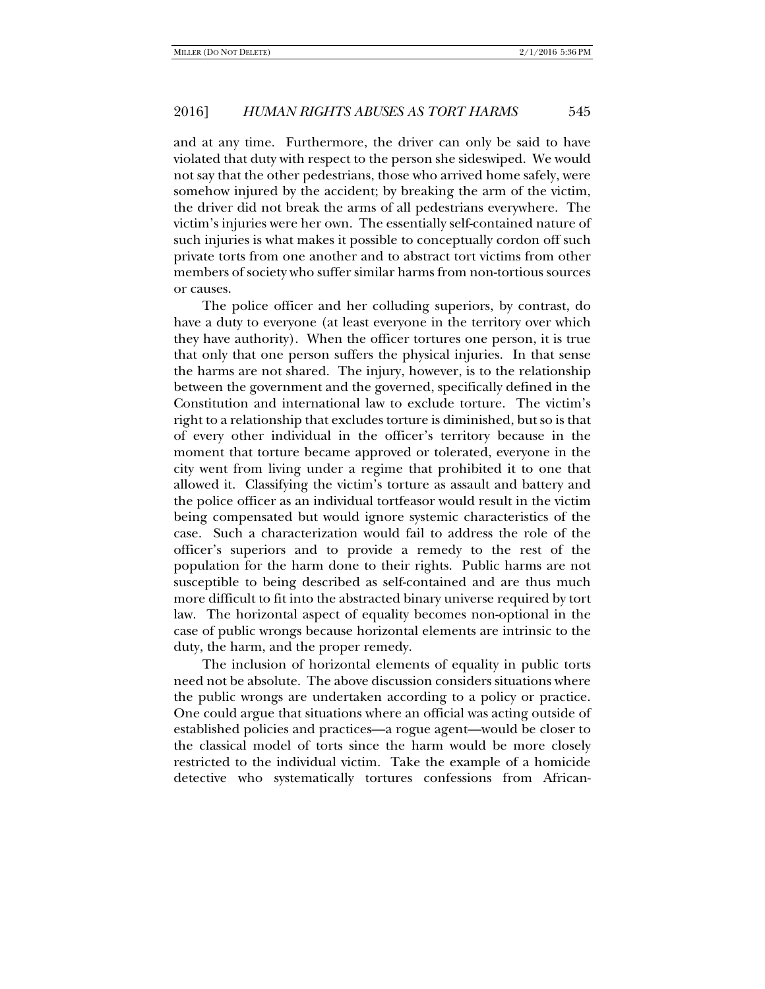and at any time. Furthermore, the driver can only be said to have violated that duty with respect to the person she sideswiped. We would not say that the other pedestrians, those who arrived home safely, were somehow injured by the accident; by breaking the arm of the victim, the driver did not break the arms of all pedestrians everywhere. The victim's injuries were her own. The essentially self-contained nature of such injuries is what makes it possible to conceptually cordon off such private torts from one another and to abstract tort victims from other members of society who suffer similar harms from non-tortious sources or causes.

The police officer and her colluding superiors, by contrast, do have a duty to everyone (at least everyone in the territory over which they have authority). When the officer tortures one person, it is true that only that one person suffers the physical injuries. In that sense the harms are not shared. The injury, however, is to the relationship between the government and the governed, specifically defined in the Constitution and international law to exclude torture. The victim's right to a relationship that excludes torture is diminished, but so is that of every other individual in the officer's territory because in the moment that torture became approved or tolerated, everyone in the city went from living under a regime that prohibited it to one that allowed it. Classifying the victim's torture as assault and battery and the police officer as an individual tortfeasor would result in the victim being compensated but would ignore systemic characteristics of the case. Such a characterization would fail to address the role of the officer's superiors and to provide a remedy to the rest of the population for the harm done to their rights. Public harms are not susceptible to being described as self-contained and are thus much more difficult to fit into the abstracted binary universe required by tort law. The horizontal aspect of equality becomes non-optional in the case of public wrongs because horizontal elements are intrinsic to the duty, the harm, and the proper remedy.

The inclusion of horizontal elements of equality in public torts need not be absolute. The above discussion considers situations where the public wrongs are undertaken according to a policy or practice. One could argue that situations where an official was acting outside of established policies and practices—a rogue agent—would be closer to the classical model of torts since the harm would be more closely restricted to the individual victim. Take the example of a homicide detective who systematically tortures confessions from African-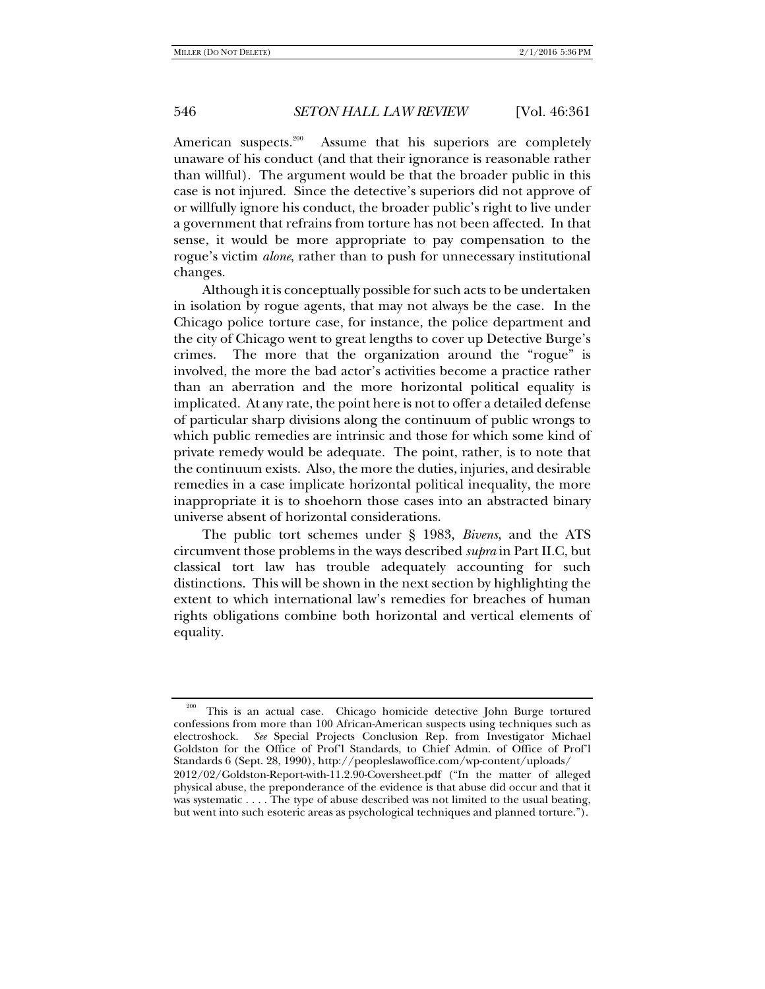American suspects.<sup>200</sup> Assume that his superiors are completely unaware of his conduct (and that their ignorance is reasonable rather than willful). The argument would be that the broader public in this case is not injured. Since the detective's superiors did not approve of or willfully ignore his conduct, the broader public's right to live under a government that refrains from torture has not been affected. In that sense, it would be more appropriate to pay compensation to the rogue's victim *alone*, rather than to push for unnecessary institutional changes.

Although it is conceptually possible for such acts to be undertaken in isolation by rogue agents, that may not always be the case. In the Chicago police torture case, for instance, the police department and the city of Chicago went to great lengths to cover up Detective Burge's crimes. The more that the organization around the "rogue" is involved, the more the bad actor's activities become a practice rather than an aberration and the more horizontal political equality is implicated. At any rate, the point here is not to offer a detailed defense of particular sharp divisions along the continuum of public wrongs to which public remedies are intrinsic and those for which some kind of private remedy would be adequate. The point, rather, is to note that the continuum exists. Also, the more the duties, injuries, and desirable remedies in a case implicate horizontal political inequality, the more inappropriate it is to shoehorn those cases into an abstracted binary universe absent of horizontal considerations.

The public tort schemes under § 1983, *Bivens*, and the ATS circumvent those problems in the ways described *supra* in Part II.C, but classical tort law has trouble adequately accounting for such distinctions. This will be shown in the next section by highlighting the extent to which international law's remedies for breaches of human rights obligations combine both horizontal and vertical elements of equality.

<sup>&</sup>lt;sup>200</sup> This is an actual case. Chicago homicide detective John Burge tortured confessions from more than 100 African-American suspects using techniques such as electroshock. *See* Special Projects Conclusion Rep. from Investigator Michael Goldston for the Office of Prof'l Standards, to Chief Admin. of Office of Prof'l Standards 6 (Sept. 28, 1990), http://peopleslawoffice.com/wp-content/uploads/ 2012/02/Goldston-Report-with-11.2.90-Coversheet.pdf ("In the matter of alleged physical abuse, the preponderance of the evidence is that abuse did occur and that it was systematic . . . . The type of abuse described was not limited to the usual beating, but went into such esoteric areas as psychological techniques and planned torture.").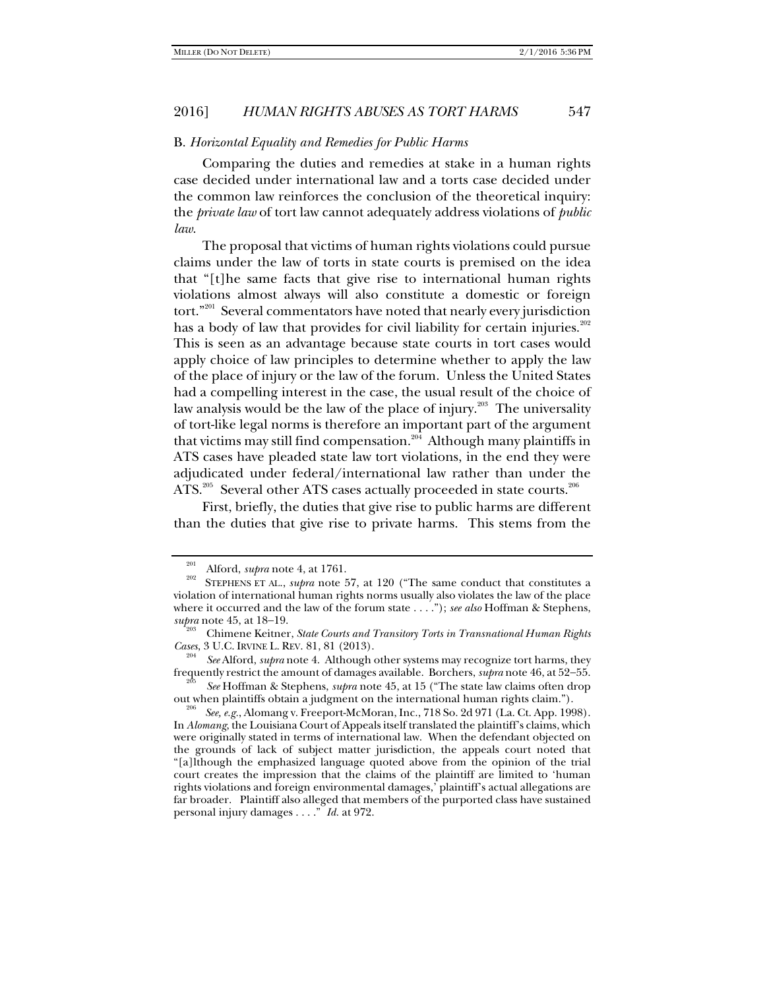#### B. *Horizontal Equality and Remedies for Public Harms*

Comparing the duties and remedies at stake in a human rights case decided under international law and a torts case decided under the common law reinforces the conclusion of the theoretical inquiry: the *private law* of tort law cannot adequately address violations of *public law*.

The proposal that victims of human rights violations could pursue claims under the law of torts in state courts is premised on the idea that "[t]he same facts that give rise to international human rights violations almost always will also constitute a domestic or foreign tort."<sup>201</sup> Several commentators have noted that nearly every jurisdiction has a body of law that provides for civil liability for certain injuries.<sup>202</sup> This is seen as an advantage because state courts in tort cases would apply choice of law principles to determine whether to apply the law of the place of injury or the law of the forum. Unless the United States had a compelling interest in the case, the usual result of the choice of law analysis would be the law of the place of injury. $^{203}$  The universality of tort-like legal norms is therefore an important part of the argument that victims may still find compensation.<sup>204</sup> Although many plaintiffs in ATS cases have pleaded state law tort violations, in the end they were adjudicated under federal/international law rather than under the ATS. $205$  Several other ATS cases actually proceeded in state courts. $206$ 

First, briefly, the duties that give rise to public harms are different than the duties that give rise to private harms. This stems from the

frequently restrict the amount of damages available. Borchers, *supra* note 46, at 52–55.<br><sup>205</sup> *See* Hoffman & Stephens, *supra* note 45, at 15 ("The state law claims often drop out when plaintiffs obtain a judgment on th

<sup>&</sup>lt;sup>201</sup> Alford, *supra* note 4, at 1761.<br><sup>202</sup> STEPHENS ET AL., *supra* note 57, at 120 ("The same conduct that constitutes a violation of international human rights norms usually also violates the law of the place where it occurred and the law of the forum state . . . ."); *see also* Hoffman & Stephens,

*Chimene Keitner, State Courts and Transitory Torts in Transnational Human Rights Cases*, 3 U.C. IRVINE L. REV. 81, 81 (2013).

*See* Alford, *supra* note 4. Although other systems may recognize tort harms, they

See, e.g., Alomang v. Freeport-McMoran, Inc., 718 So. 2d 971 (La. Ct. App. 1998). In *Alomang*, the Louisiana Court of Appeals itself translated the plaintiff's claims, which were originally stated in terms of international law. When the defendant objected on the grounds of lack of subject matter jurisdiction, the appeals court noted that "[a]lthough the emphasized language quoted above from the opinion of the trial court creates the impression that the claims of the plaintiff are limited to 'human rights violations and foreign environmental damages,' plaintiff's actual allegations are far broader. Plaintiff also alleged that members of the purported class have sustained personal injury damages . . . ." *Id.* at 972.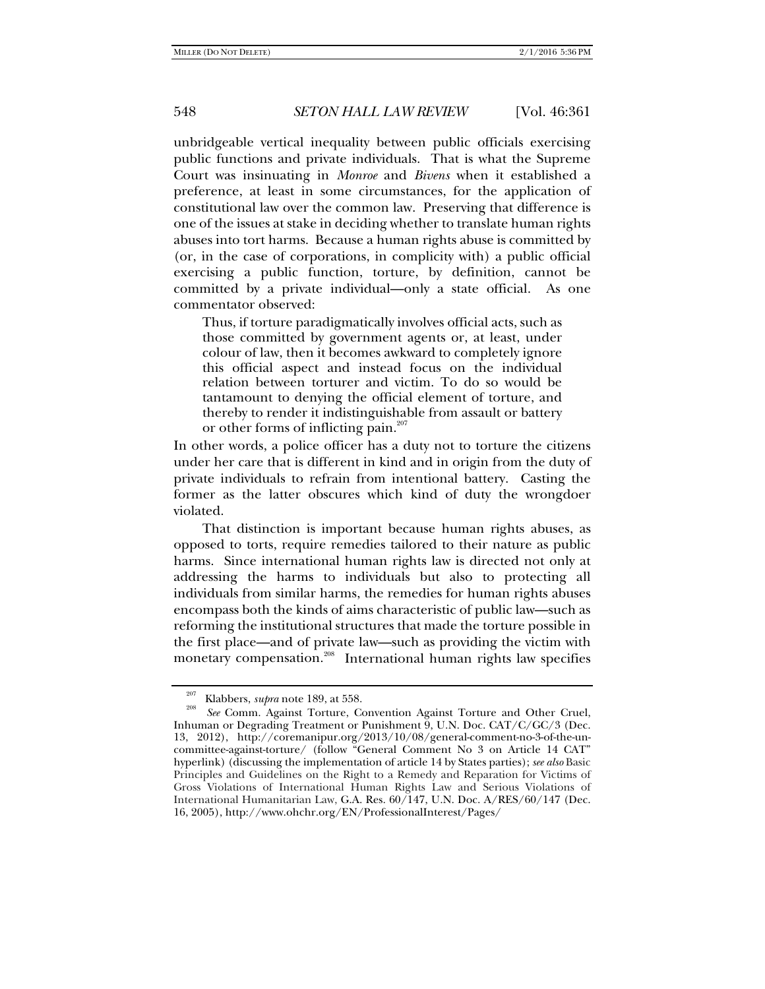unbridgeable vertical inequality between public officials exercising public functions and private individuals. That is what the Supreme Court was insinuating in *Monroe* and *Bivens* when it established a preference, at least in some circumstances, for the application of constitutional law over the common law. Preserving that difference is one of the issues at stake in deciding whether to translate human rights abuses into tort harms. Because a human rights abuse is committed by (or, in the case of corporations, in complicity with) a public official exercising a public function, torture, by definition, cannot be committed by a private individual—only a state official. As one commentator observed:

Thus, if torture paradigmatically involves official acts, such as those committed by government agents or, at least, under colour of law, then it becomes awkward to completely ignore this official aspect and instead focus on the individual relation between torturer and victim. To do so would be tantamount to denying the official element of torture, and thereby to render it indistinguishable from assault or battery or other forms of inflicting pain.<sup>207</sup>

In other words, a police officer has a duty not to torture the citizens under her care that is different in kind and in origin from the duty of private individuals to refrain from intentional battery. Casting the former as the latter obscures which kind of duty the wrongdoer violated.

That distinction is important because human rights abuses, as opposed to torts, require remedies tailored to their nature as public harms. Since international human rights law is directed not only at addressing the harms to individuals but also to protecting all individuals from similar harms, the remedies for human rights abuses encompass both the kinds of aims characteristic of public law—such as reforming the institutional structures that made the torture possible in the first place—and of private law—such as providing the victim with monetary compensation.<sup>208</sup> International human rights law specifies

<sup>&</sup>lt;sup>207</sup> Klabbers, *supra* note 189, at 558.<br><sup>208</sup> *See* Comm. Against Torture, Convention Against Torture and Other Cruel, Inhuman or Degrading Treatment or Punishment 9, U.N. Doc. CAT/C/GC/3 (Dec. 13, 2012), http://coremanipur.org/2013/10/08/general-comment-no-3-of-the-uncommittee-against-torture/ (follow "General Comment No 3 on Article 14 CAT" hyperlink) (discussing the implementation of article 14 by States parties); *see also* Basic Principles and Guidelines on the Right to a Remedy and Reparation for Victims of Gross Violations of International Human Rights Law and Serious Violations of International Humanitarian Law, G.A. Res. 60/147, U.N. Doc. A/RES/60/147 (Dec. 16, 2005), http://www.ohchr.org/EN/ProfessionalInterest/Pages/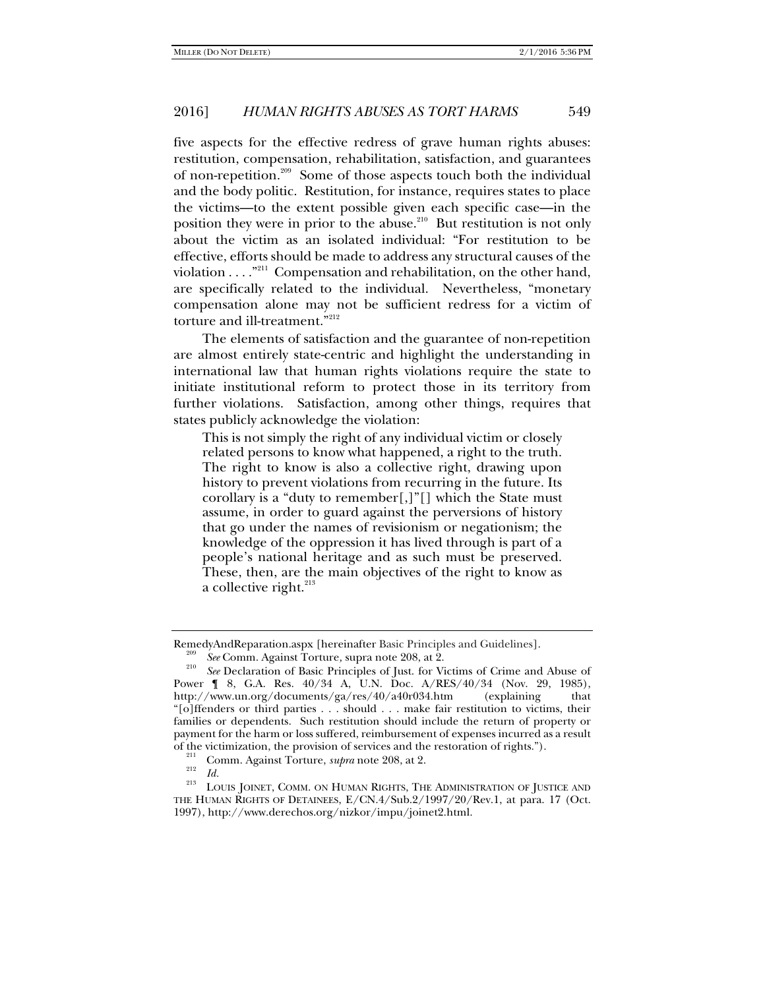five aspects for the effective redress of grave human rights abuses: restitution, compensation, rehabilitation, satisfaction, and guarantees of non-repetition.<sup>209</sup> Some of those aspects touch both the individual and the body politic. Restitution, for instance, requires states to place the victims—to the extent possible given each specific case—in the position they were in prior to the abuse.<sup>210</sup> But restitution is not only about the victim as an isolated individual: "For restitution to be effective, efforts should be made to address any structural causes of the violation . . . ."211 Compensation and rehabilitation, on the other hand, are specifically related to the individual. Nevertheless, "monetary compensation alone may not be sufficient redress for a victim of torture and ill-treatment."<sup>212</sup>

The elements of satisfaction and the guarantee of non-repetition are almost entirely state-centric and highlight the understanding in international law that human rights violations require the state to initiate institutional reform to protect those in its territory from further violations. Satisfaction, among other things, requires that states publicly acknowledge the violation:

This is not simply the right of any individual victim or closely related persons to know what happened, a right to the truth. The right to know is also a collective right, drawing upon history to prevent violations from recurring in the future. Its corollary is a "duty to remember[,]"[] which the State must assume, in order to guard against the perversions of history that go under the names of revisionism or negationism; the knowledge of the oppression it has lived through is part of a people's national heritage and as such must be preserved. These, then, are the main objectives of the right to know as a collective right. $213$ 

RemedyAndReparation.aspx [hereinafter Basic Principles and Guidelines].<br><sup>209</sup> See Comm. Against Torture, supra note 208, at 2.<br><sup>210</sup> See Declaration of Basic Principles of Just. for Victims of Crime and Abuse of

Power ¶ 8, G.A. Res. 40/34 A, U.N. Doc. A/RES/40/34 (Nov. 29, 1985), http://www.un.org/documents/ga/res/40/a40r034.htm (explaining that "[o]ffenders or third parties . . . should . . . make fair restitution to victims, their families or dependents. Such restitution should include the return of property or payment for the harm or loss suffered, reimbursement of expenses incurred as a result of the victimization, the provision of services and the restoration of rights.").<br><sup>211</sup> Comm. Against Torture, *supra* note 208, at 2.<br>*112 Id.* 

<sup>&</sup>lt;sup>213</sup> LOUIS JOINET, COMM. ON HUMAN RIGHTS, THE ADMINISTRATION OF JUSTICE AND THE HUMAN RIGHTS OF DETAINEES, E/CN.4/Sub.2/1997/20/Rev.1, at para. 17 (Oct. 1997), http://www.derechos.org/nizkor/impu/joinet2.html.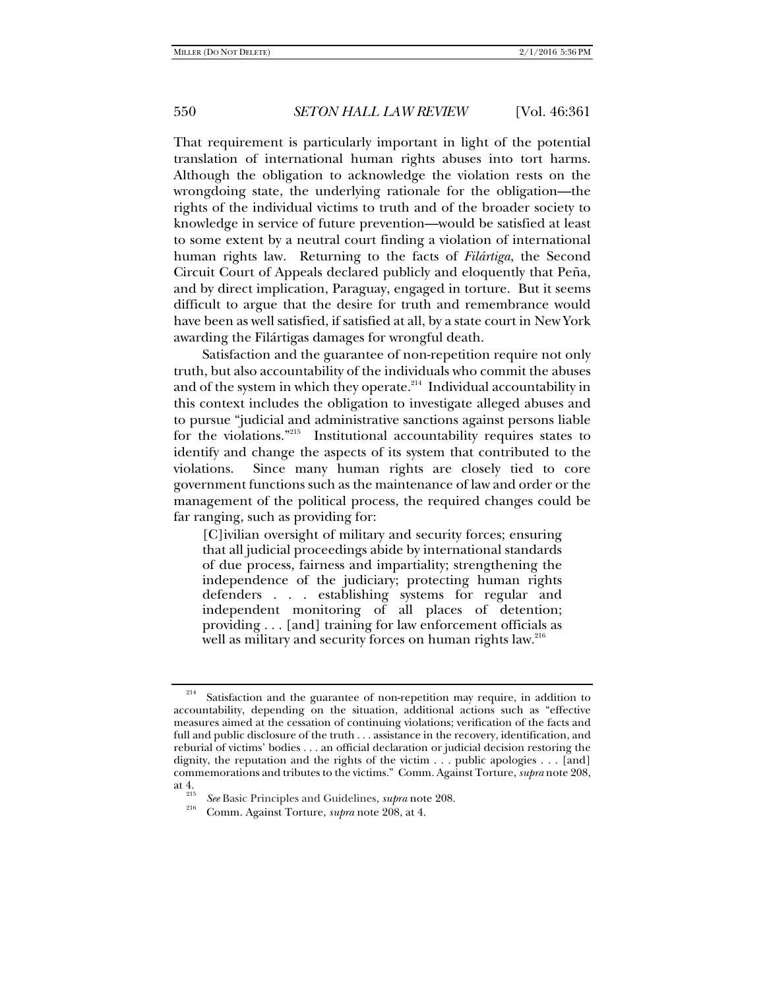That requirement is particularly important in light of the potential translation of international human rights abuses into tort harms. Although the obligation to acknowledge the violation rests on the wrongdoing state, the underlying rationale for the obligation—the rights of the individual victims to truth and of the broader society to knowledge in service of future prevention—would be satisfied at least to some extent by a neutral court finding a violation of international human rights law. Returning to the facts of *Filártiga*, the Second Circuit Court of Appeals declared publicly and eloquently that Peña, and by direct implication, Paraguay, engaged in torture. But it seems difficult to argue that the desire for truth and remembrance would have been as well satisfied, if satisfied at all, by a state court in New York awarding the Filártigas damages for wrongful death.

Satisfaction and the guarantee of non-repetition require not only truth, but also accountability of the individuals who commit the abuses and of the system in which they operate. $2^{14}$  Individual accountability in this context includes the obligation to investigate alleged abuses and to pursue "judicial and administrative sanctions against persons liable for the violations."215 Institutional accountability requires states to identify and change the aspects of its system that contributed to the violations. Since many human rights are closely tied to core government functions such as the maintenance of law and order or the management of the political process, the required changes could be far ranging, such as providing for:

[C]ivilian oversight of military and security forces; ensuring that all judicial proceedings abide by international standards of due process, fairness and impartiality; strengthening the independence of the judiciary; protecting human rights defenders . . . establishing systems for regular and independent monitoring of all places of detention; providing . . . [and] training for law enforcement officials as well as military and security forces on human rights law.<sup>216</sup>

<sup>&</sup>lt;sup>214</sup> Satisfaction and the guarantee of non-repetition may require, in addition to accountability, depending on the situation, additional actions such as "effective measures aimed at the cessation of continuing violations; verification of the facts and full and public disclosure of the truth . . . assistance in the recovery, identification, and reburial of victims' bodies . . . an official declaration or judicial decision restoring the dignity, the reputation and the rights of the victim . . . public apologies . . . [and] commemorations and tributes to the victims." Comm. Against Torture, *supra* note 208,

at 4. 215 *See* Basic Principles and Guidelines, *supra* note 208. 216 Comm. Against Torture, *supra* note 208, at 4.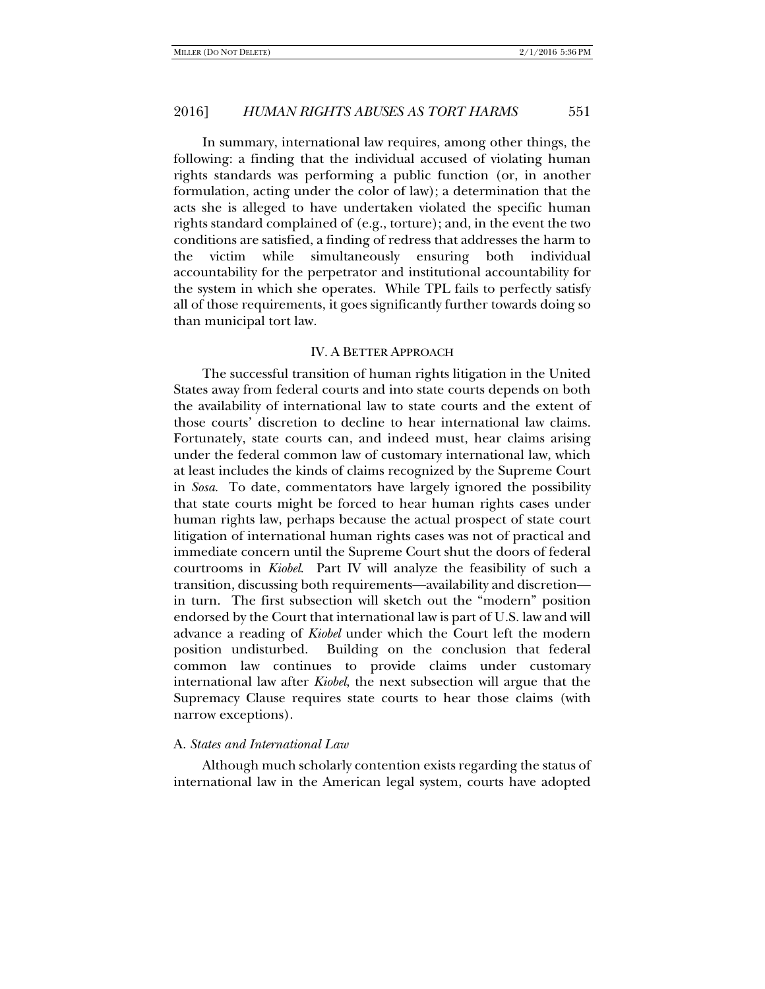In summary, international law requires, among other things, the following: a finding that the individual accused of violating human rights standards was performing a public function (or, in another formulation, acting under the color of law); a determination that the acts she is alleged to have undertaken violated the specific human rights standard complained of (e.g., torture); and, in the event the two conditions are satisfied, a finding of redress that addresses the harm to the victim while simultaneously ensuring both individual accountability for the perpetrator and institutional accountability for the system in which she operates. While TPL fails to perfectly satisfy all of those requirements, it goes significantly further towards doing so than municipal tort law.

#### IV. A BETTER APPROACH

The successful transition of human rights litigation in the United States away from federal courts and into state courts depends on both the availability of international law to state courts and the extent of those courts' discretion to decline to hear international law claims. Fortunately, state courts can, and indeed must, hear claims arising under the federal common law of customary international law, which at least includes the kinds of claims recognized by the Supreme Court in *Sosa*. To date, commentators have largely ignored the possibility that state courts might be forced to hear human rights cases under human rights law, perhaps because the actual prospect of state court litigation of international human rights cases was not of practical and immediate concern until the Supreme Court shut the doors of federal courtrooms in *Kiobel*. Part IV will analyze the feasibility of such a transition, discussing both requirements—availability and discretion in turn. The first subsection will sketch out the "modern" position endorsed by the Court that international law is part of U.S. law and will advance a reading of *Kiobel* under which the Court left the modern position undisturbed. Building on the conclusion that federal common law continues to provide claims under customary international law after *Kiobel*, the next subsection will argue that the Supremacy Clause requires state courts to hear those claims (with narrow exceptions).

#### A. *States and International Law*

Although much scholarly contention exists regarding the status of international law in the American legal system, courts have adopted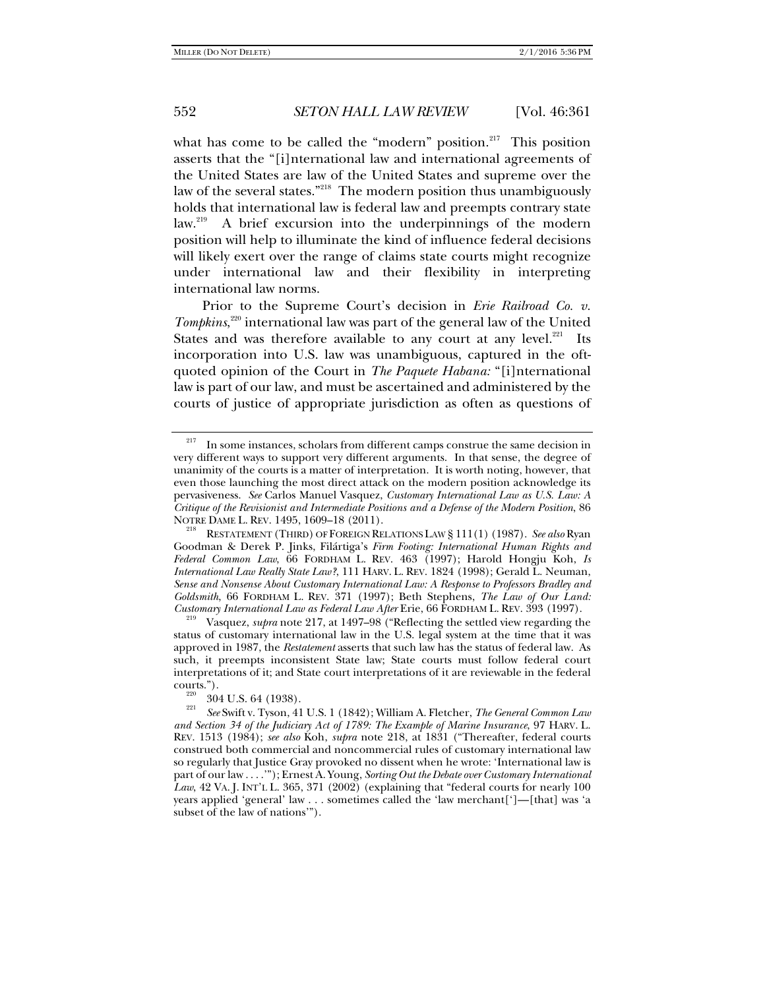what has come to be called the "modern" position.<sup>217</sup> This position asserts that the "[i]nternational law and international agreements of the United States are law of the United States and supreme over the law of the several states."218 The modern position thus unambiguously holds that international law is federal law and preempts contrary state<br>law.<sup>219</sup> A brief excursion into the underpinnings of the modern A brief excursion into the underpinnings of the modern position will help to illuminate the kind of influence federal decisions will likely exert over the range of claims state courts might recognize under international law and their flexibility in interpreting international law norms.

Prior to the Supreme Court's decision in *Erie Railroad Co. v. Tompkins*, 220 international law was part of the general law of the United States and was therefore available to any court at any level. $221$  Its incorporation into U.S. law was unambiguous, captured in the oftquoted opinion of the Court in *The Paquete Habana:* "[i]nternational law is part of our law, and must be ascertained and administered by the courts of justice of appropriate jurisdiction as often as questions of

RESTATEMENT (THIRD) OF FOREIGN RELATIONS LAW § 111(1) (1987). See also Ryan Goodman & Derek P. Jinks, Filártiga's *Firm Footing: International Human Rights and Federal Common Law*, 66 FORDHAM L. REV. 463 (1997); Harold Hongju Koh, *Is International Law Really State Law?*, 111 HARV. L. REV. 1824 (1998); Gerald L. Neuman, *Sense and Nonsense About Customary International Law: A Response to Professors Bradley and Goldsmith*, 66 FORDHAM L. REV. 371 (1997); Beth Stephens, *The Law of Our Land: Customary International Law as Federal Law After* Erie, 66 FORDHAM L. REV. 393 (1997). 219 Vasquez, *supra* note 217, at 1497–98 ("Reflecting the settled view regarding the

status of customary international law in the U.S. legal system at the time that it was approved in 1987, the *Restatement* asserts that such law has the status of federal law. As such, it preempts inconsistent State law; State courts must follow federal court interpretations of it; and State court interpretations of it are reviewable in the federal

 $217$  In some instances, scholars from different camps construe the same decision in very different ways to support very different arguments. In that sense, the degree of unanimity of the courts is a matter of interpretation. It is worth noting, however, that even those launching the most direct attack on the modern position acknowledge its pervasiveness. *See* Carlos Manuel Vasquez, *Customary International Law as U.S. Law: A Critique of the Revisionist and Intermediate Positions and a Defense of the Modern Position*, 86

<sup>&</sup>lt;sup>220</sup> 304 U.S. 64 (1938).<br><sup>221</sup> *See* Swift v. Tyson, 41 U.S. 1 (1842); William A. Fletcher, *The General Common Law and Section 34 of the Judiciary Act of 1789: The Example of Marine Insurance*, 97 HARV. L. REV. 1513 (1984); *see also* Koh, *supra* note 218, at 1831 ("Thereafter, federal courts construed both commercial and noncommercial rules of customary international law so regularly that Justice Gray provoked no dissent when he wrote: 'International law is part of our law . . . .'"); Ernest A. Young, *Sorting Out the Debate over Customary International Law*, 42 VA. J. INT'L L. 365, 371 (2002) (explaining that "federal courts for nearly 100 years applied 'general' law . . . sometimes called the 'law merchant[']—[that] was 'a subset of the law of nations'").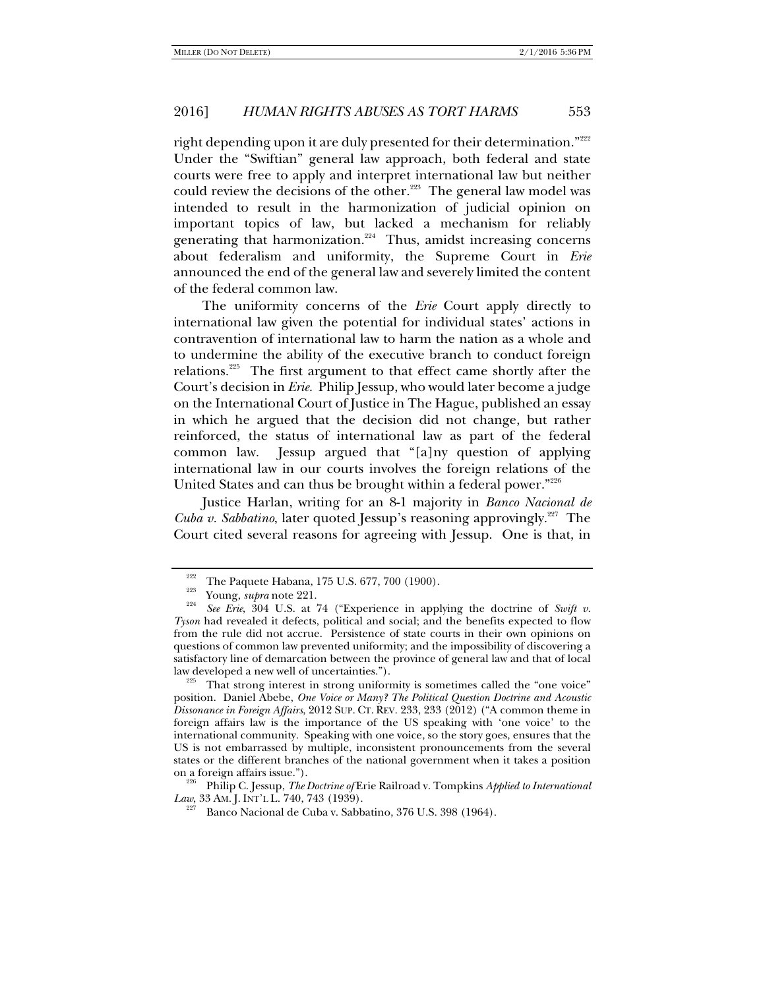right depending upon it are duly presented for their determination."<sup>222</sup> Under the "Swiftian" general law approach, both federal and state courts were free to apply and interpret international law but neither could review the decisions of the other.<sup>223</sup> The general law model was intended to result in the harmonization of judicial opinion on important topics of law, but lacked a mechanism for reliably generating that harmonization.<sup>224</sup> Thus, amidst increasing concerns about federalism and uniformity, the Supreme Court in *Erie* announced the end of the general law and severely limited the content of the federal common law.

The uniformity concerns of the *Erie* Court apply directly to international law given the potential for individual states' actions in contravention of international law to harm the nation as a whole and to undermine the ability of the executive branch to conduct foreign relations.<sup>225</sup> The first argument to that effect came shortly after the Court's decision in *Erie.* Philip Jessup, who would later become a judge on the International Court of Justice in The Hague, published an essay in which he argued that the decision did not change, but rather reinforced, the status of international law as part of the federal common law. Jessup argued that "[a]ny question of applying international law in our courts involves the foreign relations of the United States and can thus be brought within a federal power."<sup>226</sup>

Justice Harlan, writing for an 8-1 majority in *Banco Nacional de Cuba v. Sabbatino*, later quoted Jessup's reasoning approvingly.<sup>227</sup> The Court cited several reasons for agreeing with Jessup. One is that, in

position. Daniel Abebe, *One Voice or Many? The Political Question Doctrine and Acoustic Dissonance in Foreign Affairs*, 2012 SUP. CT. REV. 233, 233 (2012) ("A common theme in foreign affairs law is the importance of the US speaking with 'one voice' to the international community. Speaking with one voice, so the story goes, ensures that the US is not embarrassed by multiple, inconsistent pronouncements from the several states or the different branches of the national government when it takes a position

on a foreign affairs issue."). 226 Philip C. Jessup, *The Doctrine of* Erie Railroad v. Tompkins *Applied to International Law*, 33 AM. J. INT'L L. 740, 743 (1939).<br><sup>227</sup> Banco Nacional de Cuba v. Sabbatino, 376 U.S. 398 (1964).

<sup>&</sup>lt;sup>222</sup> The Paquete Habana, 175 U.S. 677, 700 (1900).<br><sup>223</sup> Young, *supra* note 221.<br><sup>224</sup> *See Erie*, 304 U.S. at 74 ("Experience in applying the doctrine of *Swift v*. *Tyson* had revealed it defects, political and social; and the benefits expected to flow from the rule did not accrue. Persistence of state courts in their own opinions on questions of common law prevented uniformity; and the impossibility of discovering a satisfactory line of demarcation between the province of general law and that of local law developed a new well of uncertainties.").<br><sup>225</sup> That strong interest in strong uniformity is sometimes called the "one voice"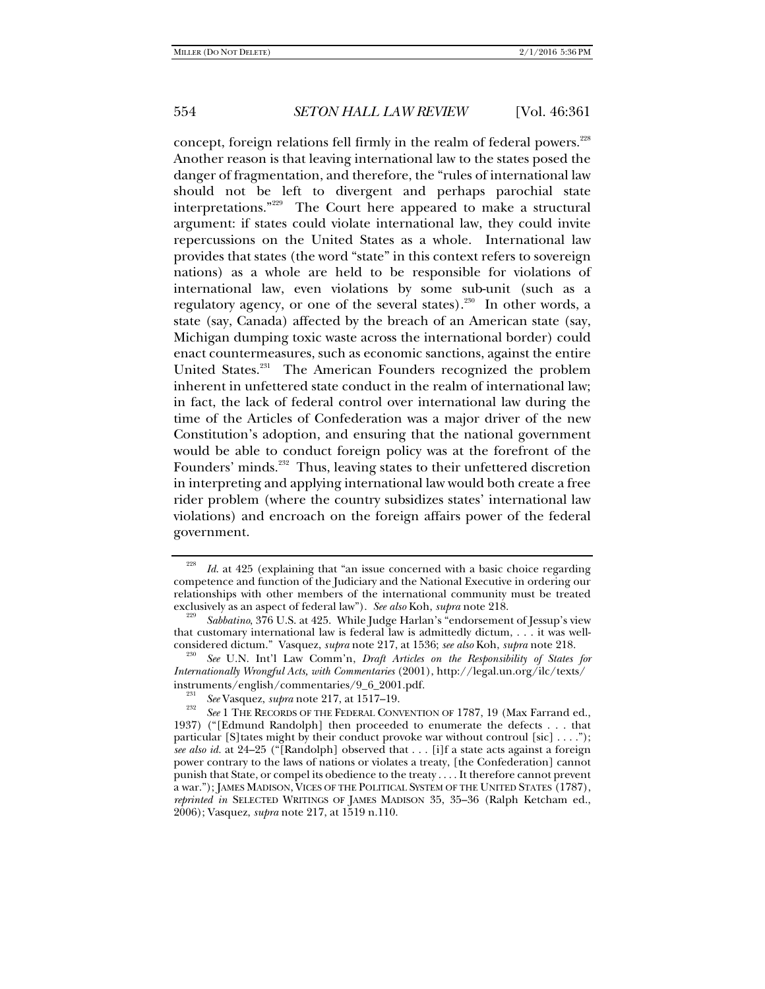concept, foreign relations fell firmly in the realm of federal powers.<sup>228</sup> Another reason is that leaving international law to the states posed the danger of fragmentation, and therefore, the "rules of international law should not be left to divergent and perhaps parochial state interpretations."229 The Court here appeared to make a structural argument: if states could violate international law, they could invite repercussions on the United States as a whole. International law provides that states (the word "state" in this context refers to sovereign nations) as a whole are held to be responsible for violations of international law, even violations by some sub-unit (such as a regulatory agency, or one of the several states).<sup>230</sup> In other words, a state (say, Canada) affected by the breach of an American state (say, Michigan dumping toxic waste across the international border) could enact countermeasures, such as economic sanctions, against the entire United States.<sup>231</sup> The American Founders recognized the problem inherent in unfettered state conduct in the realm of international law; in fact, the lack of federal control over international law during the time of the Articles of Confederation was a major driver of the new Constitution's adoption, and ensuring that the national government would be able to conduct foreign policy was at the forefront of the Founders' minds.<sup>232</sup> Thus, leaving states to their unfettered discretion in interpreting and applying international law would both create a free rider problem (where the country subsidizes states' international law violations) and encroach on the foreign affairs power of the federal government.

<sup>228</sup> *Id*. at 425 (explaining that "an issue concerned with a basic choice regarding competence and function of the Judiciary and the National Executive in ordering our relationships with other members of the international community must be treated exclusively as an aspect of federal law"). See also Koh, subra note 218.

<sup>&</sup>lt;sup>229</sup> Sabbatino, 376 U.S. at 425. While Judge Harlan's "endorsement of Jessup's view that customary international law is federal law is admittedly dictum, . . . it was wellconsidered dictum." Vasquez, *supra* note 217, at 1536; see also Koh, supra note 218.

*See* U.N. Int'l Law Comm'n, *Draft Articles on the Responsibility of States for Internationally Wrongful Acts, with Commentaries* (2001), http://legal.un.org/ilc/texts/ instruments/english/commentaries/9\_6\_2001.pdf.<br><sup>231</sup> See Vasquez, *supra* note 217, at 1517–19.

<sup>&</sup>lt;sup>232</sup> *See* 1 THE RECORDS OF THE FEDERAL CONVENTION OF 1787, 19 (Max Farrand ed., 1937) ("[Edmund Randolph] then proceeded to enumerate the defects . . . that particular [S] tates might by their conduct provoke war without controul [sic]  $\dots$ "); *see also id.* at 24–25 ("[Randolph] observed that . . . [i]f a state acts against a foreign power contrary to the laws of nations or violates a treaty, [the Confederation] cannot punish that State, or compel its obedience to the treaty . . . . It therefore cannot prevent a war."); JAMES MADISON, VICES OF THE POLITICAL SYSTEM OF THE UNITED STATES (1787), *reprinted in* SELECTED WRITINGS OF JAMES MADISON 35, 35–36 (Ralph Ketcham ed., 2006); Vasquez, *supra* note 217, at 1519 n.110.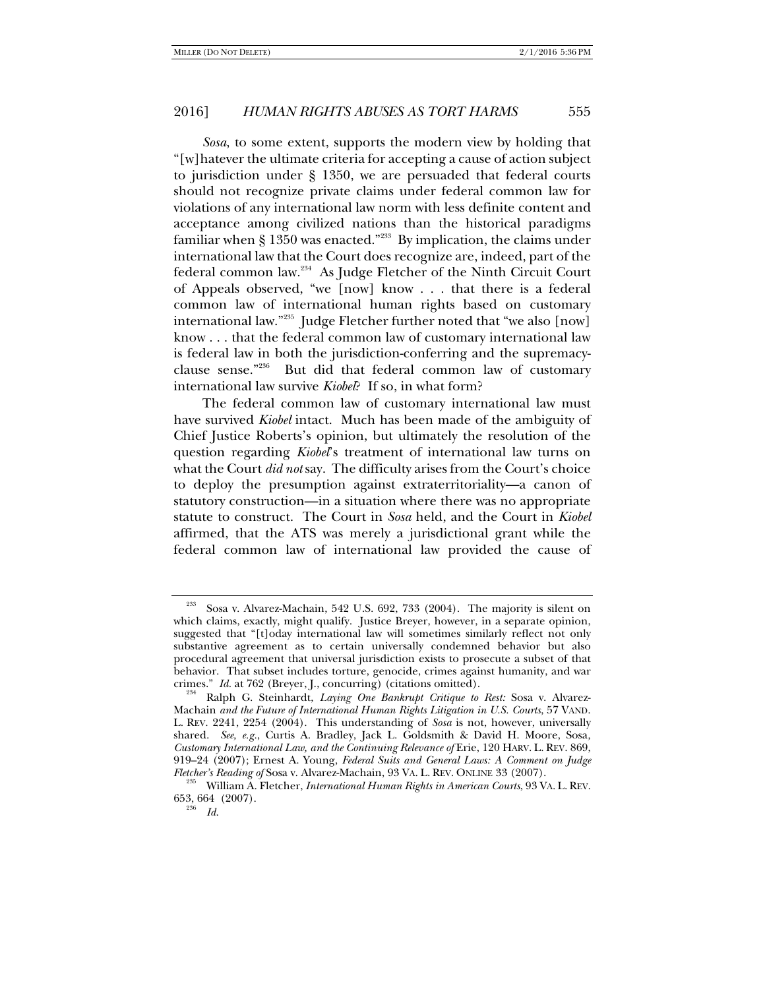*Sosa*, to some extent, supports the modern view by holding that "[w]hatever the ultimate criteria for accepting a cause of action subject to jurisdiction under § 1350, we are persuaded that federal courts should not recognize private claims under federal common law for violations of any international law norm with less definite content and acceptance among civilized nations than the historical paradigms familiar when  $\S 1350$  was enacted.<sup>"233</sup> By implication, the claims under international law that the Court does recognize are, indeed, part of the federal common law.234 As Judge Fletcher of the Ninth Circuit Court of Appeals observed, "we [now] know . . . that there is a federal common law of international human rights based on customary international law."235 Judge Fletcher further noted that "we also [now] know . . . that the federal common law of customary international law is federal law in both the jurisdiction-conferring and the supremacyclause sense."236 But did that federal common law of customary international law survive *Kiobel*? If so, in what form?

The federal common law of customary international law must have survived *Kiobel* intact. Much has been made of the ambiguity of Chief Justice Roberts's opinion, but ultimately the resolution of the question regarding *Kiobel*'s treatment of international law turns on what the Court *did not* say. The difficulty arises from the Court's choice to deploy the presumption against extraterritoriality—a canon of statutory construction—in a situation where there was no appropriate statute to construct. The Court in *Sosa* held, and the Court in *Kiobel*  affirmed, that the ATS was merely a jurisdictional grant while the federal common law of international law provided the cause of

Sosa v. Alvarez-Machain, 542 U.S. 692, 733 (2004). The majority is silent on which claims, exactly, might qualify. Justice Breyer, however, in a separate opinion, suggested that "[t]oday international law will sometimes similarly reflect not only substantive agreement as to certain universally condemned behavior but also procedural agreement that universal jurisdiction exists to prosecute a subset of that behavior. That subset includes torture, genocide, crimes against humanity, and war crimes." *Id.* at 762 (Breyer, J., concurring) (citations omitted).

<sup>&</sup>lt;sup>234</sup> Ralph G. Steinhardt, *Laying One Bankrupt Critique to Rest: Sosa v. Alvarez-*Machain *and the Future of International Human Rights Litigation in U.S. Courts*, 57 VAND. L. REV. 2241, 2254 (2004). This understanding of *Sosa* is not, however, universally shared. *See, e.g.*, Curtis A. Bradley, Jack L. Goldsmith & David H. Moore, Sosa*, Customary International Law, and the Continuing Relevance of* Erie, 120 HARV. L. REV. 869, 919–24 (2007); Ernest A. Young, *Federal Suits and General Laws: A Comment on Judge* 

*Fletcher's Reading of* Sosa v. Alvarez-Machain, 93 VA. L. REV. ONLINE 33 (2007). 235 William A. Fletcher, *International Human Rights in American Courts*, 93 VA. L. REV. 653, 664 (2007).

 $^{236}$  *Id.*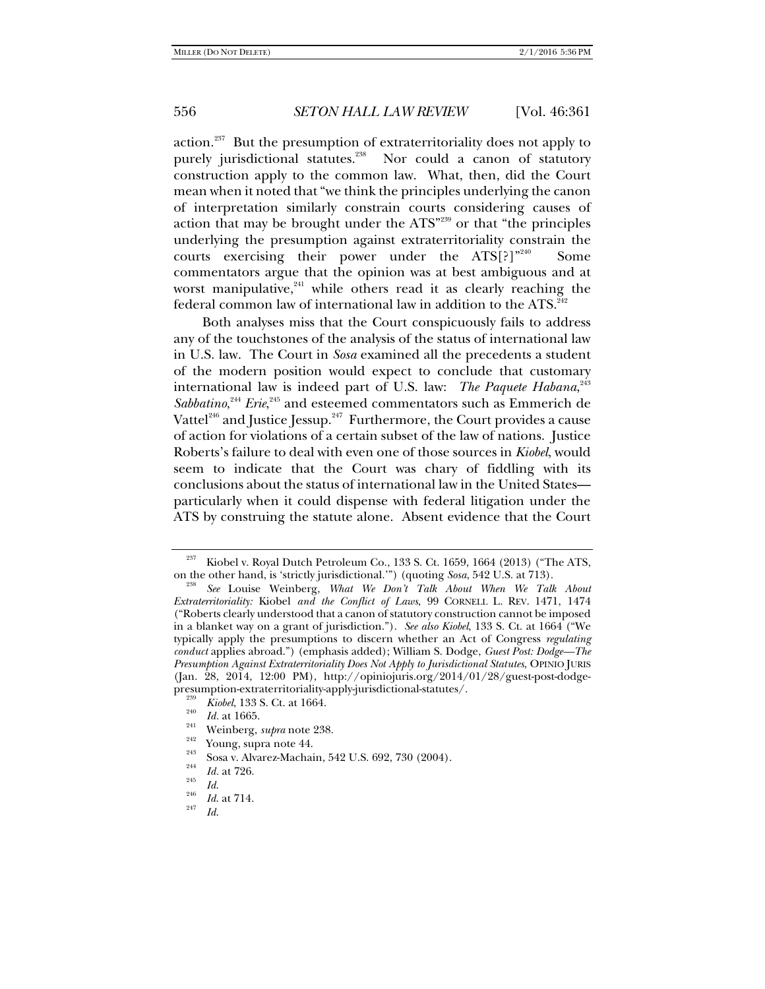action. $237$  But the presumption of extraterritoriality does not apply to purely jurisdictional statutes.<sup>238</sup> Nor could a canon of statutory construction apply to the common law. What, then, did the Court mean when it noted that "we think the principles underlying the canon of interpretation similarly constrain courts considering causes of action that may be brought under the ATS"239 or that "the principles underlying the presumption against extraterritoriality constrain the courts exercising their power under the  $ATS[?]^{n^{240}}$  Some commentators argue that the opinion was at best ambiguous and at worst manipulative,<sup>241</sup> while others read it as clearly reaching the federal common law of international law in addition to the ATS. $^{242}$ 

Both analyses miss that the Court conspicuously fails to address any of the touchstones of the analysis of the status of international law in U.S. law. The Court in *Sosa* examined all the precedents a student of the modern position would expect to conclude that customary international law is indeed part of U.S. law: *The Paquete Habana*, 243 Sabbatino,<sup>244</sup> *Erie*,<sup>245</sup> and esteemed commentators such as Emmerich de Vattel<sup>246</sup> and Justice Jessup.<sup>247</sup> Furthermore, the Court provides a cause of action for violations of a certain subset of the law of nations. Justice Roberts's failure to deal with even one of those sources in *Kiobel*, would seem to indicate that the Court was chary of fiddling with its conclusions about the status of international law in the United States particularly when it could dispense with federal litigation under the ATS by construing the statute alone. Absent evidence that the Court

 $237$  Kiobel v. Royal Dutch Petroleum Co., 133 S. Ct. 1659, 1664 (2013) ("The ATS, on the other hand, is 'strictly jurisdictional."") (quoting *Sosa*, 542 U.S. at 713).

*See* Louise Weinberg, *What We Don't Talk About When We Talk About Extraterritoriality:* Kiobel *and the Conflict of Laws*, 99 CORNELL L. REV. 1471, 1474 ("Roberts clearly understood that a canon of statutory construction cannot be imposed in a blanket way on a grant of jurisdiction."). *See also Kiobel*, 133 S. Ct. at 1664 ("We typically apply the presumptions to discern whether an Act of Congress *regulating conduct* applies abroad.") (emphasis added); William S. Dodge, *Guest Post: Dodge—The Presumption Against Extraterritoriality Does Not Apply to Jurisdictional Statutes*, OPINIO JURIS (Jan. 28, 2014, 12:00 PM), http://opiniojuris.org/2014/01/28/guest-post-dodgepresumption-extraterritoriality-apply-jurisdictional-statutes/.<br> *239 Kiobel*, 133 S. Ct. at 1664.

<sup>&</sup>lt;sup>240</sup> *Id.* at 1665.<br>
<sup>242</sup> *Weinberg, supra* note 238.<br>
<sup>242</sup> Young, supra note 44.<br>
Sosa v. Alvarez-Machain, 542 U.S. 692, 730 (2004).<br> *Id.* at 726.<br> *Id. Id.* 

 $\frac{^{246}}{^{247}}$  *Id.* at 714.

*Id*.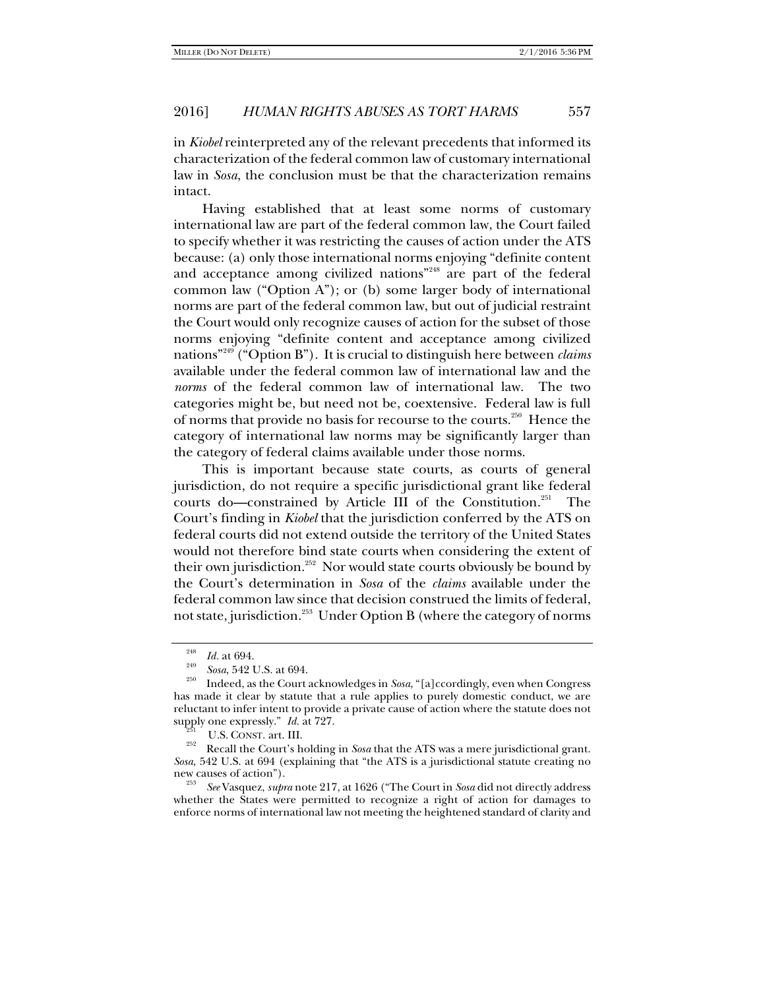in *Kiobel* reinterpreted any of the relevant precedents that informed its characterization of the federal common law of customary international law in *Sosa*, the conclusion must be that the characterization remains intact.

Having established that at least some norms of customary international law are part of the federal common law, the Court failed to specify whether it was restricting the causes of action under the ATS because: (a) only those international norms enjoying "definite content and acceptance among civilized nations<sup>"248</sup> are part of the federal common law ("Option A"); or (b) some larger body of international norms are part of the federal common law, but out of judicial restraint the Court would only recognize causes of action for the subset of those norms enjoying "definite content and acceptance among civilized nations"249 ("Option B"). It is crucial to distinguish here between *claims*  available under the federal common law of international law and the *norms* of the federal common law of international law. The two categories might be, but need not be, coextensive. Federal law is full of norms that provide no basis for recourse to the courts.250 Hence the category of international law norms may be significantly larger than the category of federal claims available under those norms.

This is important because state courts, as courts of general jurisdiction, do not require a specific jurisdictional grant like federal courts do—constrained by Article III of the Constitution.<sup>251</sup> The Court's finding in *Kiobel* that the jurisdiction conferred by the ATS on federal courts did not extend outside the territory of the United States would not therefore bind state courts when considering the extent of their own jurisdiction.<sup>252</sup> Nor would state courts obviously be bound by the Court's determination in *Sosa* of the *claims* available under the federal common law since that decision construed the limits of federal, not state, jurisdiction.<sup>253</sup> Under Option B (where the category of norms

new causes of action"). 253 *See* Vasquez, *supra* note 217, at 1626 ("The Court in *Sosa* did not directly address whether the States were permitted to recognize a right of action for damages to enforce norms of international law not meeting the heightened standard of clarity and

<sup>248</sup>

*Id.* at 694. 249 *Sosa*, 542 U.S. at 694. 250 Indeed, as the Court acknowledges in *Sosa*, "[a]ccordingly, even when Congress has made it clear by statute that a rule applies to purely domestic conduct, we are reluctant to infer intent to provide a private cause of action where the statute does not supply one expressly."  $Id.$  at 727.

<sup>&</sup>lt;sup>251</sup> U.S. CONST. art. III.<br><sup>252</sup> Recall the Court's holding in *Sosa* that the ATS was a mere jurisdictional grant. *Sosa*, 542 U.S. at 694 (explaining that "the ATS is a jurisdictional statute creating no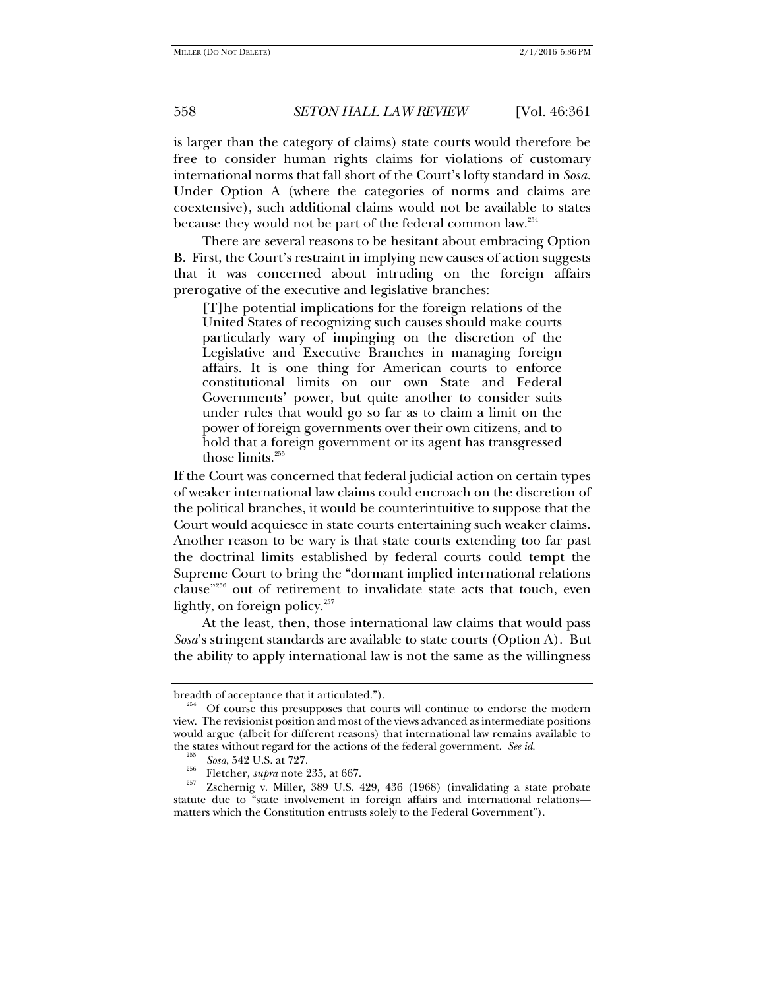is larger than the category of claims) state courts would therefore be free to consider human rights claims for violations of customary international norms that fall short of the Court's lofty standard in *Sosa.*  Under Option A (where the categories of norms and claims are coextensive), such additional claims would not be available to states because they would not be part of the federal common law.<sup>254</sup>

There are several reasons to be hesitant about embracing Option B. First, the Court's restraint in implying new causes of action suggests that it was concerned about intruding on the foreign affairs prerogative of the executive and legislative branches:

[T]he potential implications for the foreign relations of the United States of recognizing such causes should make courts particularly wary of impinging on the discretion of the Legislative and Executive Branches in managing foreign affairs. It is one thing for American courts to enforce constitutional limits on our own State and Federal Governments' power, but quite another to consider suits under rules that would go so far as to claim a limit on the power of foreign governments over their own citizens, and to hold that a foreign government or its agent has transgressed those limits. $255$ 

If the Court was concerned that federal judicial action on certain types of weaker international law claims could encroach on the discretion of the political branches, it would be counterintuitive to suppose that the Court would acquiesce in state courts entertaining such weaker claims. Another reason to be wary is that state courts extending too far past the doctrinal limits established by federal courts could tempt the Supreme Court to bring the "dormant implied international relations clause"256 out of retirement to invalidate state acts that touch, even lightly, on foreign policy.<sup>257</sup>

At the least, then, those international law claims that would pass *Sosa*'s stringent standards are available to state courts (Option A). But the ability to apply international law is not the same as the willingness

breadth of acceptance that it articulated.").<br><sup>254</sup> Of course this presupposes that courts will continue to endorse the modern view. The revisionist position and most of the views advanced as intermediate positions would argue (albeit for different reasons) that international law remains available to the states without regard for the actions of the federal government. *See id.* 255 *Sosa*, 542 U.S. at 727.

*Sosa*, 542 U.S. at 727. 256 Fletcher, *supra* note 235, at 667. 257 Zschernig v. Miller, 389 U.S. 429, 436 (1968) (invalidating a state probate statute due to "state involvement in foreign affairs and international relations matters which the Constitution entrusts solely to the Federal Government").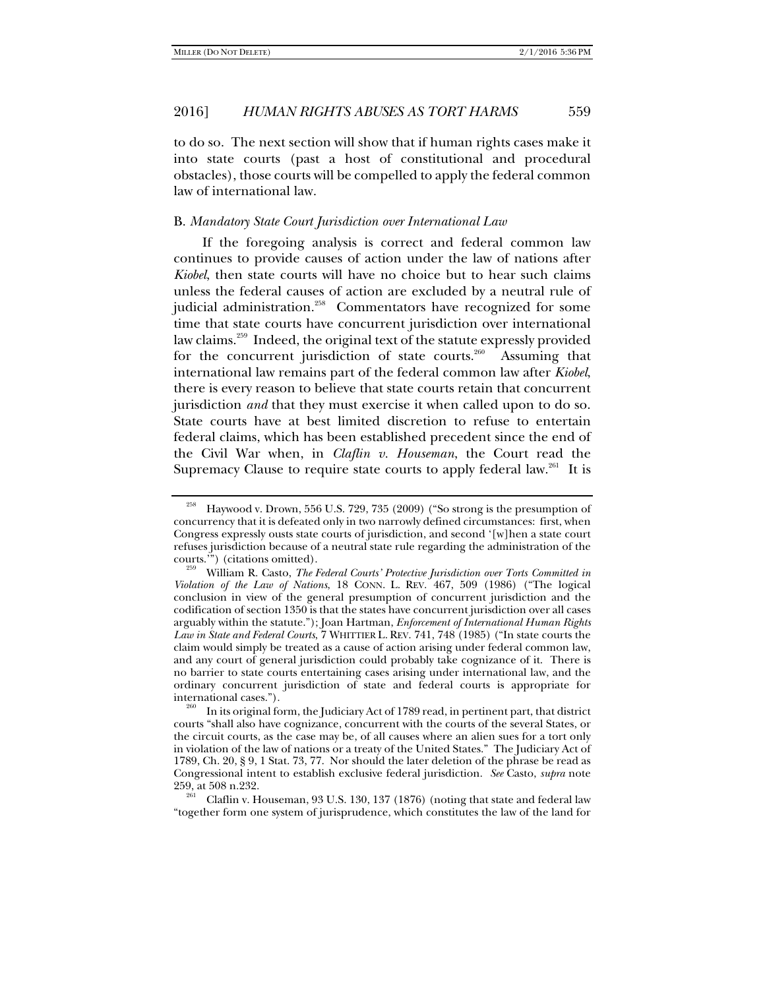to do so. The next section will show that if human rights cases make it into state courts (past a host of constitutional and procedural obstacles), those courts will be compelled to apply the federal common law of international law.

#### B. *Mandatory State Court Jurisdiction over International Law*

If the foregoing analysis is correct and federal common law continues to provide causes of action under the law of nations after *Kiobel*, then state courts will have no choice but to hear such claims unless the federal causes of action are excluded by a neutral rule of judicial administration.<sup>258</sup> Commentators have recognized for some time that state courts have concurrent jurisdiction over international law claims.<sup>259</sup> Indeed, the original text of the statute expressly provided for the concurrent jurisdiction of state courts.<sup>260</sup> Assuming that international law remains part of the federal common law after *Kiobel*, there is every reason to believe that state courts retain that concurrent jurisdiction *and* that they must exercise it when called upon to do so. State courts have at best limited discretion to refuse to entertain federal claims, which has been established precedent since the end of the Civil War when, in *Claflin v. Houseman*, the Court read the Supremacy Clause to require state courts to apply federal law.<sup>261</sup> It is

"together form one system of jurisprudence, which constitutes the law of the land for

<sup>258</sup> Haywood v. Drown, 556 U.S. 729, 735 (2009) ("So strong is the presumption of concurrency that it is defeated only in two narrowly defined circumstances: first, when Congress expressly ousts state courts of jurisdiction, and second '[w]hen a state court refuses jurisdiction because of a neutral state rule regarding the administration of the

courts.'") (citations omitted). 259 William R. Casto, *The Federal Courts' Protective Jurisdiction over Torts Committed in Violation of the Law of Nations*, 18 CONN. L. REV. 467, 509 (1986) ("The logical conclusion in view of the general presumption of concurrent jurisdiction and the codification of section 1350 is that the states have concurrent jurisdiction over all cases arguably within the statute."); Joan Hartman, *Enforcement of International Human Rights Law in State and Federal Courts*, 7 WHITTIER L. REV. 741, 748 (1985) ("In state courts the claim would simply be treated as a cause of action arising under federal common law, and any court of general jurisdiction could probably take cognizance of it. There is no barrier to state courts entertaining cases arising under international law, and the ordinary concurrent jurisdiction of state and federal courts is appropriate for

international cases."). 260 In its original form, the Judiciary Act of 1789 read, in pertinent part, that district courts "shall also have cognizance, concurrent with the courts of the several States, or the circuit courts, as the case may be, of all causes where an alien sues for a tort only in violation of the law of nations or a treaty of the United States." The Judiciary Act of 1789, Ch. 20, § 9, 1 Stat. 73, 77. Nor should the later deletion of the phrase be read as Congressional intent to establish exclusive federal jurisdiction. *See* Casto, *supra* note 259, at 508 n.232.<br><sup>261</sup> Claflin v. Houseman, 93 U.S. 130, 137 (1876) (noting that state and federal law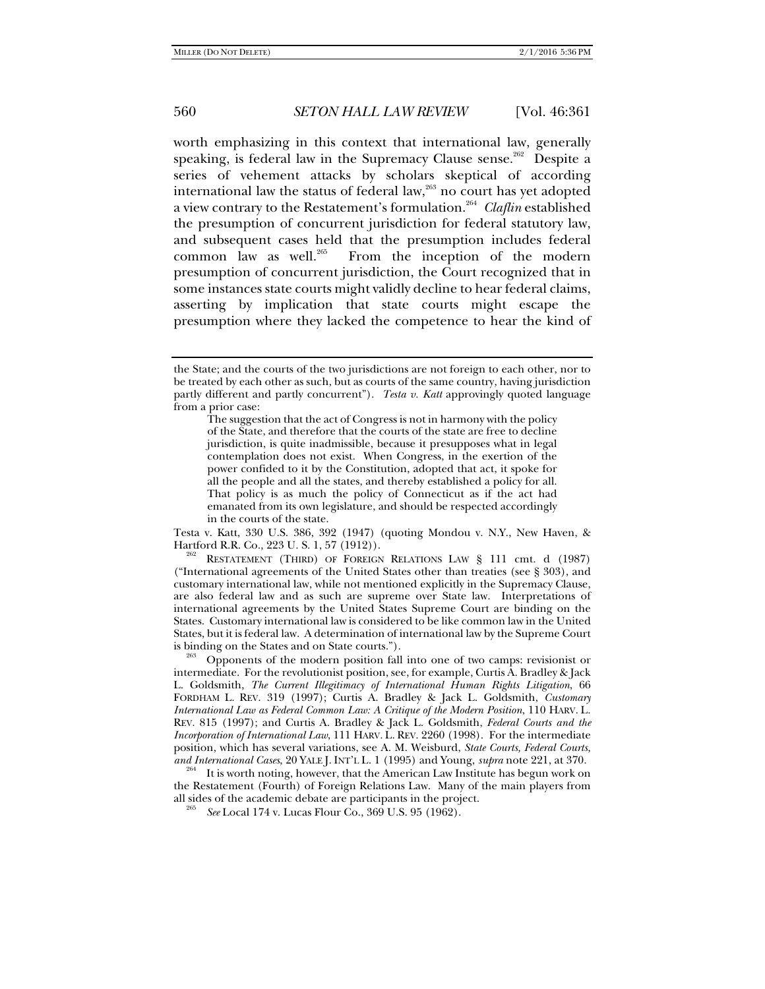worth emphasizing in this context that international law, generally speaking, is federal law in the Supremacy Clause sense.<sup>262</sup> Despite a series of vehement attacks by scholars skeptical of according international law the status of federal law,<sup>263</sup> no court has yet adopted a view contrary to the Restatement's formulation.264 *Claflin* established the presumption of concurrent jurisdiction for federal statutory law, and subsequent cases held that the presumption includes federal common law as well.<sup>265</sup> From the inception of the modern presumption of concurrent jurisdiction, the Court recognized that in some instances state courts might validly decline to hear federal claims, asserting by implication that state courts might escape the presumption where they lacked the competence to hear the kind of

Testa v. Katt, 330 U.S. 386, 392 (1947) (quoting Mondou v. N.Y., New Haven, &

RESTATEMENT (THIRD) OF FOREIGN RELATIONS LAW § 111 cmt. d (1987) ("International agreements of the United States other than treaties (see § 303), and customary international law, while not mentioned explicitly in the Supremacy Clause, are also federal law and as such are supreme over State law. Interpretations of international agreements by the United States Supreme Court are binding on the States. Customary international law is considered to be like common law in the United States, but it is federal law. A determination of international law by the Supreme Court

Opponents of the modern position fall into one of two camps: revisionist or intermediate. For the revolutionist position, see, for example, Curtis A. Bradley & Jack L. Goldsmith, *The Current Illegitimacy of International Human Rights Litigation*, 66 FORDHAM L. REV. 319 (1997); Curtis A. Bradley & Jack L. Goldsmith, *Customary International Law as Federal Common Law: A Critique of the Modern Position*, 110 HARV. L. REV. 815 (1997); and Curtis A. Bradley & Jack L. Goldsmith, *Federal Courts and the Incorporation of International Law*, 111 HARV. L. REV. 2260 (1998). For the intermediate position, which has several variations, see A. M. Weisburd, *State Courts, Federal Courts,* 

It is worth noting, however, that the American Law Institute has begun work on the Restatement (Fourth) of Foreign Relations Law. Many of the main players from all sides of the academic debate are participants in the project.

*See* Local 174 v. Lucas Flour Co., 369 U.S. 95 (1962).

the State; and the courts of the two jurisdictions are not foreign to each other, nor to be treated by each other as such, but as courts of the same country, having jurisdiction partly different and partly concurrent"). *Testa v. Katt* approvingly quoted language from a prior case:

The suggestion that the act of Congress is not in harmony with the policy of the State, and therefore that the courts of the state are free to decline jurisdiction, is quite inadmissible, because it presupposes what in legal contemplation does not exist. When Congress, in the exertion of the power confided to it by the Constitution, adopted that act, it spoke for all the people and all the states, and thereby established a policy for all. That policy is as much the policy of Connecticut as if the act had emanated from its own legislature, and should be respected accordingly in the courts of the state.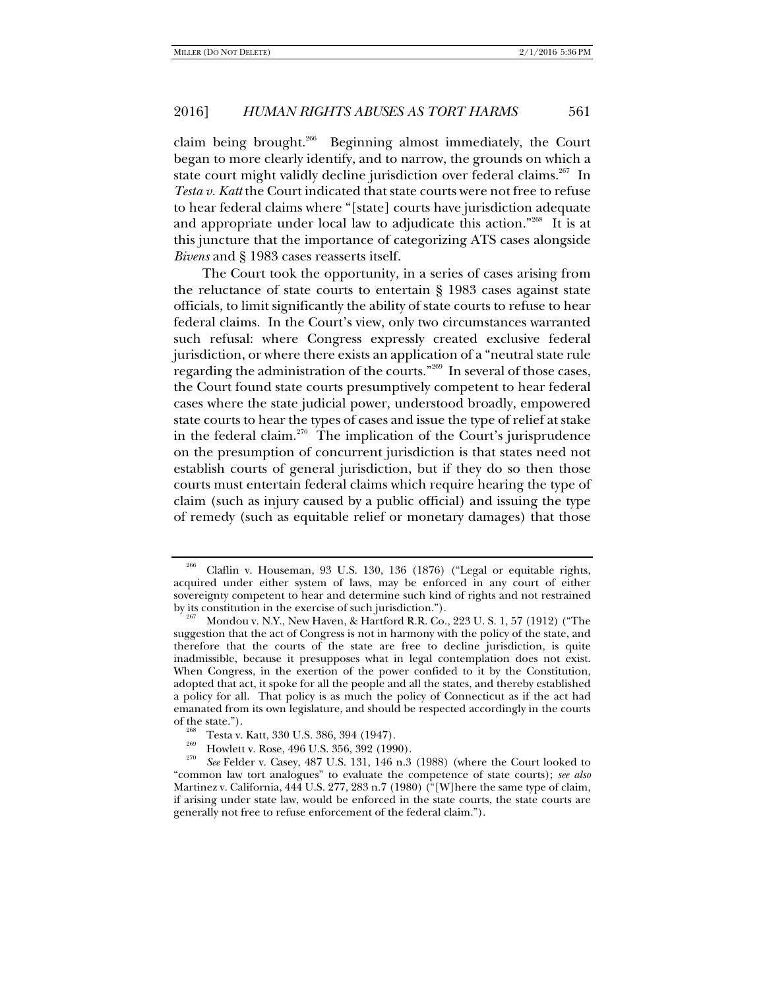claim being brought.<sup>266</sup> Beginning almost immediately, the Court began to more clearly identify, and to narrow, the grounds on which a state court might validly decline jurisdiction over federal claims.<sup>267</sup> In *Testa v. Katt* the Court indicated that state courts were not free to refuse to hear federal claims where "[state] courts have jurisdiction adequate and appropriate under local law to adjudicate this action."268 It is at this juncture that the importance of categorizing ATS cases alongside *Bivens* and § 1983 cases reasserts itself.

The Court took the opportunity, in a series of cases arising from the reluctance of state courts to entertain § 1983 cases against state officials, to limit significantly the ability of state courts to refuse to hear federal claims. In the Court's view, only two circumstances warranted such refusal: where Congress expressly created exclusive federal jurisdiction, or where there exists an application of a "neutral state rule regarding the administration of the courts."<sup>269</sup> In several of those cases, the Court found state courts presumptively competent to hear federal cases where the state judicial power, understood broadly, empowered state courts to hear the types of cases and issue the type of relief at stake in the federal claim.<sup>270</sup> The implication of the Court's jurisprudence on the presumption of concurrent jurisdiction is that states need not establish courts of general jurisdiction, but if they do so then those courts must entertain federal claims which require hearing the type of claim (such as injury caused by a public official) and issuing the type of remedy (such as equitable relief or monetary damages) that those

Claflin v. Houseman, 93 U.S. 130, 136 (1876) ("Legal or equitable rights, acquired under either system of laws, may be enforced in any court of either sovereignty competent to hear and determine such kind of rights and not restrained<br>by its constitution in the exercise of such jurisdiction.").

Mondou v. N.Y., New Haven, & Hartford R.R. Co., 223 U. S. 1, 57 (1912) ("The suggestion that the act of Congress is not in harmony with the policy of the state, and therefore that the courts of the state are free to decline jurisdiction, is quite inadmissible, because it presupposes what in legal contemplation does not exist. When Congress, in the exertion of the power confided to it by the Constitution, adopted that act, it spoke for all the people and all the states, and thereby established a policy for all. That policy is as much the policy of Connecticut as if the act had emanated from its own legislature, and should be respected accordingly in the courts

<sup>&</sup>lt;sup>268</sup> Testa v. Katt, 330 U.S. 386, 394 (1947).<br>
Howlett v. Rose, 496 U.S. 356, 392 (1990).<br>
<sup>270</sup> Howlett v. Rose, 496 U.S. 356, 392 (1990).

*See* Felder v. Casey, 487 U.S. 131, 146 n.3 (1988) (where the Court looked to "common law tort analogues" to evaluate the competence of state courts); *see also* Martinez v. California, 444 U.S. 277, 283 n.7 (1980) ("[W]here the same type of claim, if arising under state law, would be enforced in the state courts, the state courts are generally not free to refuse enforcement of the federal claim.").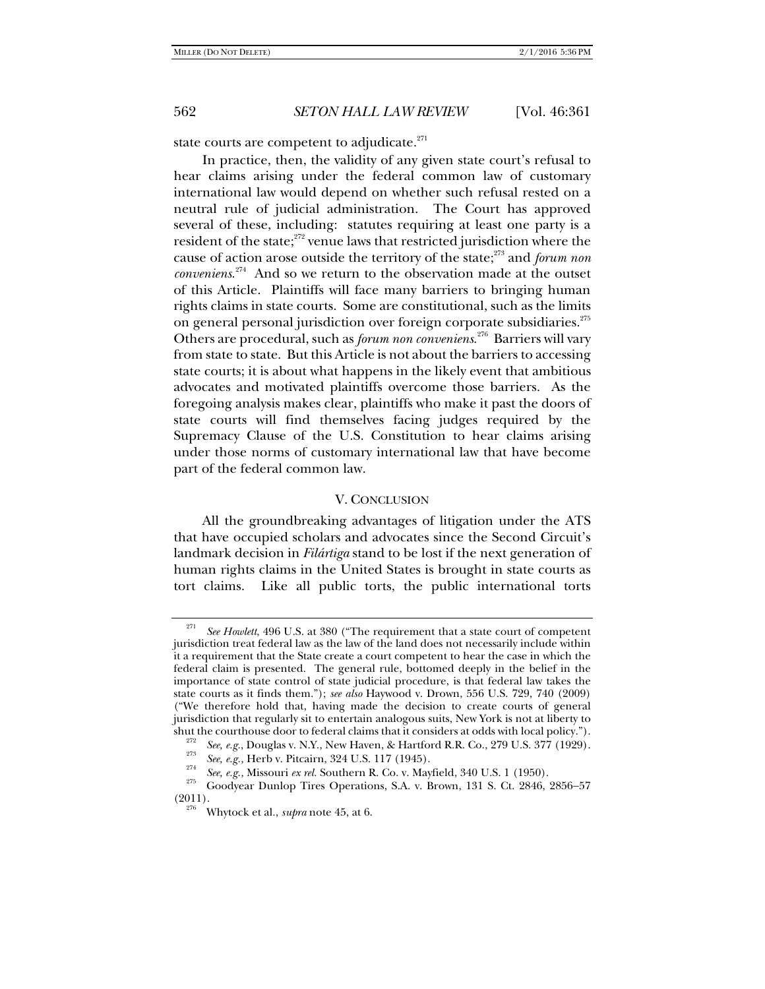state courts are competent to adjudicate. $271$ 

In practice, then, the validity of any given state court's refusal to hear claims arising under the federal common law of customary international law would depend on whether such refusal rested on a neutral rule of judicial administration. The Court has approved several of these, including: statutes requiring at least one party is a resident of the state; $272$  venue laws that restricted jurisdiction where the cause of action arose outside the territory of the state;<sup>273</sup> and *forum non conveniens*. 274 And so we return to the observation made at the outset of this Article. Plaintiffs will face many barriers to bringing human rights claims in state courts. Some are constitutional, such as the limits on general personal jurisdiction over foreign corporate subsidiaries.<sup>275</sup> Others are procedural, such as *forum non conveniens*. 276 Barriers will vary from state to state. But this Article is not about the barriers to accessing state courts; it is about what happens in the likely event that ambitious advocates and motivated plaintiffs overcome those barriers. As the foregoing analysis makes clear, plaintiffs who make it past the doors of state courts will find themselves facing judges required by the Supremacy Clause of the U.S. Constitution to hear claims arising under those norms of customary international law that have become part of the federal common law.

#### V. CONCLUSION

All the groundbreaking advantages of litigation under the ATS that have occupied scholars and advocates since the Second Circuit's landmark decision in *Filártiga* stand to be lost if the next generation of human rights claims in the United States is brought in state courts as tort claims. Like all public torts, the public international torts

See Howlett, 496 U.S. at 380 ("The requirement that a state court of competent jurisdiction treat federal law as the law of the land does not necessarily include within it a requirement that the State create a court competent to hear the case in which the federal claim is presented. The general rule, bottomed deeply in the belief in the importance of state control of state judicial procedure, is that federal law takes the state courts as it finds them."); *see also* Haywood v. Drown, 556 U.S. 729, 740 (2009) ("We therefore hold that, having made the decision to create courts of general jurisdiction that regularly sit to entertain analogous suits, New York is not at liberty to shut the courthouse door to federal claims that it considers at odds with local policy.").<br><sup>272</sup> See, e.g., Douglas v. N.Y., New Haven, & Hartford R.R. Co., 279 U.S. 377 (1929).

See, e.g., Herb v. Pitcairn, 324 U.S. 117 (1945).<br>
See, e.g., Herb v. Pitcairn, 324 U.S. 117 (1945).<br>
See, e.g., Missouri ex rel. Southern R. Co. v. Mayfield, 340 U.S. 1 (1950).<br>
Coodyear Dunlop Tires Operations, S.A. v. (2011). 276 Whytock et al., *supra* note 45, at 6.